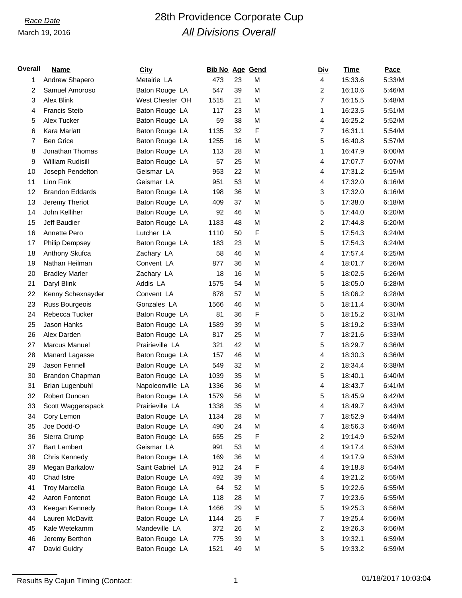# *Race Date* 28th Providence Corporate Cup *All Divisions Overall*

| <u>Overall</u> | <b>Name</b>             | <b>City</b>      | <b>Bib No Age Gend</b> |    |   | <b>Div</b>              | Time    | Pace   |
|----------------|-------------------------|------------------|------------------------|----|---|-------------------------|---------|--------|
| 1              | Andrew Shapero          | Metairie LA      | 473                    | 23 | M | 4                       | 15:33.6 | 5:33/M |
| 2              | Samuel Amoroso          | Baton Rouge LA   | 547                    | 39 | M | 2                       | 16:10.6 | 5:46/M |
| 3              | Alex Blink              | West Chester OH  | 1515                   | 21 | M | $\overline{7}$          | 16:15.5 | 5:48/M |
| 4              | <b>Francis Steib</b>    | Baton Rouge LA   | 117                    | 23 | M | 1                       | 16:23.5 | 5:51/M |
| 5              | Alex Tucker             | Baton Rouge LA   | 59                     | 38 | M | 4                       | 16:25.2 | 5:52/M |
| 6              | Kara Marlatt            | Baton Rouge LA   | 1135                   | 32 | F | 7                       | 16:31.1 | 5:54/M |
| 7              | <b>Ben Grice</b>        | Baton Rouge LA   | 1255                   | 16 | M | 5                       | 16:40.8 | 5:57/M |
| 8              | Jonathan Thomas         | Baton Rouge LA   | 113                    | 28 | M | 1                       | 16:47.9 | 6:00/M |
| 9              | <b>William Rudisill</b> | Baton Rouge LA   | 57                     | 25 | M | 4                       | 17:07.7 | 6:07/M |
| 10             | Joseph Pendelton        | Geismar LA       | 953                    | 22 | M | 4                       | 17:31.2 | 6:15/M |
| 11             | Linn Fink               | Geismar LA       | 951                    | 53 | M | 4                       | 17:32.0 | 6:16/M |
| 12             | <b>Brandon Eddards</b>  | Baton Rouge LA   | 198                    | 36 | M | 3                       | 17:32.0 | 6:16/M |
| 13             | Jeremy Theriot          | Baton Rouge LA   | 409                    | 37 | M | 5                       | 17:38.0 | 6:18/M |
| 14             | John Kelliher           | Baton Rouge LA   | 92                     | 46 | M | 5                       | 17:44.0 | 6:20/M |
| 15             | Jeff Baudier            | Baton Rouge LA   | 1183                   | 48 | M | 2                       | 17:44.8 | 6:20/M |
| 16             | Annette Pero            | Lutcher LA       | 1110                   | 50 | F | 5                       | 17:54.3 | 6:24/M |
| 17             | <b>Philip Dempsey</b>   | Baton Rouge LA   | 183                    | 23 | M | 5                       | 17:54.3 | 6:24/M |
| 18             | Anthony Skufca          | Zachary LA       | 58                     | 46 | M | 4                       | 17:57.4 | 6:25/M |
| 19             | Nathan Heilman          | Convent LA       | 877                    | 36 | M | 4                       | 18:01.7 | 6:26/M |
| 20             | <b>Bradley Marler</b>   | Zachary LA       | 18                     | 16 | M | 5                       | 18:02.5 | 6:26/M |
| 21             | Daryl Blink             | Addis LA         | 1575                   | 54 | M | 5                       | 18:05.0 | 6:28/M |
| 22             | Kenny Schexnayder       | Convent LA       | 878                    | 57 | M | 5                       | 18:06.2 | 6:28/M |
| 23             | Russ Bourgeois          | Gonzales LA      | 1566                   | 46 | M | 5                       | 18:11.4 | 6:30/M |
| 24             | Rebecca Tucker          | Baton Rouge LA   | 81                     | 36 | F | 5                       | 18:15.2 | 6:31/M |
| 25             | Jason Hanks             | Baton Rouge LA   | 1589                   | 39 | M | 5                       | 18:19.2 | 6:33/M |
| 26             | Alex Darden             | Baton Rouge LA   | 817                    | 25 | M | 7                       | 18:21.6 | 6:33/M |
| 27             | Marcus Manuel           | Prairieville LA  | 321                    | 42 | M | 5                       | 18:29.7 | 6:36/M |
| 28             | Manard Lagasse          | Baton Rouge LA   | 157                    | 46 | M | 4                       | 18:30.3 | 6:36/M |
| 29             | Jason Fennell           | Baton Rouge LA   | 549                    | 32 | M | $\overline{c}$          | 18:34.4 | 6:38/M |
| 30             | Brandon Chapman         | Baton Rouge LA   | 1039                   | 35 | M | 5                       | 18:40.1 | 6:40/M |
| 31             | <b>Brian Lugenbuhl</b>  | Napoleonville LA | 1336                   | 36 | M | 4                       | 18:43.7 | 6:41/M |
| 32             | Robert Duncan           | Baton Rouge LA   | 1579                   | 56 | M | 5                       | 18:45.9 | 6:42/M |
| 33             | Scott Waggenspack       | Prairieville LA  | 1338                   | 35 | M | 4                       | 18:49.7 | 6:43/M |
| 34             | Cory Lemon              | Baton Rouge LA   | 1134                   | 28 | M | 7                       | 18:52.9 | 6:44/M |
| 35             | Joe Dodd-O              | Baton Rouge LA   | 490                    | 24 | M | 4                       | 18:56.3 | 6:46/M |
| 36             | Sierra Crump            | Baton Rouge LA   | 655                    | 25 | F | 2                       | 19:14.9 | 6:52/M |
| 37             | <b>Bart Lambert</b>     | Geismar LA       | 991                    | 53 | M | 4                       | 19:17.4 | 6:53/M |
| 38             | Chris Kennedy           | Baton Rouge LA   | 169                    | 36 | M | 4                       | 19:17.9 | 6:53/M |
| 39             | Megan Barkalow          | Saint Gabriel LA | 912                    | 24 | F | 4                       | 19:18.8 | 6:54/M |
| 40             | Chad Istre              | Baton Rouge LA   | 492                    | 39 | M | 4                       | 19:21.2 | 6:55/M |
| 41             | <b>Troy Marcella</b>    | Baton Rouge LA   | 64                     | 52 | M | 5                       | 19:22.6 | 6:55/M |
| 42             | Aaron Fontenot          | Baton Rouge LA   | 118                    | 28 | M | 7                       | 19:23.6 | 6:55/M |
| 43             | Keegan Kennedy          | Baton Rouge LA   | 1466                   | 29 | M | 5                       | 19:25.3 | 6:56/M |
| 44             | Lauren McDavitt         | Baton Rouge LA   | 1144                   | 25 | F | 7                       | 19:25.4 | 6:56/M |
| 45             | Kale Wetekamm           | Mandeville LA    | 372                    | 26 | M | $\overline{\mathbf{c}}$ | 19:26.3 | 6:56/M |
| 46             | Jeremy Berthon          | Baton Rouge LA   | 775                    | 39 | M | 3                       | 19:32.1 | 6:59/M |
| 47             | David Guidry            | Baton Rouge LA   | 1521                   | 49 | M | 5                       | 19:33.2 | 6:59/M |
|                |                         |                  |                        |    |   |                         |         |        |

Results By Cajun Timing (Contact: 1 01/18/2017 10:03:04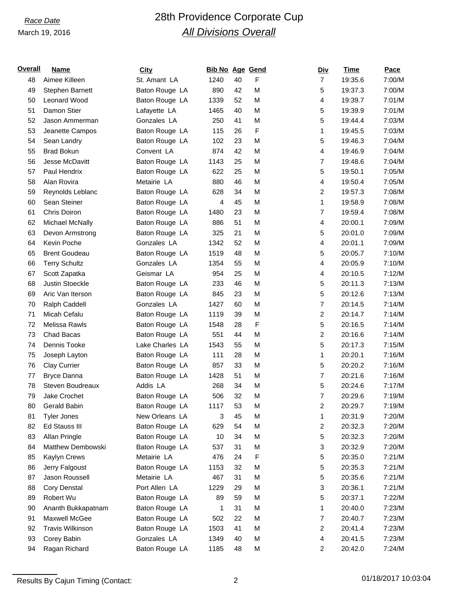## *Race Date* 28th Providence Corporate Cup *All Divisions Overall*

| Name                    | <b>City</b>                        | Bib No Age Gend                                                   |    |    | <b>Div</b>     | Time    | Pace    |
|-------------------------|------------------------------------|-------------------------------------------------------------------|----|----|----------------|---------|---------|
| Aimee Killeen           | St. Amant LA                       | 1240                                                              | 40 | F  | $\overline{7}$ | 19:35.6 | 7:00/M  |
| Stephen Barnett         | Baton Rouge LA                     | 890                                                               | 42 | M  | 5              | 19:37.3 | 7:00/M  |
| Leonard Wood            | Baton Rouge LA                     | 1339                                                              | 52 | M  | 4              | 19:39.7 | 7:01/M  |
| Damon Stier             | Lafayette LA                       | 1465                                                              | 40 | M  | 5              | 19:39.9 | 7:01/M  |
| Jason Ammerman          | Gonzales LA                        | 250                                                               | 41 | M  | 5              | 19:44.4 | 7:03/M  |
| Jeanette Campos         | Baton Rouge LA                     | 115                                                               | 26 | F  | 1              | 19:45.5 | 7:03/M  |
| Sean Landry             | Baton Rouge LA                     | 102                                                               | 23 | M  | 5              | 19:46.3 | 7:04/M  |
| <b>Brad Bokun</b>       | Convent LA                         | 874                                                               | 42 | M  | 4              | 19:46.9 | 7:04/M  |
| Jesse McDavitt          | Baton Rouge LA                     | 1143                                                              | 25 | M  | $\overline{7}$ | 19:48.6 | 7:04/M  |
| Paul Hendrix            | Baton Rouge LA                     | 622                                                               | 25 | M  | 5              | 19:50.1 | 7:05/M  |
| Alan Rovira             | Metairie LA                        | 880                                                               | 46 | M  | 4              | 19:50.4 | 7:05/M  |
| Reynolds Leblanc        | Baton Rouge LA                     | 628                                                               | 34 | M  | 2              | 19:57.3 | 7:08/M  |
| Sean Steiner            | Baton Rouge LA                     | 4                                                                 | 45 | M  | 1              | 19:58.9 | 7:08/M  |
| Chris Doiron            | Baton Rouge LA                     | 1480                                                              | 23 | M  | $\overline{7}$ | 19:59.4 | 7:08/M  |
| Michael McNally         | Baton Rouge LA                     | 886                                                               | 51 | M  | 4              | 20:00.1 | 7:09/M  |
| Devon Armstrong         | Baton Rouge LA                     | 325                                                               | 21 | M  | 5              | 20:01.0 | 7:09/M  |
| Kevin Poche             | Gonzales LA                        | 1342                                                              | 52 | M  | 4              | 20:01.1 | 7:09/M  |
| <b>Brent Goudeau</b>    | Baton Rouge LA                     | 1519                                                              | 48 | M  | 5              | 20:05.7 | 7:10/M  |
| <b>Terry Schultz</b>    | Gonzales LA                        | 1354                                                              | 55 | M  | 4              | 20:05.9 | 7:10/M  |
| Scott Zapatka           | Geismar LA                         | 954                                                               | 25 | M  | 4              | 20:10.5 | 7:12/M  |
| Justin Stoeckle         | Baton Rouge LA                     | 233                                                               | 46 | M  | 5              | 20:11.3 | 7:13/M  |
| Aric Van Iterson        | Baton Rouge LA                     | 845                                                               | 23 | M  | 5              | 20:12.6 | 7:13/M  |
| Ralph Caddell           | Gonzales LA                        | 1427                                                              | 60 | M  | $\overline{7}$ | 20:14.5 | 7:14/M  |
| Micah Cefalu            | Baton Rouge LA                     | 1119                                                              | 39 | M  | $\overline{c}$ | 20:14.7 | 7:14/M  |
| Melissa Rawls           | Baton Rouge LA                     | 1548                                                              | 28 | F  | 5              | 20:16.5 | 7:14/M  |
| Chad Bacas              | Baton Rouge LA                     | 551                                                               | 44 | M  | $\overline{c}$ | 20:16.6 | 7:14/M  |
| Dennis Tooke            | Lake Charles LA                    | 1543                                                              | 55 | M  | 5              | 20:17.3 | 7:15/M  |
| Joseph Layton           | Baton Rouge LA                     | 111                                                               | 28 | M  | 1              | 20:20.1 | 7:16/M  |
| Clay Currier            | Baton Rouge LA                     | 857                                                               | 33 | M  | 5              | 20:20.2 | 7:16/M  |
| <b>Bryce Danna</b>      | Baton Rouge LA                     | 1428                                                              | 51 | M  | $\overline{7}$ | 20:21.6 | 7:16/M  |
| Steven Boudreaux        | Addis LA                           | 268                                                               | 34 | M  | 5              | 20:24.6 | 7:17/M  |
| Jake Crochet            | Baton Rouge LA                     | 506                                                               | 32 | M  | $\overline{7}$ | 20:29.6 | 7:19/M  |
| Gerald Babin            |                                    | 1117                                                              | 53 | M  | $\overline{c}$ | 20:29.7 | 7:19/M  |
| <b>Tyler Jones</b>      | New Orleans LA                     | 3                                                                 | 45 | M  | 1              |         | 7:20/M  |
| Ed Stauss III           | Baton Rouge LA                     | 629                                                               |    |    | $\overline{c}$ | 20:32.3 | 7:20/M  |
|                         |                                    | 10                                                                | 34 |    | 5              | 20:32.3 | 7:20/M  |
|                         |                                    | 537                                                               | 31 | M  | 3              | 20:32.9 | 7:20/M  |
| Kaylyn Crews            |                                    | 476                                                               | 24 | F  | 5              | 20:35.0 | 7:21/M  |
| Jerry Falgoust          | Baton Rouge LA                     | 1153                                                              | 32 | M  | 5              | 20:35.3 | 7:21/M  |
| Jason Roussell          | Metairie LA                        | 467                                                               | 31 | M  | 5              | 20:35.6 | 7:21/M  |
| Cory Denstal            | Port Allen LA                      | 1229                                                              | 29 | M  | 3              | 20:36.1 | 7:21/M  |
| Robert Wu               | Baton Rouge LA                     | 89                                                                | 59 | M  | 5              | 20:37.1 | 7:22/M  |
| Ananth Bukkapatnam      | Baton Rouge LA                     | 1                                                                 | 31 | M  | 1              | 20:40.0 | 7:23/M  |
| Maxwell McGee           | Baton Rouge LA                     | 502                                                               | 22 | M  | $\overline{7}$ | 20:40.7 | 7:23/M  |
| <b>Travis Wilkinson</b> | Baton Rouge LA                     | 1503                                                              | 41 | M  | $\overline{c}$ | 20:41.4 | 7:23/M  |
| Corey Babin             | Gonzales LA                        | 1349                                                              | 40 | M  | 4              | 20:41.5 | 7:23/M  |
| Ragan Richard           | Baton Rouge LA                     | 1185                                                              | 48 | M  | $\overline{c}$ | 20:42.0 | 7:24/M  |
|                         | Allan Pringle<br>Matthew Dembowski | Baton Rouge LA<br>Baton Rouge LA<br>Baton Rouge LA<br>Metairie LA |    | 54 | M<br>M         |         | 20:31.9 |

Results By Cajun Timing (Contact: 2 01/18/2017 10:03:04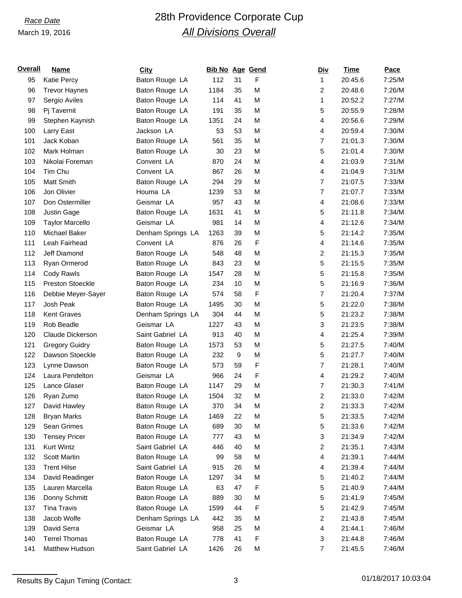# *Race Date* 28th Providence Corporate Cup *All Divisions Overall*

| <u>Overall</u> | Name                    | <b>City</b>       | <b>Bib No Age Gend</b> |    |   | <u>Div</u>              | Time    | Pace   |
|----------------|-------------------------|-------------------|------------------------|----|---|-------------------------|---------|--------|
| 95             | <b>Katie Percy</b>      | Baton Rouge LA    | 112                    | 31 | F | 1                       | 20:45.6 | 7:25/M |
| 96             | <b>Trevor Haynes</b>    | Baton Rouge LA    | 1184                   | 35 | M | 2                       | 20:48.6 | 7:26/M |
| 97             | Sergio Aviles           | Baton Rouge LA    | 114                    | 41 | M | 1                       | 20:52.2 | 7:27/M |
| 98             | Pj Tavernit             | Baton Rouge LA    | 191                    | 35 | M | 5                       | 20:55.9 | 7:28/M |
| 99             | Stephen Kaynish         | Baton Rouge LA    | 1351                   | 24 | M | 4                       | 20:56.6 | 7:29/M |
| 100            | Larry East              | Jackson LA        | 53                     | 53 | M | 4                       | 20:59.4 | 7:30/M |
| 101            | Jack Koban              | Baton Rouge LA    | 561                    | 35 | M | $\overline{7}$          | 21:01.3 | 7:30/M |
| 102            | Mark Holman             | Baton Rouge LA    | 30                     | 23 | M | 5                       | 21:01.4 | 7:30/M |
| 103            | Nikolai Foreman         | Convent LA        | 870                    | 24 | M | 4                       | 21:03.9 | 7:31/M |
| 104            | Tim Chu                 | Convent LA        | 867                    | 26 | M | 4                       | 21:04.9 | 7:31/M |
| 105            | <b>Matt Smith</b>       | Baton Rouge LA    | 294                    | 29 | M | $\overline{7}$          | 21:07.5 | 7:33/M |
| 106            | Jon Olivier             | Houma LA          | 1239                   | 53 | M | $\overline{7}$          | 21:07.7 | 7:33/M |
| 107            | Don Ostermiller         | Geismar LA        | 957                    | 43 | M | 4                       | 21:08.6 | 7:33/M |
| 108            | Justin Gage             | Baton Rouge LA    | 1631                   | 41 | M | 5                       | 21:11.8 | 7:34/M |
| 109            | <b>Taylor Marcello</b>  | Geismar LA        | 981                    | 14 | M | 4                       | 21:12.6 | 7:34/M |
| 110            | Michael Baker           | Denham Springs LA | 1263                   | 39 | M | 5                       | 21:14.2 | 7:35/M |
| 111            | Leah Fairhead           | Convent LA        | 876                    | 26 | F | 4                       | 21:14.6 | 7:35/M |
| 112            | Jeff Diamond            | Baton Rouge LA    | 548                    | 48 | M | 2                       | 21:15.3 | 7:35/M |
| 113            | Ryan Ormerod            | Baton Rouge LA    | 843                    | 23 | M | 5                       | 21:15.5 | 7:35/M |
| 114            | Cody Rawls              | Baton Rouge LA    | 1547                   | 28 | M | 5                       | 21:15.8 | 7:35/M |
| 115            | <b>Preston Stoeckle</b> | Baton Rouge LA    | 234                    | 10 | M | 5                       | 21:16.9 | 7:36/M |
| 116            | Debbie Meyer-Sayer      | Baton Rouge LA    | 574                    | 58 | F | $\overline{7}$          | 21:20.4 | 7:37/M |
| 117            | Josh Peak               | Baton Rouge LA    | 1495                   | 30 | M | 5                       | 21:22.0 | 7:38/M |
| 118            | <b>Kent Graves</b>      | Denham Springs LA | 304                    | 44 | M | 5                       | 21:23.2 | 7:38/M |
| 119            | Rob Beadle              | Geismar LA        | 1227                   | 43 | M | 3                       | 21:23.5 | 7:38/M |
| 120            | Claude Dickerson        | Saint Gabriel LA  | 913                    | 40 | M | 4                       | 21:25.4 | 7:39/M |
| 121            | <b>Gregory Guidry</b>   | Baton Rouge LA    | 1573                   | 53 | M | 5                       | 21:27.5 | 7:40/M |
| 122            | Dawson Stoeckle         | Baton Rouge LA    | 232                    | 9  | M | 5                       | 21:27.7 | 7:40/M |
| 123            | Lynne Dawson            | Baton Rouge LA    | 573                    | 59 | F | $\overline{7}$          | 21:28.1 | 7:40/M |
| 124            | Laura Pendelton         | Geismar LA        | 966                    | 24 | F | 4                       | 21:29.2 | 7:40/M |
| 125            | Lance Glaser            | Baton Rouge LA    | 1147                   | 29 | M | $\overline{7}$          | 21:30.3 | 7:41/M |
| 126            | Ryan Zumo               | Baton Rouge LA    | 1504                   | 32 | M | 2                       | 21:33.0 | 7:42/M |
| 127            | David Hawley            | Baton Rouge LA    | 370                    | 34 | M | $\overline{\mathbf{c}}$ | 21:33.3 | 7:42/M |
| 128            | <b>Bryan Marks</b>      | Baton Rouge LA    | 1469                   | 22 | M | 5                       | 21:33.5 | 7:42/M |
| 129            | Sean Grimes             | Baton Rouge LA    | 689                    | 30 | M | 5                       | 21:33.6 | 7:42/M |
| 130            | <b>Tensey Pricer</b>    | Baton Rouge LA    | 777                    | 43 | M | 3                       | 21:34.9 | 7:42/M |
| 131            | <b>Kurt Wintz</b>       | Saint Gabriel LA  | 446                    | 40 | M | $\overline{c}$          | 21:35.1 | 7:43/M |
| 132            | Scott Martin            | Baton Rouge LA    | 99                     | 58 | M | 4                       | 21:39.1 | 7:44/M |
| 133            | <b>Trent Hilse</b>      | Saint Gabriel LA  | 915                    | 26 | M | 4                       | 21:39.4 | 7:44/M |
| 134            | David Readinger         | Baton Rouge LA    | 1297                   | 34 | M | 5                       | 21:40.2 | 7:44/M |
| 135            | Lauren Marcella         | Baton Rouge LA    | 63                     | 47 | F | 5                       | 21:40.9 | 7:44/M |
| 136            | Donny Schmitt           | Baton Rouge LA    | 889                    | 30 | M | 5                       | 21:41.9 | 7:45/M |
| 137            | <b>Tina Travis</b>      | Baton Rouge LA    | 1599                   | 44 | F | 5                       | 21:42.9 | 7:45/M |
| 138            | Jacob Wolfe             | Denham Springs LA | 442                    | 35 | M | $\overline{c}$          | 21:43.8 | 7:45/M |
| 139            | David Serra             | Geismar LA        | 958                    | 25 | M | 4                       | 21:44.1 | 7:46/M |
| 140            | <b>Terrel Thomas</b>    | Baton Rouge LA    | 778                    | 41 | F | 3                       | 21:44.8 | 7:46/M |
| 141            | Matthew Hudson          | Saint Gabriel LA  | 1426                   | 26 | M | $\overline{7}$          | 21:45.5 | 7:46/M |
|                |                         |                   |                        |    |   |                         |         |        |

Results By Cajun Timing (Contact: 3 01/18/2017 10:03:04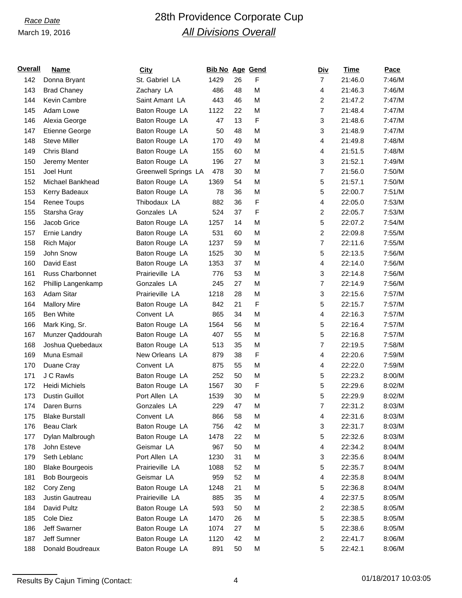# *Race Date* 28th Providence Corporate Cup *All Divisions Overall*

| <u>Overall</u> | Name                   | <b>City</b>          | <b>Bib No Age Gend</b> |    |   | <u>Div</u>                | Time    | Pace   |
|----------------|------------------------|----------------------|------------------------|----|---|---------------------------|---------|--------|
| 142            | Donna Bryant           | St. Gabriel LA       | 1429                   | 26 | F | $\overline{7}$            | 21:46.0 | 7:46/M |
| 143            | <b>Brad Chaney</b>     | Zachary LA           | 486                    | 48 | M | 4                         | 21:46.3 | 7:46/M |
| 144            | Kevin Cambre           | Saint Amant LA       | 443                    | 46 | M | $\overline{2}$            | 21:47.2 | 7:47/M |
| 145            | Adam Lowe              | Baton Rouge LA       | 1122                   | 22 | M | $\overline{7}$            | 21:48.4 | 7:47/M |
| 146            | Alexia George          | Baton Rouge LA       | 47                     | 13 | F | $\ensuremath{\mathsf{3}}$ | 21:48.6 | 7:47/M |
| 147            | Etienne George         | Baton Rouge LA       | 50                     | 48 | M | 3                         | 21:48.9 | 7:47/M |
| 148            | <b>Steve Miller</b>    | Baton Rouge LA       | 170                    | 49 | M | 4                         | 21:49.8 | 7:48/M |
| 149            | Chris Bland            | Baton Rouge LA       | 155                    | 60 | M | 4                         | 21:51.5 | 7:48/M |
| 150            | Jeremy Menter          | Baton Rouge LA       | 196                    | 27 | M | 3                         | 21:52.1 | 7:49/M |
| 151            | Joel Hunt              | Greenwell Springs LA | 478                    | 30 | M | $\overline{7}$            | 21:56.0 | 7:50/M |
| 152            | Michael Bankhead       | Baton Rouge LA       | 1369                   | 54 | M | 5                         | 21:57.1 | 7:50/M |
| 153            | Kerry Badeaux          | Baton Rouge LA       | 78                     | 36 | M | 5                         | 22:00.7 | 7:51/M |
| 154            | Renee Toups            | Thibodaux LA         | 882                    | 36 | F | 4                         | 22:05.0 | 7:53/M |
| 155            | Starsha Gray           | Gonzales LA          | 524                    | 37 | F | $\overline{\mathbf{c}}$   | 22:05.7 | 7:53/M |
| 156            | Jacob Grice            | Baton Rouge LA       | 1257                   | 14 | M | 5                         | 22:07.2 | 7:54/M |
| 157            | Ernie Landry           | Baton Rouge LA       | 531                    | 60 | M | $\overline{c}$            | 22:09.8 | 7:55/M |
| 158            | <b>Rich Major</b>      | Baton Rouge LA       | 1237                   | 59 | M | $\overline{7}$            | 22:11.6 | 7:55/M |
| 159            | John Snow              | Baton Rouge LA       | 1525                   | 30 | M | 5                         | 22:13.5 | 7:56/M |
| 160            | David East             | Baton Rouge LA       | 1353                   | 37 | M | 4                         | 22:14.0 | 7:56/M |
| 161            | Russ Charbonnet        | Prairieville LA      | 776                    | 53 | M | 3                         | 22:14.8 | 7:56/M |
| 162            | Phillip Langenkamp     | Gonzales LA          | 245                    | 27 | M | $\overline{7}$            | 22:14.9 | 7:56/M |
| 163            | Adam Sitar             | Prairieville LA      | 1218                   | 28 | M | $\ensuremath{\mathsf{3}}$ | 22:15.6 | 7:57/M |
| 164            | <b>Mallory Mire</b>    | Baton Rouge LA       | 842                    | 21 | F | 5                         | 22:15.7 | 7:57/M |
| 165            | <b>Ben White</b>       | Convent LA           | 865                    | 34 | M | 4                         | 22:16.3 | 7:57/M |
| 166            | Mark King, Sr.         | Baton Rouge LA       | 1564                   | 56 | M | 5                         | 22:16.4 | 7:57/M |
| 167            | Munzer Qaddourah       | Baton Rouge LA       | 407                    | 55 | M | 5                         | 22:16.8 | 7:57/M |
| 168            | Joshua Quebedaux       | Baton Rouge LA       | 513                    | 35 | M | $\overline{7}$            | 22:19.5 | 7:58/M |
| 169            | Muna Esmail            | New Orleans LA       | 879                    | 38 | F | 4                         | 22:20.6 | 7:59/M |
| 170            | Duane Cray             | Convent LA           | 875                    | 55 | M | 4                         | 22:22.0 | 7:59/M |
| 171            | J C Rawls              | Baton Rouge LA       | 252                    | 50 | M | 5                         | 22:23.2 | 8:00/M |
| 172            | <b>Heidi Michiels</b>  | Baton Rouge LA       | 1567                   | 30 | F | 5                         | 22:29.6 | 8:02/M |
| 173            | <b>Dustin Guillot</b>  | Port Allen LA        | 1539                   | 30 | M | 5                         | 22:29.9 | 8:02/M |
| 174            | Daren Burns            | Gonzales LA          | 229                    | 47 | M | 7                         | 22:31.2 | 8:03/M |
| 175            | <b>Blake Burstall</b>  | Convent LA           | 866                    | 58 | M | 4                         | 22:31.6 | 8:03/M |
| 176            | <b>Beau Clark</b>      | Baton Rouge LA       | 756                    | 42 | M | 3                         | 22:31.7 | 8:03/M |
| 177            | Dylan Malbrough        | Baton Rouge LA       | 1478                   | 22 | M | 5                         | 22:32.6 | 8:03/M |
| 178            | John Esteve            | Geismar LA           | 967                    | 50 | M | 4                         | 22:34.2 | 8:04/M |
| 179            | Seth Leblanc           | Port Allen LA        | 1230                   | 31 | M | 3                         | 22:35.6 | 8:04/M |
| 180            | <b>Blake Bourgeois</b> | Prairieville LA      | 1088                   | 52 | M | 5                         | 22:35.7 | 8:04/M |
| 181            | <b>Bob Bourgeois</b>   | Geismar LA           | 959                    | 52 | M | 4                         | 22:35.8 | 8:04/M |
| 182            | Cory Zeng              | Baton Rouge LA       | 1248                   | 21 | M | 5                         | 22:36.8 | 8:04/M |
| 183            | Justin Gautreau        | Prairieville LA      | 885                    | 35 | M | 4                         | 22:37.5 | 8:05/M |
| 184            | David Pultz            | Baton Rouge LA       | 593                    | 50 | M | $\overline{c}$            | 22:38.5 | 8:05/M |
| 185            | Cole Diez              | Baton Rouge LA       | 1470                   | 26 | M | 5                         | 22:38.5 | 8:05/M |
| 186            | Jeff Swarner           | Baton Rouge LA       | 1074                   | 27 | M | 5                         | 22:38.6 | 8:05/M |
| 187            | Jeff Sumner            | Baton Rouge LA       | 1120                   | 42 | M | 2                         | 22:41.7 | 8:06/M |
| 188            | Donald Boudreaux       | Baton Rouge LA       | 891                    | 50 | M | 5                         | 22:42.1 | 8:06/M |
|                |                        |                      |                        |    |   |                           |         |        |

Results By Cajun Timing (Contact: 4 01/18/2017 10:03:05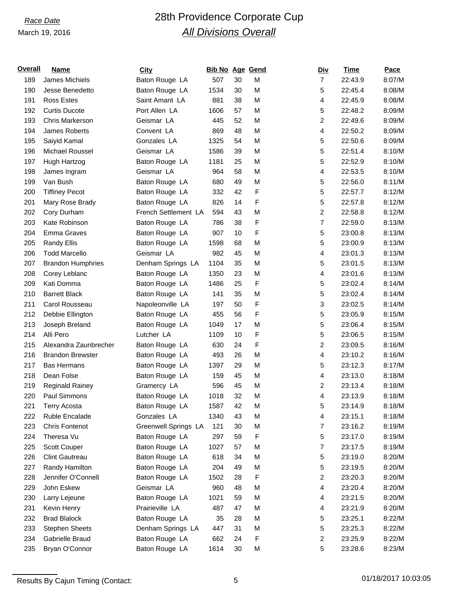## *Race Date* 28th Providence Corporate Cup *All Divisions Overall*

| <u>Overall</u> | Name                     | <b>City</b>          | <b>Bib No Age Gend</b> |    |   | <u>Div</u>              | Time    | Pace   |
|----------------|--------------------------|----------------------|------------------------|----|---|-------------------------|---------|--------|
| 189            | James Michiels           | Baton Rouge LA       | 507                    | 30 | M | $\overline{7}$          | 22:43.9 | 8:07/M |
| 190            | Jesse Benedetto          | Baton Rouge LA       | 1534                   | 30 | M | 5                       | 22:45.4 | 8:08/M |
| 191            | <b>Ross Estes</b>        | Saint Amant LA       | 881                    | 38 | M | 4                       | 22:45.9 | 8:08/M |
| 192            | <b>Curtis Ducote</b>     | Port Allen LA        | 1606                   | 57 | M | 5                       | 22:48.2 | 8:09/M |
| 193            | <b>Chris Markerson</b>   | Geismar LA           | 445                    | 52 | M | $\overline{c}$          | 22:49.6 | 8:09/M |
| 194            | James Roberts            | Convent LA           | 869                    | 48 | M | 4                       | 22:50.2 | 8:09/M |
| 195            | Saiyid Kamal             | Gonzales LA          | 1325                   | 54 | M | 5                       | 22:50.6 | 8:09/M |
| 196            | Michael Roussel          | Geismar LA           | 1586                   | 39 | M | 5                       | 22:51.4 | 8:10/M |
| 197            | Hugh Hartzog             | Baton Rouge LA       | 1181                   | 25 | M | 5                       | 22:52.9 | 8:10/M |
| 198            | James Ingram             | Geismar LA           | 964                    | 58 | M | 4                       | 22:53.5 | 8:10/M |
| 199            | Van Bush                 | Baton Rouge LA       | 680                    | 49 | M | 5                       | 22:56.0 | 8:11/M |
| 200            | <b>Tiffiney Pecot</b>    | Baton Rouge LA       | 332                    | 42 | F | 5                       | 22:57.7 | 8:12/M |
| 201            | Mary Rose Brady          | Baton Rouge LA       | 826                    | 14 | F | 5                       | 22:57.8 | 8:12/M |
| 202            | Cory Durham              | French Settlement LA | 594                    | 43 | M | $\overline{\mathbf{c}}$ | 22:58.8 | 8:12/M |
| 203            | Kate Robinson            | Baton Rouge LA       | 786                    | 38 | F | $\overline{7}$          | 22:59.0 | 8:13/M |
| 204            | <b>Emma Graves</b>       | Baton Rouge LA       | 907                    | 10 | F | 5                       | 23:00.8 | 8:13/M |
| 205            | <b>Randy Ellis</b>       | Baton Rouge LA       | 1598                   | 68 | M | 5                       | 23:00.9 | 8:13/M |
| 206            | <b>Todd Marcello</b>     | Geismar LA           | 982                    | 45 | M | 4                       | 23:01.3 | 8:13/M |
| 207            | <b>Brandon Humphries</b> | Denham Springs LA    | 1104                   | 35 | M | 5                       | 23:01.5 | 8:13/M |
| 208            | Corey Leblanc            | Baton Rouge LA       | 1350                   | 23 | M | 4                       | 23:01.6 | 8:13/M |
| 209            | Kati Domma               | Baton Rouge LA       | 1486                   | 25 | F | 5                       | 23:02.4 | 8:14/M |
| 210            | <b>Barrett Black</b>     | Baton Rouge LA       | 141                    | 35 | M | 5                       | 23:02.4 | 8:14/M |
| 211            | Carol Rousseau           | Napoleonville LA     | 197                    | 50 | F | 3                       | 23:02.5 | 8:14/M |
| 212            | Debbie Ellington         | Baton Rouge LA       | 455                    | 56 | F | 5                       | 23:05.9 | 8:15/M |
| 213            | Joseph Breland           | Baton Rouge LA       | 1049                   | 17 | M | 5                       | 23:06.4 | 8:15/M |
| 214            | Alli Pero                | Lutcher LA           | 1109                   | 10 | F | 5                       | 23:06.5 | 8:15/M |
| 215            | Alexandra Zaunbrecher    | Baton Rouge LA       | 630                    | 24 | F | $\overline{c}$          | 23:09.5 | 8:16/M |
| 216            | <b>Brandon Brewster</b>  | Baton Rouge LA       | 493                    | 26 | M | 4                       | 23:10.2 | 8:16/M |
| 217            | <b>Bas Hermans</b>       | Baton Rouge LA       | 1397                   | 29 | M | 5                       | 23:12.3 | 8:17/M |
| 218            | Dean Folse               | Baton Rouge LA       | 159                    | 45 | M | 4                       | 23:13.0 | 8:18/M |
| 219            | <b>Reginald Rainey</b>   | Gramercy LA          | 596                    | 45 | M | $\overline{c}$          | 23:13.4 | 8:18/M |
| 220            | Paul Simmons             | Baton Rouge LA       | 1018                   | 32 | M | 4                       | 23:13.9 | 8:18/M |
| 221            | <b>Terry Acosta</b>      | Baton Rouge LA       | 1587                   | 42 | M | 5                       | 23:14.9 | 8:18/M |
| 222            | Ruble Encalade           | Gonzales LA          | 1340                   | 43 | M | 4                       | 23:15.1 | 8:18/M |
| 223            | <b>Chris Fontenot</b>    | Greenwell Springs LA | 121                    | 30 | M | $\overline{7}$          | 23:16.2 | 8:19/M |
| 224            | Theresa Vu               | Baton Rouge LA       | 297                    | 59 | F | 5                       | 23:17.0 | 8:19/M |
| 225            | Scott Couper             | Baton Rouge LA       | 1027                   | 57 | M | $\overline{7}$          | 23:17.5 | 8:19/M |
| 226            | <b>Clint Gautreau</b>    | Baton Rouge LA       | 618                    | 34 | M | 5                       | 23:19.0 | 8:20/M |
| 227            | Randy Hamilton           | Baton Rouge LA       | 204                    | 49 | M | 5                       | 23:19.5 | 8:20/M |
| 228            | Jennifer O'Connell       | Baton Rouge LA       | 1502                   | 28 | F | 2                       | 23:20.3 | 8:20/M |
| 229            | John Eskew               | Geismar LA           | 960                    | 48 | M | 4                       | 23:20.4 | 8:20/M |
| 230            | Larry Lejeune            | Baton Rouge LA       | 1021                   | 59 | M | 4                       | 23:21.5 | 8:20/M |
| 231            | Kevin Henry              | Prairieville LA      | 487                    | 47 | M | 4                       | 23:21.9 | 8:20/M |
| 232            | <b>Brad Blalock</b>      | Baton Rouge LA       | 35                     | 28 | M | 5                       | 23:25.1 | 8:22/M |
| 233            | <b>Stephen Sheets</b>    | Denham Springs LA    | 447                    | 31 | M | 5                       | 23:25.3 | 8:22/M |
| 234            | Gabrielle Braud          | Baton Rouge LA       | 662                    | 24 | F | $\overline{c}$          | 23:25.9 | 8:22/M |
| 235            | Bryan O'Connor           | Baton Rouge LA       | 1614                   | 30 | M | 5                       | 23:28.6 | 8:23/M |

Results By Cajun Timing (Contact: 5 01/18/2017 10:03:05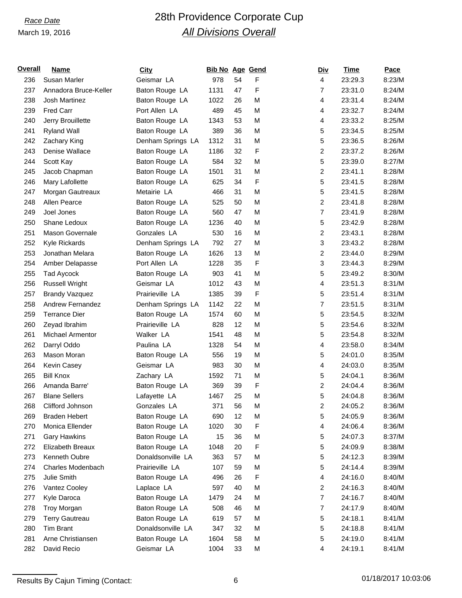# *Race Date* 28th Providence Corporate Cup *All Divisions Overall*

| <u>Overall</u> | Name                   | <b>City</b>       | <b>Bib No Age Gend</b> |    |   | <u>Div</u>              | Time    | Pace   |
|----------------|------------------------|-------------------|------------------------|----|---|-------------------------|---------|--------|
| 236            | Susan Marler           | Geismar LA        | 978                    | 54 | F | $\overline{4}$          | 23:29.3 | 8:23/M |
| 237            | Annadora Bruce-Keller  | Baton Rouge LA    | 1131                   | 47 | F | $\overline{7}$          | 23:31.0 | 8:24/M |
| 238            | Josh Martinez          | Baton Rouge LA    | 1022                   | 26 | M | 4                       | 23:31.4 | 8:24/M |
| 239            | <b>Fred Carr</b>       | Port Allen LA     | 489                    | 45 | M | 4                       | 23:32.7 | 8:24/M |
| 240            | Jerry Brouillette      | Baton Rouge LA    | 1343                   | 53 | M | 4                       | 23:33.2 | 8:25/M |
| 241            | <b>Ryland Wall</b>     | Baton Rouge LA    | 389                    | 36 | M | 5                       | 23:34.5 | 8:25/M |
| 242            | Zachary King           | Denham Springs LA | 1312                   | 31 | M | 5                       | 23:36.5 | 8:26/M |
| 243            | Denise Wallace         | Baton Rouge LA    | 1186                   | 32 | F | $\overline{\mathbf{c}}$ | 23:37.2 | 8:26/M |
| 244            | Scott Kay              | Baton Rouge LA    | 584                    | 32 | M | 5                       | 23:39.0 | 8:27/M |
| 245            | Jacob Chapman          | Baton Rouge LA    | 1501                   | 31 | M | $\overline{c}$          | 23:41.1 | 8:28/M |
| 246            | Mary Lafollette        | Baton Rouge LA    | 625                    | 34 | F | 5                       | 23:41.5 | 8:28/M |
| 247            | Morgan Gautreaux       | Metairie LA       | 466                    | 31 | M | 5                       | 23:41.5 | 8:28/M |
| 248            | Allen Pearce           | Baton Rouge LA    | 525                    | 50 | M | $\overline{2}$          | 23:41.8 | 8:28/M |
| 249            | Joel Jones             | Baton Rouge LA    | 560                    | 47 | M | $\overline{7}$          | 23:41.9 | 8:28/M |
| 250            | Shane Ledoux           | Baton Rouge LA    | 1236                   | 40 | M | 5                       | 23:42.9 | 8:28/M |
| 251            | <b>Mason Governale</b> | Gonzales LA       | 530                    | 16 | M | $\overline{\mathbf{c}}$ | 23:43.1 | 8:28/M |
| 252            | Kyle Rickards          | Denham Springs LA | 792                    | 27 | M | 3                       | 23:43.2 | 8:28/M |
| 253            | Jonathan Melara        | Baton Rouge LA    | 1626                   | 13 | M | $\overline{c}$          | 23:44.0 | 8:29/M |
| 254            | Amber Delapasse        | Port Allen LA     | 1228                   | 35 | F | 3                       | 23:44.3 | 8:29/M |
| 255            | Tad Aycock             | Baton Rouge LA    | 903                    | 41 | M | 5                       | 23:49.2 | 8:30/M |
| 256            | <b>Russell Wright</b>  | Geismar LA        | 1012                   | 43 | M | 4                       | 23:51.3 | 8:31/M |
| 257            | <b>Brandy Vazquez</b>  | Prairieville LA   | 1385                   | 39 | F | 5                       | 23:51.4 | 8:31/M |
| 258            | Andrew Fernandez       | Denham Springs LA | 1142                   | 22 | M | $\overline{7}$          | 23:51.5 | 8:31/M |
| 259            | <b>Terrance Dier</b>   | Baton Rouge LA    | 1574                   | 60 | M | 5                       | 23:54.5 | 8:32/M |
| 260            | Zeyad Ibrahim          | Prairieville LA   | 828                    | 12 | M | 5                       | 23:54.6 | 8:32/M |
| 261            | Michael Armentor       | Walker LA         | 1541                   | 48 | M | 5                       | 23:54.8 | 8:32/M |
| 262            | Darryl Oddo            | Paulina LA        | 1328                   | 54 | M | 4                       | 23:58.0 | 8:34/M |
| 263            | Mason Moran            | Baton Rouge LA    | 556                    | 19 | M | 5                       | 24:01.0 | 8:35/M |
| 264            | Kevin Casey            | Geismar LA        | 983                    | 30 | M | 4                       | 24:03.0 | 8:35/M |
| 265            | <b>Bill Knox</b>       | Zachary LA        | 1592                   | 71 | M | 5                       | 24:04.1 | 8:36/M |
| 266            | Amanda Barre'          | Baton Rouge LA    | 369                    | 39 | F | $\overline{c}$          | 24:04.4 | 8:36/M |
| 267            | <b>Blane Sellers</b>   | Lafayette LA      | 1467                   | 25 | M | 5                       | 24:04.8 | 8:36/M |
| 268            | Clifford Johnson       | Gonzales LA       | 371                    | 56 | M | $\overline{\mathbf{c}}$ | 24:05.2 | 8:36/M |
| 269            | <b>Braden Hebert</b>   | Baton Rouge LA    | 690                    | 12 | M | 5                       | 24:05.9 | 8:36/M |
| 270            | Monica Ellender        | Baton Rouge LA    | 1020                   | 30 | F | 4                       | 24:06.4 | 8:36/M |
| 271            | <b>Gary Hawkins</b>    | Baton Rouge LA    | 15                     | 36 | M | 5                       | 24:07.3 | 8:37/M |
| 272            | Elizabeth Breaux       | Baton Rouge LA    | 1048                   | 20 | F | 5                       | 24:09.9 | 8:38/M |
| 273            | Kenneth Oubre          | Donaldsonville LA | 363                    | 57 | M | 5                       | 24:12.3 | 8:39/M |
| 274            | Charles Modenbach      | Prairieville LA   | 107                    | 59 | M | 5                       | 24:14.4 | 8:39/M |
| 275            | Julie Smith            | Baton Rouge LA    | 496                    | 26 | F | 4                       | 24:16.0 | 8:40/M |
| 276            | Vantez Cooley          | Laplace LA        | 597                    | 40 | M | $\overline{c}$          | 24:16.3 | 8:40/M |
| 277            | Kyle Daroca            | Baton Rouge LA    | 1479                   | 24 | M | $\overline{7}$          | 24:16.7 | 8:40/M |
| 278            | <b>Troy Morgan</b>     | Baton Rouge LA    | 508                    | 46 | M | $\overline{7}$          | 24:17.9 | 8:40/M |
| 279            | <b>Terry Gautreau</b>  | Baton Rouge LA    | 619                    | 57 | M | 5                       | 24:18.1 | 8:41/M |
| 280            | <b>Tim Brant</b>       | Donaldsonville LA | 347                    | 32 | M | 5                       | 24:18.8 | 8:41/M |
| 281            | Arne Christiansen      | Baton Rouge LA    | 1604                   | 58 | M | 5                       | 24:19.0 | 8:41/M |
| 282            | David Recio            | Geismar LA        | 1004                   | 33 | M | 4                       | 24:19.1 | 8:41/M |
|                |                        |                   |                        |    |   |                         |         |        |

Results By Cajun Timing (Contact: 6 01/18/2017 10:03:06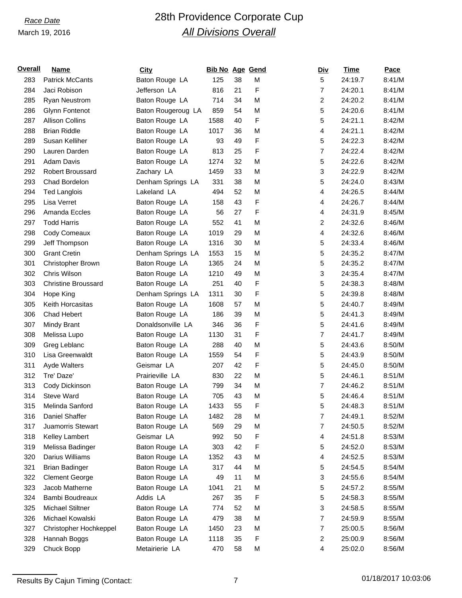# *Race Date* 28th Providence Corporate Cup *All Divisions Overall*

| <u>Overall</u> | Name                       | <b>City</b>        | <b>Bib No Age Gend</b> |    |   | <b>Div</b>     | Time    | Pace   |
|----------------|----------------------------|--------------------|------------------------|----|---|----------------|---------|--------|
| 283            | <b>Patrick McCants</b>     | Baton Rouge LA     | 125                    | 38 | M | 5              | 24:19.7 | 8:41/M |
| 284            | Jaci Robison               | Jefferson LA       | 816                    | 21 | F | 7              | 24:20.1 | 8:41/M |
| 285            | <b>Ryan Neustrom</b>       | Baton Rouge LA     | 714                    | 34 | M | 2              | 24:20.2 | 8:41/M |
| 286            | <b>Glynn Fontenot</b>      | Baton Rougeroug LA | 859                    | 54 | M | 5              | 24:20.6 | 8:41/M |
| 287            | <b>Allison Collins</b>     | Baton Rouge LA     | 1588                   | 40 | F | 5              | 24:21.1 | 8:42/M |
| 288            | <b>Brian Riddle</b>        | Baton Rouge LA     | 1017                   | 36 | M | 4              | 24:21.1 | 8:42/M |
| 289            | Susan Kelliher             | Baton Rouge LA     | 93                     | 49 | F | 5              | 24:22.3 | 8:42/M |
| 290            | Lauren Darden              | Baton Rouge LA     | 813                    | 25 | F | $\overline{7}$ | 24:22.4 | 8:42/M |
| 291            | <b>Adam Davis</b>          | Baton Rouge LA     | 1274                   | 32 | M | 5              | 24:22.6 | 8:42/M |
| 292            | Robert Broussard           | Zachary LA         | 1459                   | 33 | M | 3              | 24:22.9 | 8:42/M |
| 293            | Chad Bordelon              | Denham Springs LA  | 331                    | 38 | M | 5              | 24:24.0 | 8:43/M |
| 294            | <b>Ted Langlois</b>        | Lakeland LA        | 494                    | 52 | M | 4              | 24:26.5 | 8:44/M |
| 295            | Lisa Verret                | Baton Rouge LA     | 158                    | 43 | F | 4              | 24:26.7 | 8:44/M |
| 296            | Amanda Eccles              | Baton Rouge LA     | 56                     | 27 | F | 4              | 24:31.9 | 8:45/M |
| 297            | <b>Todd Harris</b>         | Baton Rouge LA     | 552                    | 41 | M | 2              | 24:32.6 | 8:46/M |
| 298            | Cody Comeaux               | Baton Rouge LA     | 1019                   | 29 | M | 4              | 24:32.6 | 8:46/M |
| 299            | Jeff Thompson              | Baton Rouge LA     | 1316                   | 30 | M | 5              | 24:33.4 | 8:46/M |
| 300            | <b>Grant Cretin</b>        | Denham Springs LA  | 1553                   | 15 | M | 5              | 24:35.2 | 8:47/M |
| 301            | Christopher Brown          | Baton Rouge LA     | 1365                   | 24 | M | 5              | 24:35.2 | 8:47/M |
| 302            | Chris Wilson               | Baton Rouge LA     | 1210                   | 49 | M | 3              | 24:35.4 | 8:47/M |
| 303            | <b>Christine Broussard</b> | Baton Rouge LA     | 251                    | 40 | F | 5              | 24:38.3 | 8:48/M |
| 304            | Hope King                  | Denham Springs LA  | 1311                   | 30 | F | 5              | 24:39.8 | 8:48/M |
| 305            | Keith Horcasitas           | Baton Rouge LA     | 1608                   | 57 | M | 5              | 24:40.7 | 8:49/M |
| 306            | <b>Chad Hebert</b>         | Baton Rouge LA     | 186                    | 39 | M | 5              | 24:41.3 | 8:49/M |
| 307            | Mindy Brant                | Donaldsonville LA  | 346                    | 36 | F | 5              | 24:41.6 | 8:49/M |
| 308            | Melissa Lupo               | Baton Rouge LA     | 1130                   | 31 | F | 7              | 24:41.7 | 8:49/M |
| 309            | Greg Leblanc               | Baton Rouge LA     | 288                    | 40 | M | 5              | 24:43.6 | 8:50/M |
| 310            | Lisa Greenwaldt            | Baton Rouge LA     | 1559                   | 54 | F | 5              | 24:43.9 | 8:50/M |
| 311            | <b>Ayde Walters</b>        | Geismar LA         | 207                    | 42 | F | 5              | 24:45.0 | 8:50/M |
| 312            | Tre' Daze'                 | Prairieville LA    | 830                    | 22 | M | 5              | 24:46.1 | 8:51/M |
| 313            | Cody Dickinson             | Baton Rouge LA     | 799                    | 34 | M | 7              | 24:46.2 | 8:51/M |
| 314            | <b>Steve Ward</b>          | Baton Rouge LA     | 705                    | 43 | M | 5              | 24:46.4 | 8:51/M |
| 315            | Melinda Sanford            | Baton Rouge LA     | 1433                   | 55 | F | 5              | 24:48.3 | 8:51/M |
| 316            | Daniel Shaffer             | Baton Rouge LA     | 1482                   | 28 | M | 7              | 24:49.1 | 8:52/M |
| 317            | Juamorris Stewart          | Baton Rouge LA     | 569                    | 29 | M | 7              | 24:50.5 | 8:52/M |
| 318            | Kelley Lambert             | Geismar LA         | 992                    | 50 | F | 4              | 24:51.8 | 8:53/M |
| 319            | Melissa Badinger           | Baton Rouge LA     | 303                    | 42 | F | 5              | 24:52.0 | 8:53/M |
| 320            | Darius Williams            | Baton Rouge LA     | 1352                   | 43 | M | 4              | 24:52.5 | 8:53/M |
| 321            | <b>Brian Badinger</b>      | Baton Rouge LA     | 317                    | 44 | M | 5              | 24:54.5 | 8:54/M |
| 322            | <b>Clement George</b>      | Baton Rouge LA     | 49                     | 11 | M | 3              | 24:55.6 | 8:54/M |
| 323            | Jacob Matherne             | Baton Rouge LA     | 1041                   | 21 | M | 5              | 24:57.2 | 8:55/M |
| 324            | Bambi Boudreaux            | Addis LA           | 267                    | 35 | F | 5              | 24:58.3 | 8:55/M |
| 325            | Michael Stiltner           | Baton Rouge LA     | 774                    | 52 | M | 3              | 24:58.5 | 8:55/M |
| 326            | Michael Kowalski           | Baton Rouge LA     | 479                    | 38 | M | $\overline{7}$ | 24:59.9 | 8:55/M |
| 327            | Christopher Hochkeppel     | Baton Rouge LA     | 1450                   | 23 | M | 7              | 25:00.5 | 8:56/M |
| 328            | Hannah Boggs               | Baton Rouge LA     | 1118                   | 35 | F | 2              | 25:00.9 | 8:56/M |
| 329            | Chuck Bopp                 | Metairierie LA     | 470                    | 58 | M | 4              | 25:02.0 | 8:56/M |
|                |                            |                    |                        |    |   |                |         |        |

Results By Cajun Timing (Contact: 7 01/18/2017 10:03:06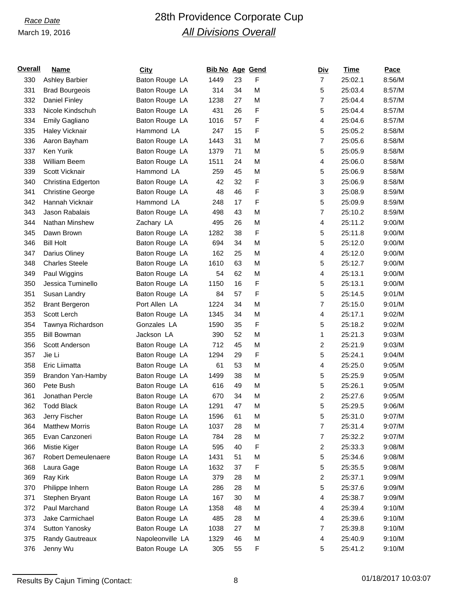# *Race Date* 28th Providence Corporate Cup *All Divisions Overall*

| <u>Overall</u> | <b>Name</b>             | <b>City</b>      | Bib No Age Gend |    |   | <b>Div</b>              | Time    | Pace   |
|----------------|-------------------------|------------------|-----------------|----|---|-------------------------|---------|--------|
| 330            | <b>Ashley Barbier</b>   | Baton Rouge LA   | 1449            | 23 | F | $\overline{7}$          | 25:02.1 | 8:56/M |
| 331            | <b>Brad Bourgeois</b>   | Baton Rouge LA   | 314             | 34 | M | 5                       | 25:03.4 | 8:57/M |
| 332            | Daniel Finley           | Baton Rouge LA   | 1238            | 27 | M | 7                       | 25:04.4 | 8:57/M |
| 333            | Nicole Kindschuh        | Baton Rouge LA   | 431             | 26 | F | 5                       | 25:04.4 | 8:57/M |
| 334            | Emily Gagliano          | Baton Rouge LA   | 1016            | 57 | F | 4                       | 25:04.6 | 8:57/M |
| 335            | Haley Vicknair          | Hammond LA       | 247             | 15 | F | 5                       | 25:05.2 | 8:58/M |
| 336            | Aaron Bayham            | Baton Rouge LA   | 1443            | 31 | M | 7                       | 25:05.6 | 8:58/M |
| 337            | Ken Yurik               | Baton Rouge LA   | 1379            | 71 | M | 5                       | 25:05.9 | 8:58/M |
| 338            | <b>William Beem</b>     | Baton Rouge LA   | 1511            | 24 | M | 4                       | 25:06.0 | 8:58/M |
| 339            | Scott Vicknair          | Hammond LA       | 259             | 45 | M | 5                       | 25:06.9 | 8:58/M |
| 340            | Christina Edgerton      | Baton Rouge LA   | 42              | 32 | F | 3                       | 25:06.9 | 8:58/M |
| 341            | <b>Christine George</b> | Baton Rouge LA   | 48              | 46 | F | 3                       | 25:08.9 | 8:59/M |
| 342            | Hannah Vicknair         | Hammond LA       | 248             | 17 | F | 5                       | 25:09.9 | 8:59/M |
| 343            | Jason Rabalais          | Baton Rouge LA   | 498             | 43 | M | 7                       | 25:10.2 | 8:59/M |
| 344            | Nathan Minshew          | Zachary LA       | 495             | 26 | M | 4                       | 25:11.2 | 9:00/M |
| 345            | Dawn Brown              | Baton Rouge LA   | 1282            | 38 | F | 5                       | 25:11.8 | 9:00/M |
| 346            | <b>Bill Holt</b>        | Baton Rouge LA   | 694             | 34 | M | 5                       | 25:12.0 | 9:00/M |
| 347            | Darius Oliney           | Baton Rouge LA   | 162             | 25 | M | 4                       | 25:12.0 | 9:00/M |
| 348            | <b>Charles Steele</b>   | Baton Rouge LA   | 1610            | 63 | M | 5                       | 25:12.7 | 9:00/M |
| 349            | Paul Wiggins            | Baton Rouge LA   | 54              | 62 | M | 4                       | 25:13.1 | 9:00/M |
| 350            | Jessica Tuminello       | Baton Rouge LA   | 1150            | 16 | F | 5                       | 25:13.1 | 9:00/M |
| 351            | Susan Landry            | Baton Rouge LA   | 84              | 57 | F | 5                       | 25:14.5 | 9:01/M |
| 352            | <b>Brant Bergeron</b>   | Port Allen LA    | 1224            | 34 | M | 7                       | 25:15.0 | 9:01/M |
| 353            | Scott Lerch             | Baton Rouge LA   | 1345            | 34 | M | 4                       | 25:17.1 | 9:02/M |
| 354            | Tawnya Richardson       | Gonzales LA      | 1590            | 35 | F | 5                       | 25:18.2 | 9:02/M |
| 355            | <b>Bill Bowman</b>      | Jackson LA       | 390             | 52 | M | 1                       | 25:21.3 | 9:03/M |
| 356            | Scott Anderson          | Baton Rouge LA   | 712             | 45 | M | 2                       | 25:21.9 | 9:03/M |
| 357            | Jie Li                  | Baton Rouge LA   | 1294            | 29 | F | 5                       | 25:24.1 | 9:04/M |
| 358            | Eric Liimatta           | Baton Rouge LA   | 61              | 53 | M | 4                       | 25:25.0 | 9:05/M |
| 359            | Brandon Yan-Hamby       | Baton Rouge LA   | 1499            | 38 | M | 5                       | 25:25.9 | 9:05/M |
| 360            | Pete Bush               | Baton Rouge LA   | 616             | 49 | M | 5                       | 25:26.1 | 9:05/M |
| 361            | Jonathan Percle         | Baton Rouge LA   | 670             | 34 | M | 2                       | 25:27.6 | 9:05/M |
| 362            | <b>Todd Black</b>       | Baton Rouge LA   | 1291            | 47 | M | 5                       | 25:29.5 | 9:06/M |
| 363            | Jerry Fischer           | Baton Rouge LA   | 1596            | 61 | M | 5                       | 25:31.0 | 9:07/M |
| 364            | <b>Matthew Morris</b>   | Baton Rouge LA   | 1037            | 28 | M | 7                       | 25:31.4 | 9:07/M |
| 365            | Evan Canzoneri          | Baton Rouge LA   | 784             | 28 | M | 7                       | 25:32.2 | 9:07/M |
| 366            | Mistie Kiger            | Baton Rouge LA   | 595             | 40 | F | $\overline{\mathbf{c}}$ | 25:33.3 | 9:08/M |
| 367            | Robert Demeulenaere     | Baton Rouge LA   | 1431            | 51 | M | 5                       | 25:34.6 | 9:08/M |
| 368            | Laura Gage              | Baton Rouge LA   | 1632            | 37 | F | 5                       | 25:35.5 | 9:08/M |
| 369            | Ray Kirk                | Baton Rouge LA   | 379             | 28 | M | 2                       | 25:37.1 | 9:09/M |
| 370            | Philippe Inhern         | Baton Rouge LA   | 286             | 28 | M | 5                       | 25:37.6 | 9:09/M |
| 371            | Stephen Bryant          | Baton Rouge LA   | 167             | 30 | M | 4                       | 25:38.7 | 9:09/M |
| 372            | Paul Marchand           | Baton Rouge LA   | 1358            | 48 | M | 4                       | 25:39.4 | 9:10/M |
| 373            | Jake Carmichael         | Baton Rouge LA   | 485             | 28 | M | 4                       | 25:39.6 | 9:10/M |
| 374            | Sutton Yanosky          | Baton Rouge LA   | 1038            | 27 | M | 7                       | 25:39.8 | 9:10/M |
| 375            | Randy Gautreaux         | Napoleonville LA | 1329            | 46 | M | 4                       | 25:40.9 | 9:10/M |
| 376            | Jenny Wu                | Baton Rouge LA   | 305             | 55 | F | 5                       | 25:41.2 | 9:10/M |
|                |                         |                  |                 |    |   |                         |         |        |

Results By Cajun Timing (Contact: 8 01/18/2017 10:03:07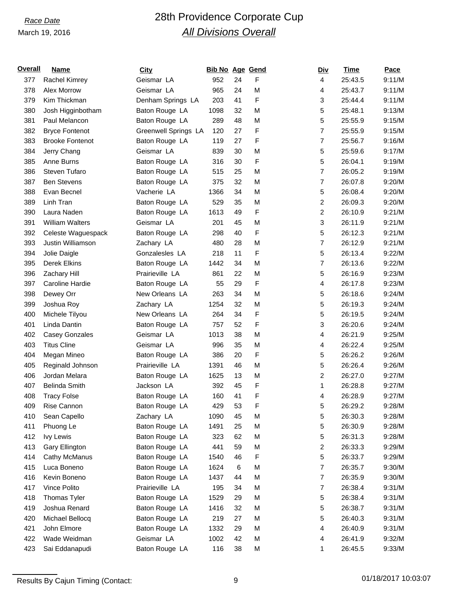# *Race Date* 28th Providence Corporate Cup *All Divisions Overall*

| <u>Overall</u> | <b>Name</b>            | <b>City</b>          | Bib No Age Gend |         |   | <b>Div</b>     | Time    | Pace   |
|----------------|------------------------|----------------------|-----------------|---------|---|----------------|---------|--------|
| 377            | Rachel Kimrey          | Geismar LA           | 952             | 24      | F | 4              | 25:43.5 | 9:11/M |
| 378            | Alex Morrow            | Geismar LA           | 965             | 24      | M | 4              | 25:43.7 | 9:11/M |
| 379            | Kim Thickman           | Denham Springs LA    | 203             | 41      | F | 3              | 25:44.4 | 9:11/M |
| 380            | Josh Higginbotham      | Baton Rouge LA       | 1098            | 32      | M | 5              | 25:48.1 | 9:13/M |
| 381            | Paul Melancon          | Baton Rouge LA       | 289             | 48      | M | 5              | 25:55.9 | 9:15/M |
| 382            | <b>Bryce Fontenot</b>  | Greenwell Springs LA | 120             | 27      | F | 7              | 25:55.9 | 9:15/M |
| 383            | <b>Brooke Fontenot</b> | Baton Rouge LA       | 119             | 27      | F | 7              | 25:56.7 | 9:16/M |
| 384            | Jerry Chang            | Geismar LA           | 839             | 30      | M | 5              | 25:59.6 | 9:17/M |
| 385            | Anne Burns             | Baton Rouge LA       | 316             | 30      | F | 5              | 26:04.1 | 9:19/M |
| 386            | Steven Tufaro          | Baton Rouge LA       | 515             | 25      | M | $\overline{7}$ | 26:05.2 | 9:19/M |
| 387            | <b>Ben Stevens</b>     | Baton Rouge LA       | 375             | 32      | M | 7              | 26:07.8 | 9:20/M |
| 388            | Evan Becnel            | Vacherie LA          | 1366            | 34      | M | 5              | 26:08.4 | 9:20/M |
| 389            | Linh Tran              | Baton Rouge LA       | 529             | 35      | M | 2              | 26:09.3 | 9:20/M |
| 390            | Laura Naden            | Baton Rouge LA       | 1613            | 49      | F | 2              | 26:10.9 | 9:21/M |
| 391            | <b>William Walters</b> | Geismar LA           | 201             | 45      | M | 3              | 26:11.9 | 9:21/M |
| 392            | Celeste Waguespack     | Baton Rouge LA       | 298             | 40      | F | 5              | 26:12.3 | 9:21/M |
| 393            | Justin Williamson      | Zachary LA           | 480             | 28      | M | 7              | 26:12.9 | 9:21/M |
| 394            | Jolie Daigle           | Gonzalesles LA       | 218             | 11      | F | 5              | 26:13.4 | 9:22/M |
| 395            | Derek Elkins           | Baton Rouge LA       | 1442            | 34      | M | 7              | 26:13.6 | 9:22/M |
| 396            | Zachary Hill           | Prairieville LA      | 861             | 22      | M | 5              | 26:16.9 | 9:23/M |
| 397            | Caroline Hardie        | Baton Rouge LA       | 55              | 29      | F | 4              | 26:17.8 | 9:23/M |
| 398            | Dewey Orr              | New Orleans LA       | 263             | 34      | M | 5              | 26:18.6 | 9:24/M |
| 399            | Joshua Roy             | Zachary LA           | 1254            | 32      | M | 5              | 26:19.3 | 9:24/M |
| 400            | Michele Tilyou         | New Orleans LA       | 264             | 34      | F | 5              | 26:19.5 | 9:24/M |
| 401            | Linda Dantin           | Baton Rouge LA       | 757             | 52      | F | 3              | 26:20.6 | 9:24/M |
| 402            | <b>Casey Gonzales</b>  | Geismar LA           | 1013            | 38      | M | 4              | 26:21.9 | 9:25/M |
| 403            | <b>Titus Cline</b>     | Geismar LA           | 996             | 35      | M | 4              | 26:22.4 | 9:25/M |
| 404            | Megan Mineo            | Baton Rouge LA       | 386             | 20      | F | 5              | 26:26.2 | 9:26/M |
| 405            | Reginald Johnson       | Prairieville LA      | 1391            | 46      | M | 5              | 26:26.4 | 9:26/M |
| 406            | Jordan Melara          | Baton Rouge LA       | 1625            | 13      | M | 2              | 26:27.0 | 9:27/M |
| 407            | Belinda Smith          | Jackson LA           | 392             | 45      | F | 1              | 26:28.8 | 9:27/M |
| 408            | <b>Tracy Folse</b>     | Baton Rouge LA       | 160             | 41      | F | 4              | 26:28.9 | 9:27/M |
| 409            | Rise Cannon            | Baton Rouge LA       | 429             | 53      | F | 5              | 26:29.2 | 9:28/M |
| 410            | Sean Capello           | Zachary LA           | 1090            | 45      | M | 5              | 26:30.3 | 9:28/M |
| 411            | Phuong Le              | Baton Rouge LA       | 1491            | 25      | M | 5              | 26:30.9 | 9:28/M |
| 412            | <b>Ivy Lewis</b>       | Baton Rouge LA       | 323             | 62      | M | 5              | 26:31.3 | 9:28/M |
| 413            | Gary Ellington         | Baton Rouge LA       | 441             | 59      | M | $\overline{c}$ | 26:33.3 | 9:29/M |
| 414            | Cathy McManus          | Baton Rouge LA       | 1540            | 46      | F | 5              | 26:33.7 | 9:29/M |
| 415            | Luca Boneno            | Baton Rouge LA       | 1624            | $\,6\,$ | M | $\overline{7}$ | 26:35.7 | 9:30/M |
| 416            | Kevin Boneno           | Baton Rouge LA       | 1437            | 44      | M | 7              | 26:35.9 | 9:30/M |
| 417            | Vince Polito           | Prairieville LA      | 195             | 34      | M | 7              | 26:38.4 | 9:31/M |
| 418            | Thomas Tyler           | Baton Rouge LA       | 1529            | 29      | M | 5              | 26:38.4 | 9:31/M |
| 419            | Joshua Renard          | Baton Rouge LA       | 1416            | 32      | M | 5              | 26:38.7 | 9:31/M |
| 420            | Michael Bellocq        | Baton Rouge LA       | 219             | 27      | M | 5              | 26:40.3 | 9:31/M |
| 421            | John Elmore            | Baton Rouge LA       | 1332            | 29      | M | 4              | 26:40.9 | 9:31/M |
| 422            | Wade Weidman           | Geismar LA           | 1002            | 42      | M | 4              | 26:41.9 | 9:32/M |
| 423            | Sai Eddanapudi         | Baton Rouge LA       | 116             | 38      | M | 1              | 26:45.5 | 9:33/M |
|                |                        |                      |                 |         |   |                |         |        |

Results By Cajun Timing (Contact: 9 01/18/2017 10:03:07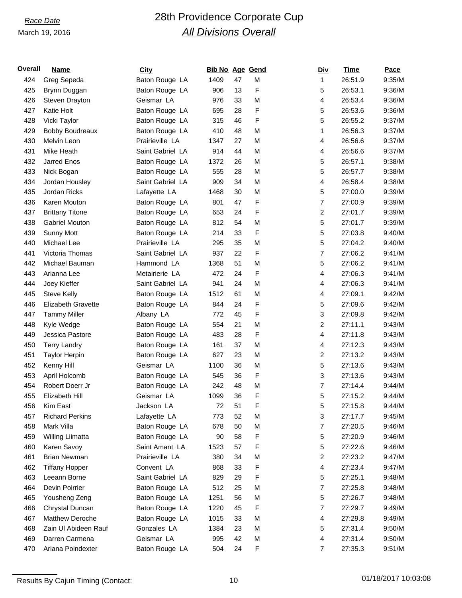# *Race Date* 28th Providence Corporate Cup *All Divisions Overall*

| <u>Overall</u> | <b>Name</b>               | <b>City</b>      | Bib No Age Gend |    |   | <b>Div</b>     | Time    | Pace   |
|----------------|---------------------------|------------------|-----------------|----|---|----------------|---------|--------|
| 424            | Greg Sepeda               | Baton Rouge LA   | 1409            | 47 | M | 1              | 26:51.9 | 9:35/M |
| 425            | Brynn Duggan              | Baton Rouge LA   | 906             | 13 | F | 5              | 26:53.1 | 9:36/M |
| 426            | Steven Drayton            | Geismar LA       | 976             | 33 | M | 4              | 26:53.4 | 9:36/M |
| 427            | Katie Holt                | Baton Rouge LA   | 695             | 28 | F | 5              | 26:53.6 | 9:36/M |
| 428            | Vicki Taylor              | Baton Rouge LA   | 315             | 46 | F | 5              | 26:55.2 | 9:37/M |
| 429            | <b>Bobby Boudreaux</b>    | Baton Rouge LA   | 410             | 48 | M | 1              | 26:56.3 | 9:37/M |
| 430            | Melvin Leon               | Prairieville LA  | 1347            | 27 | M | 4              | 26:56.6 | 9:37/M |
| 431            | Mike Heath                | Saint Gabriel LA | 914             | 44 | M | 4              | 26:56.6 | 9:37/M |
| 432            | Jarred Enos               | Baton Rouge LA   | 1372            | 26 | M | 5              | 26:57.1 | 9:38/M |
| 433            | Nick Bogan                | Baton Rouge LA   | 555             | 28 | M | 5              | 26:57.7 | 9:38/M |
| 434            | Jordan Housley            | Saint Gabriel LA | 909             | 34 | M | 4              | 26:58.4 | 9:38/M |
| 435            | Jordan Ricks              | Lafayette LA     | 1468            | 30 | M | 5              | 27:00.0 | 9:39/M |
| 436            | Karen Mouton              | Baton Rouge LA   | 801             | 47 | F | 7              | 27:00.9 | 9:39/M |
| 437            | <b>Brittany Titone</b>    | Baton Rouge LA   | 653             | 24 | F | 2              | 27:01.7 | 9:39/M |
| 438            | Gabriel Mouton            | Baton Rouge LA   | 812             | 54 | M | 5              | 27:01.7 | 9:39/M |
| 439            | <b>Sunny Mott</b>         | Baton Rouge LA   | 214             | 33 | F | 5              | 27:03.8 | 9:40/M |
| 440            | Michael Lee               | Prairieville LA  | 295             | 35 | M | 5              | 27:04.2 | 9:40/M |
| 441            | Victoria Thomas           | Saint Gabriel LA | 937             | 22 | F | 7              | 27:06.2 | 9:41/M |
| 442            | Michael Bauman            | Hammond LA       | 1368            | 51 | M | 5              | 27:06.2 | 9:41/M |
| 443            | Arianna Lee               | Metairierie LA   | 472             | 24 | F | 4              | 27:06.3 | 9:41/M |
| 444            | Joey Kieffer              | Saint Gabriel LA | 941             | 24 | M | 4              | 27:06.3 | 9:41/M |
| 445            | <b>Steve Kelly</b>        | Baton Rouge LA   | 1512            | 61 | M | 4              | 27:09.1 | 9:42/M |
| 446            | <b>Elizabeth Gravette</b> | Baton Rouge LA   | 844             | 24 | F | 5              | 27:09.6 | 9:42/M |
| 447            | <b>Tammy Miller</b>       | Albany LA        | 772             | 45 | F | 3              | 27:09.8 | 9:42/M |
| 448            | Kyle Wedge                | Baton Rouge LA   | 554             | 21 | M | 2              | 27:11.1 | 9:43/M |
| 449            | Jessica Pastore           | Baton Rouge LA   | 483             | 28 | F | 4              | 27:11.8 | 9:43/M |
| 450            | <b>Terry Landry</b>       | Baton Rouge LA   | 161             | 37 | M | 4              | 27:12.3 | 9:43/M |
| 451            | <b>Taylor Herpin</b>      | Baton Rouge LA   | 627             | 23 | M | 2              | 27:13.2 | 9:43/M |
| 452            | Kenny Hill                | Geismar LA       | 1100            | 36 | M | 5              | 27:13.6 | 9:43/M |
| 453            | April Holcomb             | Baton Rouge LA   | 545             | 36 | F | 3              | 27:13.6 | 9:43/M |
| 454            | Robert Doerr Jr           | Baton Rouge LA   | 242             | 48 | M | $\overline{7}$ | 27:14.4 | 9:44/M |
| 455            | Elizabeth Hill            | Geismar LA       | 1099            | 36 | F | 5              | 27:15.2 | 9:44/M |
| 456            | Kim East                  | Jackson LA       | $72\,$          | 51 | F | 5              | 27:15.8 | 9:44/M |
| 457            | <b>Richard Perkins</b>    | Lafayette LA     | 773             | 52 | M | 3              | 27:17.7 | 9:45/M |
| 458            | Mark Villa                | Baton Rouge LA   | 678             | 50 | M | 7              | 27:20.5 | 9:46/M |
| 459            | Willing Liimatta          | Baton Rouge LA   | 90              | 58 | F | 5              | 27:20.9 | 9:46/M |
| 460            | Karen Savoy               | Saint Amant LA   | 1523            | 57 | F | 5              | 27:22.6 | 9:46/M |
| 461            | <b>Brian Newman</b>       | Prairieville LA  | 380             | 34 | M | 2              | 27:23.2 | 9:47/M |
| 462            | <b>Tiffany Hopper</b>     | Convent LA       | 868             | 33 | F | 4              | 27:23.4 | 9:47/M |
| 463            | Leeann Borne              | Saint Gabriel LA | 829             | 29 | F | 5              | 27:25.1 | 9:48/M |
| 464            | Devin Poirrier            | Baton Rouge LA   | 512             | 25 | M | 7              | 27:25.8 | 9:48/M |
| 465            | Yousheng Zeng             | Baton Rouge LA   | 1251            | 56 | M | 5              | 27:26.7 | 9:48/M |
| 466            | Chrystal Duncan           | Baton Rouge LA   | 1220            | 45 | F | 7              | 27:29.7 | 9:49/M |
| 467            | <b>Matthew Deroche</b>    | Baton Rouge LA   | 1015            | 33 | M | 4              | 27:29.8 | 9:49/M |
| 468            | Zain UI Abideen Rauf      | Gonzales LA      | 1384            | 23 | M | 5              | 27:31.4 | 9:50/M |
| 469            | Darren Carmena            | Geismar LA       | 995             | 42 | M | 4              | 27:31.4 | 9:50/M |
| 470            | Ariana Poindexter         | Baton Rouge LA   | 504             | 24 | F | 7              | 27:35.3 | 9:51/M |
|                |                           |                  |                 |    |   |                |         |        |

Results By Cajun Timing (Contact: 10 01/18/2017 10:03:08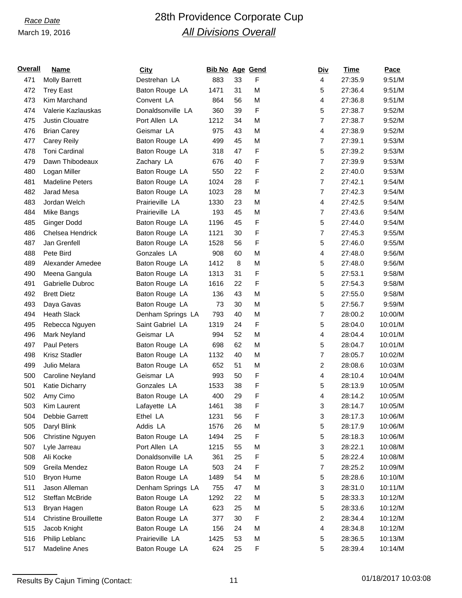# *Race Date* 28th Providence Corporate Cup *All Divisions Overall*

| <u>Overall</u> | Name                         | <b>City</b>       | <b>Bib No Age Gend</b> |    |   |                | <u>Div</u> | Time    | Pace    |
|----------------|------------------------------|-------------------|------------------------|----|---|----------------|------------|---------|---------|
| 471            | <b>Molly Barrett</b>         | Destrehan LA      | 883                    | 33 | F | 4              |            | 27:35.9 | 9:51/M  |
| 472            | <b>Trey East</b>             | Baton Rouge LA    | 1471                   | 31 | M | 5              |            | 27:36.4 | 9:51/M  |
| 473            | Kim Marchand                 | Convent LA        | 864                    | 56 | M | 4              |            | 27:36.8 | 9:51/M  |
| 474            | Valerie Kazlauskas           | Donaldsonville LA | 360                    | 39 | F | 5              |            | 27:38.7 | 9:52/M  |
| 475            | <b>Justin Clouatre</b>       | Port Allen LA     | 1212                   | 34 | M | $\overline{7}$ |            | 27:38.7 | 9:52/M  |
| 476            | <b>Brian Carey</b>           | Geismar LA        | 975                    | 43 | M | 4              |            | 27:38.9 | 9:52/M  |
| 477            | Carey Reily                  | Baton Rouge LA    | 499                    | 45 | M | $\overline{7}$ |            | 27:39.1 | 9:53/M  |
| 478            | Toni Cardinal                | Baton Rouge LA    | 318                    | 47 | F | 5              |            | 27:39.2 | 9:53/M  |
| 479            | Dawn Thibodeaux              | Zachary LA        | 676                    | 40 | F | $\overline{7}$ |            | 27:39.9 | 9:53/M  |
| 480            | Logan Miller                 | Baton Rouge LA    | 550                    | 22 | F | $\overline{c}$ |            | 27:40.0 | 9:53/M  |
| 481            | <b>Madeline Peters</b>       | Baton Rouge LA    | 1024                   | 28 | F | $\overline{7}$ |            | 27:42.1 | 9:54/M  |
| 482            | Jarad Mesa                   | Baton Rouge LA    | 1023                   | 28 | M | $\overline{7}$ |            | 27:42.3 | 9:54/M  |
| 483            | Jordan Welch                 | Prairieville LA   | 1330                   | 23 | M | 4              |            | 27:42.5 | 9:54/M  |
| 484            | Mike Bangs                   | Prairieville LA   | 193                    | 45 | M | $\overline{7}$ |            | 27:43.6 | 9:54/M  |
| 485            | <b>Ginger Dodd</b>           | Baton Rouge LA    | 1196                   | 45 | F | 5              |            | 27:44.0 | 9:54/M  |
| 486            | Chelsea Hendrick             | Baton Rouge LA    | 1121                   | 30 | F | $\overline{7}$ |            | 27:45.3 | 9:55/M  |
| 487            | Jan Grenfell                 | Baton Rouge LA    | 1528                   | 56 | F | 5              |            | 27:46.0 | 9:55/M  |
| 488            | Pete Bird                    | Gonzales LA       | 908                    | 60 | M | 4              |            | 27:48.0 | 9:56/M  |
| 489            | Alexander Amedee             | Baton Rouge LA    | 1412                   | 8  | M | 5              |            | 27:48.0 | 9:56/M  |
| 490            | Meena Gangula                | Baton Rouge LA    | 1313                   | 31 | F | 5              |            | 27:53.1 | 9:58/M  |
| 491            | Gabrielle Dubroc             | Baton Rouge LA    | 1616                   | 22 | F | 5              |            | 27:54.3 | 9:58/M  |
| 492            | <b>Brett Dietz</b>           | Baton Rouge LA    | 136                    | 43 | M | 5              |            | 27:55.0 | 9:58/M  |
| 493            | Daya Gavas                   | Baton Rouge LA    | 73                     | 30 | M | 5              |            | 27:56.7 | 9:59/M  |
| 494            | <b>Heath Slack</b>           | Denham Springs LA | 793                    | 40 | M | $\overline{7}$ |            | 28:00.2 | 10:00/M |
| 495            | Rebecca Nguyen               | Saint Gabriel LA  | 1319                   | 24 | F | 5              |            | 28:04.0 | 10:01/M |
| 496            | Mark Neyland                 | Geismar LA        | 994                    | 52 | M | 4              |            | 28:04.4 | 10:01/M |
| 497            | <b>Paul Peters</b>           | Baton Rouge LA    | 698                    | 62 | M | 5              |            | 28:04.7 | 10:01/M |
| 498            | <b>Krisz Stadler</b>         | Baton Rouge LA    | 1132                   | 40 | M | $\overline{7}$ |            | 28:05.7 | 10:02/M |
| 499            | Julio Melara                 | Baton Rouge LA    | 652                    | 51 | M | $\overline{2}$ |            | 28:08.6 | 10:03/M |
| 500            | Caroline Neyland             | Geismar LA        | 993                    | 50 | F | 4              |            | 28:10.4 | 10:04/M |
| 501            | Katie Dicharry               | Gonzales LA       | 1533                   | 38 | F | 5              |            | 28:13.9 | 10:05/M |
| 502            | Amy Cimo                     | Baton Rouge LA    | 400                    | 29 | F | 4              |            | 28:14.2 | 10:05/M |
| 503            | Kim Laurent                  | Lafayette LA      | 1461                   | 38 | F | 3              |            | 28:14.7 | 10:05/M |
| 504            | Debbie Garrett               | Ethel LA          | 1231                   | 56 | F | 3              |            | 28:17.3 | 10:06/M |
| 505            | Daryl Blink                  | Addis LA          | 1576                   | 26 | M | 5              |            | 28:17.9 | 10:06/M |
| 506            | Christine Nguyen             | Baton Rouge LA    | 1494                   | 25 | F | 5              |            | 28:18.3 | 10:06/M |
| 507            | Lyle Jarreau                 | Port Allen LA     | 1215                   | 55 | M | 3              |            | 28:22.1 | 10:08/M |
| 508            | Ali Kocke                    | Donaldsonville LA | 361                    | 25 | F | 5              |            | 28:22.4 | 10:08/M |
| 509            | Greila Mendez                | Baton Rouge LA    | 503                    | 24 | F | $\overline{7}$ |            | 28:25.2 | 10:09/M |
| 510            | <b>Bryon Hume</b>            | Baton Rouge LA    | 1489                   | 54 | M | 5              |            | 28:28.6 | 10:10/M |
| 511            | Jason Alleman                | Denham Springs LA | 755                    | 47 | M | 3              |            | 28:31.0 | 10:11/M |
| 512            | Steffan McBride              | Baton Rouge LA    | 1292                   | 22 | M | 5              |            | 28:33.3 | 10:12/M |
| 513            | Bryan Hagen                  | Baton Rouge LA    | 623                    | 25 | M | 5              |            | 28:33.6 | 10:12/M |
| 514            | <b>Christine Brouillette</b> | Baton Rouge LA    | 377                    | 30 | F | $\overline{c}$ |            | 28:34.4 | 10:12/M |
| 515            | Jacob Knight                 | Baton Rouge LA    | 156                    | 24 | M | 4              |            | 28:34.8 | 10:12/M |
| 516            | Philip Leblanc               | Prairieville LA   | 1425                   | 53 | M | 5              |            | 28:36.5 | 10:13/M |
| 517            | <b>Madeline Anes</b>         | Baton Rouge LA    | 624                    | 25 | F | 5              |            | 28:39.4 | 10:14/M |
|                |                              |                   |                        |    |   |                |            |         |         |

Results By Cajun Timing (Contact: 11 1 1 1 01/18/2017 10:03:08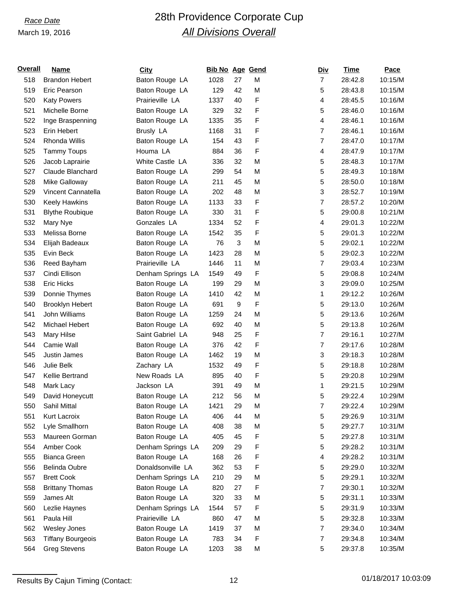# *Race Date* 28th Providence Corporate Cup *All Divisions Overall*

| <u>Overall</u> | Name                     | <b>City</b>       | <b>Bib No Age Gend</b> |              |   | <u>Div</u>                | Time    | Pace    |
|----------------|--------------------------|-------------------|------------------------|--------------|---|---------------------------|---------|---------|
| 518            | <b>Brandon Hebert</b>    | Baton Rouge LA    | 1028                   | 27           | M | $\overline{7}$            | 28:42.8 | 10:15/M |
| 519            | Eric Pearson             | Baton Rouge LA    | 129                    | 42           | M | 5                         | 28:43.8 | 10:15/M |
| 520            | <b>Katy Powers</b>       | Prairieville LA   | 1337                   | 40           | F | 4                         | 28:45.5 | 10:16/M |
| 521            | Michelle Borne           | Baton Rouge LA    | 329                    | 32           | F | 5                         | 28:46.0 | 10:16/M |
| 522            | Inge Braspenning         | Baton Rouge LA    | 1335                   | 35           | F | $\overline{\mathbf{4}}$   | 28:46.1 | 10:16/M |
| 523            | Erin Hebert              | Brusly LA         | 1168                   | 31           | F | $\overline{7}$            | 28:46.1 | 10:16/M |
| 524            | Rhonda Willis            | Baton Rouge LA    | 154                    | 43           | F | $\overline{7}$            | 28:47.0 | 10:17/M |
| 525            | <b>Tammy Toups</b>       | Houma LA          | 884                    | 36           | F | 4                         | 28:47.9 | 10:17/M |
| 526            | Jacob Laprairie          | White Castle LA   | 336                    | 32           | M | 5                         | 28:48.3 | 10:17/M |
| 527            | Claude Blanchard         | Baton Rouge LA    | 299                    | 54           | M | 5                         | 28:49.3 | 10:18/M |
| 528            | Mike Galloway            | Baton Rouge LA    | 211                    | 45           | M | 5                         | 28:50.0 | 10:18/M |
| 529            | Vincent Cannatella       | Baton Rouge LA    | 202                    | 48           | M | 3                         | 28:52.7 | 10:19/M |
| 530            | Keely Hawkins            | Baton Rouge LA    | 1133                   | 33           | F | $\overline{7}$            | 28:57.2 | 10:20/M |
| 531            | <b>Blythe Roubique</b>   | Baton Rouge LA    | 330                    | 31           | F | 5                         | 29:00.8 | 10:21/M |
| 532            | Mary Nye                 | Gonzales LA       | 1334                   | 52           | F | 4                         | 29:01.3 | 10:22/M |
| 533            | Melissa Borne            | Baton Rouge LA    | 1542                   | 35           | F | 5                         | 29:01.3 | 10:22/M |
| 534            | Elijah Badeaux           | Baton Rouge LA    | 76                     | $\mathbf{3}$ | M | 5                         | 29:02.1 | 10:22/M |
| 535            | Evin Beck                | Baton Rouge LA    | 1423                   | 28           | M | 5                         | 29:02.3 | 10:22/M |
| 536            | Reed Bayham              | Prairieville LA   | 1446                   | 11           | M | $\overline{7}$            | 29:03.4 | 10:23/M |
| 537            | Cindi Ellison            | Denham Springs LA | 1549                   | 49           | F | 5                         | 29:08.8 | 10:24/M |
| 538            | <b>Eric Hicks</b>        | Baton Rouge LA    | 199                    | 29           | M | $\ensuremath{\mathsf{3}}$ | 29:09.0 | 10:25/M |
| 539            | Donnie Thymes            | Baton Rouge LA    | 1410                   | 42           | M | 1                         | 29:12.2 | 10:26/M |
| 540            | <b>Brooklyn Hebert</b>   | Baton Rouge LA    | 691                    | 9            | F | 5                         | 29:13.0 | 10:26/M |
| 541            | John Williams            | Baton Rouge LA    | 1259                   | 24           | M | 5                         | 29:13.6 | 10:26/M |
| 542            | Michael Hebert           | Baton Rouge LA    | 692                    | 40           | M | 5                         | 29:13.8 | 10:26/M |
| 543            | Mary Hilse               | Saint Gabriel LA  | 948                    | 25           | F | $\overline{7}$            | 29:16.1 | 10:27/M |
| 544            | Camie Wall               | Baton Rouge LA    | 376                    | 42           | F | $\overline{7}$            | 29:17.6 | 10:28/M |
| 545            | <b>Justin James</b>      | Baton Rouge LA    | 1462                   | 19           | M | 3                         | 29:18.3 | 10:28/M |
| 546            | Julie Belk               | Zachary LA        | 1532                   | 49           | F | 5                         | 29:18.8 | 10:28/M |
| 547            | Kellie Bertrand          | New Roads LA      | 895                    | 40           | F | 5                         | 29:20.8 | 10:29/M |
| 548            | Mark Lacy                | Jackson LA        | 391                    | 49           | M | 1                         | 29:21.5 | 10:29/M |
| 549            | David Honeycutt          | Baton Rouge LA    | 212                    | 56           | M | 5                         | 29:22.4 | 10:29/M |
| 550            | Sahil Mittal             | Baton Rouge LA    | 1421                   | 29           | M | 7                         | 29:22.4 | 10:29/M |
| 551            | Kurt Lacroix             | Baton Rouge LA    | 406                    | 44           | M | 5                         | 29:26.9 | 10:31/M |
| 552            | Lyle Smallhorn           | Baton Rouge LA    | 408                    | 38           | M | 5                         | 29:27.7 | 10:31/M |
| 553            | Maureen Gorman           | Baton Rouge LA    | 405                    | 45           | F | 5                         | 29:27.8 | 10:31/M |
| 554            | Amber Cook               | Denham Springs LA | 209                    | 29           | F | 5                         | 29:28.2 | 10:31/M |
| 555            | Bianca Green             | Baton Rouge LA    | 168                    | 26           | F | 4                         | 29:28.2 | 10:31/M |
| 556            | Belinda Oubre            | Donaldsonville LA | 362                    | 53           | F | 5                         | 29:29.0 | 10:32/M |
| 557            | <b>Brett Cook</b>        | Denham Springs LA | 210                    | 29           | M | 5                         | 29:29.1 | 10:32/M |
| 558            | <b>Brittany Thomas</b>   | Baton Rouge LA    | 820                    | 27           | F | $\overline{7}$            | 29:30.1 | 10:32/M |
| 559            | James Alt                | Baton Rouge LA    | 320                    | 33           | M | 5                         | 29:31.1 | 10:33/M |
| 560            | Lezlie Haynes            | Denham Springs LA | 1544                   | 57           | F | 5                         | 29:31.9 | 10:33/M |
| 561            | Paula Hill               | Prairieville LA   | 860                    | 47           | M | 5                         | 29:32.8 | 10:33/M |
| 562            | Wesley Jones             | Baton Rouge LA    | 1419                   | 37           | M | $\overline{7}$            | 29:34.0 | 10:34/M |
| 563            | <b>Tiffany Bourgeois</b> | Baton Rouge LA    | 783                    | 34           | F | 7                         | 29:34.8 | 10:34/M |
| 564            | <b>Greg Stevens</b>      | Baton Rouge LA    | 1203                   | 38           | M | 5                         | 29:37.8 | 10:35/M |
|                |                          |                   |                        |              |   |                           |         |         |

Results By Cajun Timing (Contact: 12 12 12 01/18/2017 10:03:09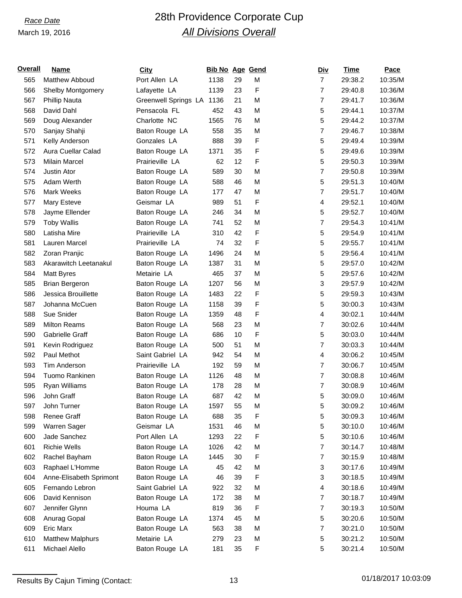# *Race Date* 28th Providence Corporate Cup *All Divisions Overall*

| <u>Overall</u> | Name                     | <b>City</b>          | <b>Bib No Age Gend</b> |    |   | <u>Div</u>     | Time    | Pace    |
|----------------|--------------------------|----------------------|------------------------|----|---|----------------|---------|---------|
| 565            | Matthew Abboud           | Port Allen LA        | 1138                   | 29 | M | $\overline{7}$ | 29:38.2 | 10:35/M |
| 566            | <b>Shelby Montgomery</b> | Lafayette LA         | 1139                   | 23 | F | $\overline{7}$ | 29:40.8 | 10:36/M |
| 567            | Phillip Nauta            | Greenwell Springs LA | 1136                   | 21 | M | $\overline{7}$ | 29:41.7 | 10:36/M |
| 568            | David Dahl               | Pensacola FL         | 452                    | 43 | M | 5              | 29:44.1 | 10:37/M |
| 569            | Doug Alexander           | Charlotte NC         | 1565                   | 76 | M | 5              | 29:44.2 | 10:37/M |
| 570            | Sanjay Shahji            | Baton Rouge LA       | 558                    | 35 | M | 7              | 29:46.7 | 10:38/M |
| 571            | Kelly Anderson           | Gonzales LA          | 888                    | 39 | F | 5              | 29:49.4 | 10:39/M |
| 572            | Aura Cuellar Calad       | Baton Rouge LA       | 1371                   | 35 | F | 5              | 29:49.6 | 10:39/M |
| 573            | <b>Milain Marcel</b>     | Prairieville LA      | 62                     | 12 | F | 5              | 29:50.3 | 10:39/M |
| 574            | Justin Ator              | Baton Rouge LA       | 589                    | 30 | M | $\overline{7}$ | 29:50.8 | 10:39/M |
| 575            | Adam Werth               | Baton Rouge LA       | 588                    | 46 | M | 5              | 29:51.3 | 10:40/M |
| 576            | Mark Weeks               | Baton Rouge LA       | 177                    | 47 | M | $\overline{7}$ | 29:51.7 | 10:40/M |
| 577            | Mary Esteve              | Geismar LA           | 989                    | 51 | F | 4              | 29:52.1 | 10:40/M |
| 578            | Jayme Ellender           | Baton Rouge LA       | 246                    | 34 | M | 5              | 29:52.7 | 10:40/M |
| 579            | <b>Toby Wallis</b>       | Baton Rouge LA       | 741                    | 52 | M | $\overline{7}$ | 29:54.3 | 10:41/M |
| 580            | Latisha Mire             | Prairieville LA      | 310                    | 42 | F | 5              | 29:54.9 | 10:41/M |
| 581            | Lauren Marcel            | Prairieville LA      | 74                     | 32 | F | 5              | 29:55.7 | 10:41/M |
| 582            | Zoran Pranjic            | Baton Rouge LA       | 1496                   | 24 | M | 5              | 29:56.4 | 10:41/M |
| 583            | Akarawitch Leetanakul    | Baton Rouge LA       | 1387                   | 31 | M | 5              | 29:57.0 | 10:42/M |
| 584            | <b>Matt Byres</b>        | Metairie LA          | 465                    | 37 | M | 5              | 29:57.6 | 10:42/M |
| 585            | <b>Brian Bergeron</b>    | Baton Rouge LA       | 1207                   | 56 | M | 3              | 29:57.9 | 10:42/M |
| 586            | Jessica Brouillette      | Baton Rouge LA       | 1483                   | 22 | F | 5              | 29:59.3 | 10:43/M |
| 587            | Johanna McCuen           | Baton Rouge LA       | 1158                   | 39 | F | 5              | 30:00.3 | 10:43/M |
| 588            | Sue Snider               | Baton Rouge LA       | 1359                   | 48 | F | 4              | 30:02.1 | 10:44/M |
| 589            | <b>Milton Reams</b>      | Baton Rouge LA       | 568                    | 23 | M | $\overline{7}$ | 30:02.6 | 10:44/M |
| 590            | Gabrielle Graff          | Baton Rouge LA       | 686                    | 10 | F | 5              | 30:03.0 | 10:44/M |
| 591            | Kevin Rodriguez          | Baton Rouge LA       | 500                    | 51 | M | $\overline{7}$ | 30:03.3 | 10:44/M |
| 592            | Paul Methot              | Saint Gabriel LA     | 942                    | 54 | M | 4              | 30:06.2 | 10:45/M |
| 593            | Tim Anderson             | Prairieville LA      | 192                    | 59 | M | $\overline{7}$ | 30:06.7 | 10:45/M |
| 594            | Tuomo Rankinen           | Baton Rouge LA       | 1126                   | 48 | M | $\overline{7}$ | 30:08.8 | 10:46/M |
| 595            | Ryan Williams            | Baton Rouge LA       | 178                    | 28 | M | $\overline{7}$ | 30:08.9 | 10:46/M |
| 596            | John Graff               | Baton Rouge LA       | 687                    | 42 | M | 5              | 30:09.0 | 10:46/M |
| 597            | John Turner              | Baton Rouge LA       | 1597                   | 55 | M | 5              | 30:09.2 | 10:46/M |
| 598            | Renee Graff              | Baton Rouge LA       | 688                    | 35 | F | 5              | 30:09.3 | 10:46/M |
| 599            | Warren Sager             | Geismar LA           | 1531                   | 46 | M | 5              | 30:10.0 | 10:46/M |
| 600            | Jade Sanchez             | Port Allen LA        | 1293                   | 22 | F | 5              | 30:10.6 | 10:46/M |
| 601            | <b>Richie Wells</b>      | Baton Rouge LA       | 1026                   | 42 | M | $\overline{7}$ | 30:14.7 | 10:48/M |
| 602            | Rachel Bayham            | Baton Rouge LA       | 1445                   | 30 | F | 7              | 30:15.9 | 10:48/M |
| 603            | Raphael L'Homme          | Baton Rouge LA       | 45                     | 42 | M | 3              | 30:17.6 | 10:49/M |
| 604            | Anne-Elisabeth Sprimont  | Baton Rouge LA       | 46                     | 39 | F | 3              | 30:18.5 | 10:49/M |
| 605            | Fernando Lebron          | Saint Gabriel LA     | 922                    | 32 | M | 4              | 30:18.6 | 10:49/M |
| 606            | David Kennison           | Baton Rouge LA       | 172                    | 38 | M | $\overline{7}$ | 30:18.7 | 10:49/M |
| 607            | Jennifer Glynn           | Houma LA             | 819                    | 36 | F | $\overline{7}$ | 30:19.3 | 10:50/M |
| 608            | Anurag Gopal             | Baton Rouge LA       | 1374                   | 45 | M | 5              | 30:20.6 | 10:50/M |
| 609            | Eric Marx                | Baton Rouge LA       | 563                    | 38 | M | $\overline{7}$ | 30:21.0 | 10:50/M |
| 610            | <b>Matthew Malphurs</b>  | Metairie LA          | 279                    | 23 | M | 5              | 30:21.2 | 10:50/M |
| 611            | Michael Alello           | Baton Rouge LA       | 181                    | 35 | F | 5              | 30:21.4 | 10:50/M |
|                |                          |                      |                        |    |   |                |         |         |

Results By Cajun Timing (Contact: 13 13 01/18/2017 10:03:09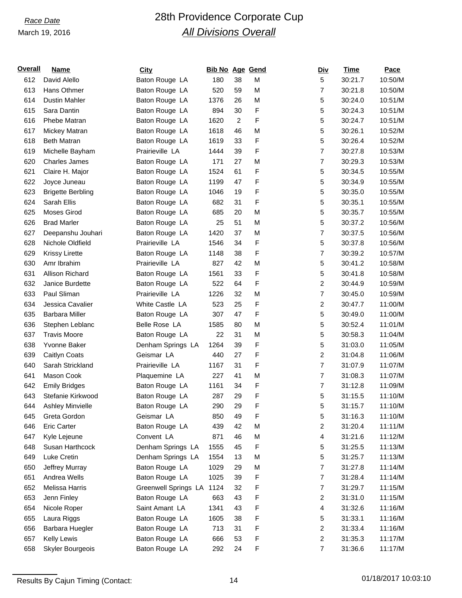# *Race Date* 28th Providence Corporate Cup *All Divisions Overall*

| Overall | Name                     | <b>City</b>          | <b>Bib No Age Gend</b> |                |   | <u>Div</u>     | Time    | Pace    |
|---------|--------------------------|----------------------|------------------------|----------------|---|----------------|---------|---------|
| 612     | David Alello             | Baton Rouge LA       | 180                    | 38             | M | 5              | 30:21.7 | 10:50/M |
| 613     | Hans Othmer              | Baton Rouge LA       | 520                    | 59             | M | $\overline{7}$ | 30:21.8 | 10:50/M |
| 614     | Dustin Mahler            | Baton Rouge LA       | 1376                   | 26             | M | 5              | 30:24.0 | 10:51/M |
| 615     | Sara Dantin              | Baton Rouge LA       | 894                    | 30             | F | 5              | 30:24.3 | 10:51/M |
| 616     | Phebe Matran             | Baton Rouge LA       | 1620                   | $\overline{c}$ | F | 5              | 30:24.7 | 10:51/M |
| 617     | Mickey Matran            | Baton Rouge LA       | 1618                   | 46             | M | 5              | 30:26.1 | 10:52/M |
| 618     | <b>Beth Matran</b>       | Baton Rouge LA       | 1619                   | 33             | F | 5              | 30:26.4 | 10:52/M |
| 619     | Michelle Bayham          | Prairieville LA      | 1444                   | 39             | F | $\overline{7}$ | 30:27.8 | 10:53/M |
| 620     | <b>Charles James</b>     | Baton Rouge LA       | 171                    | 27             | M | $\overline{7}$ | 30:29.3 | 10:53/M |
| 621     | Claire H. Major          | Baton Rouge LA       | 1524                   | 61             | F | 5              | 30:34.5 | 10:55/M |
| 622     | Joyce Juneau             | Baton Rouge LA       | 1199                   | 47             | F | 5              | 30:34.9 | 10:55/M |
| 623     | <b>Brigette Berbling</b> | Baton Rouge LA       | 1046                   | 19             | F | 5              | 30:35.0 | 10:55/M |
| 624     | Sarah Ellis              | Baton Rouge LA       | 682                    | 31             | F | 5              | 30:35.1 | 10:55/M |
| 625     | Moses Girod              | Baton Rouge LA       | 685                    | 20             | M | 5              | 30:35.7 | 10:55/M |
| 626     | <b>Brad Marler</b>       | Baton Rouge LA       | 25                     | 51             | M | 5              | 30:37.2 | 10:56/M |
| 627     | Deepanshu Jouhari        | Baton Rouge LA       | 1420                   | 37             | M | $\overline{7}$ | 30:37.5 | 10:56/M |
| 628     | Nichole Oldfield         | Prairieville LA      | 1546                   | 34             | F | 5              | 30:37.8 | 10:56/M |
| 629     | Krissy Lirette           | Baton Rouge LA       | 1148                   | 38             | F | $\overline{7}$ | 30:39.2 | 10:57/M |
| 630     | Amr Ibrahim              | Prairieville LA      | 827                    | 42             | M | 5              | 30:41.2 | 10:58/M |
| 631     | Allison Richard          | Baton Rouge LA       | 1561                   | 33             | F | 5              | 30:41.8 | 10:58/M |
| 632     | Janice Burdette          | Baton Rouge LA       | 522                    | 64             | F | $\overline{c}$ | 30:44.9 | 10:59/M |
| 633     | Paul Sliman              | Prairieville LA      | 1226                   | 32             | M | $\overline{7}$ | 30:45.0 | 10:59/M |
| 634     | Jessica Cavalier         | White Castle LA      | 523                    | 25             | F | $\overline{c}$ | 30:47.7 | 11:00/M |
| 635     | <b>Barbara Miller</b>    | Baton Rouge LA       | 307                    | 47             | F | 5              | 30:49.0 | 11:00/M |
| 636     | Stephen Leblanc          | Belle Rose LA        | 1585                   | 80             | M | 5              | 30:52.4 | 11:01/M |
| 637     | <b>Travis Moore</b>      | Baton Rouge LA       | 22                     | 31             | M | 5              | 30:58.3 | 11:04/M |
| 638     | Yvonne Baker             | Denham Springs LA    | 1264                   | 39             | F | 5              | 31:03.0 | 11:05/M |
| 639     | Caitlyn Coats            | Geismar LA           | 440                    | 27             | F | $\overline{c}$ | 31:04.8 | 11:06/M |
| 640     | Sarah Strickland         | Prairieville LA      | 1167                   | 31             | F | $\overline{7}$ | 31:07.9 | 11:07/M |
| 641     | Mason Cook               | Plaquemine LA        | 227                    | 41             | M | $\overline{7}$ | 31:08.3 | 11:07/M |
| 642     | <b>Emily Bridges</b>     | Baton Rouge LA       | 1161                   | 34             | F | $\overline{7}$ | 31:12.8 | 11:09/M |
| 643     | Stefanie Kirkwood        | Baton Rouge LA       | 287                    | 29             | F | 5              | 31:15.5 | 11:10/M |
| 644     | Ashley Minvielle         | Baton Rouge LA       | 290                    | 29             | F | 5              | 31:15.7 | 11:10/M |
| 645     | Greta Gordon             | Geismar LA           | 850                    | 49             | F | 5              | 31:16.3 | 11:10/M |
| 646     | <b>Eric Carter</b>       | Baton Rouge LA       | 439                    | 42             | M | $\overline{c}$ | 31:20.4 | 11:11/M |
| 647     | Kyle Lejeune             | Convent LA           | 871                    | 46             | M | 4              | 31:21.6 | 11:12/M |
| 648     | Susan Harthcock          | Denham Springs LA    | 1555                   | 45             | F | 5              | 31:25.5 | 11:13/M |
| 649     | Luke Cretin              | Denham Springs LA    | 1554                   | 13             | M | 5              | 31:25.7 | 11:13/M |
| 650     | Jeffrey Murray           | Baton Rouge LA       | 1029                   | 29             | M | $\overline{7}$ | 31:27.8 | 11:14/M |
| 651     | Andrea Wells             | Baton Rouge LA       | 1025                   | 39             | F | $\overline{7}$ | 31:28.4 | 11:14/M |
| 652     | Melissa Harris           | Greenwell Springs LA | 1124                   | 32             | F | $\overline{7}$ | 31:29.7 | 11:15/M |
| 653     | Jenn Finley              | Baton Rouge LA       | 663                    | 43             | F | $\overline{c}$ | 31:31.0 | 11:15/M |
| 654     | Nicole Roper             | Saint Amant LA       | 1341                   | 43             | F | 4              | 31:32.6 | 11:16/M |
| 655     | Laura Riggs              | Baton Rouge LA       | 1605                   | 38             | F | 5              | 31:33.1 | 11:16/M |
| 656     | Barbara Huegler          | Baton Rouge LA       | 713                    | 31             | F | $\overline{c}$ | 31:33.4 | 11:16/M |
| 657     | Kelly Lewis              | Baton Rouge LA       | 666                    | 53             | F | $\overline{c}$ | 31:35.3 | 11:17/M |
| 658     | <b>Skyler Bourgeois</b>  | Baton Rouge LA       | 292                    | 24             | F | $\overline{7}$ | 31:36.6 | 11:17/M |
|         |                          |                      |                        |                |   |                |         |         |

Results By Cajun Timing (Contact: 14 14 01/18/2017 10:03:10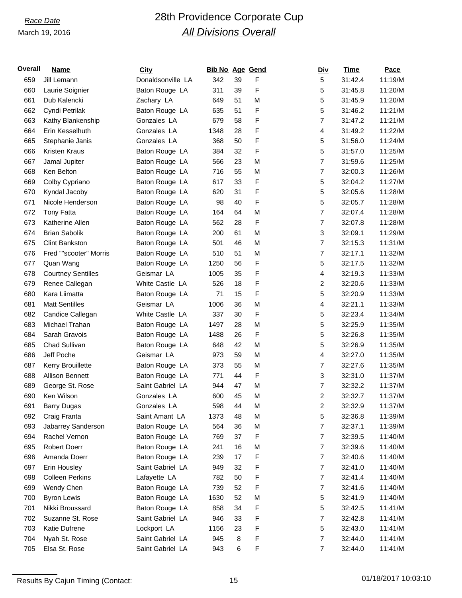# *Race Date* 28th Providence Corporate Cup *All Divisions Overall*

| <u>Overall</u> | <b>Name</b>               | <b>City</b>       | <b>Bib No Age Gend</b> |    |   | <b>Div</b>              | <u>Time</u> | Pace    |
|----------------|---------------------------|-------------------|------------------------|----|---|-------------------------|-------------|---------|
| 659            | Jill Lemann               | Donaldsonville LA | 342                    | 39 | F | 5                       | 31:42.4     | 11:19/M |
| 660            | Laurie Soignier           | Baton Rouge LA    | 311                    | 39 | F | 5                       | 31:45.8     | 11:20/M |
| 661            | Dub Kalencki              | Zachary LA        | 649                    | 51 | M | 5                       | 31:45.9     | 11:20/M |
| 662            | Cyndi Petrilak            | Baton Rouge LA    | 635                    | 51 | F | 5                       | 31:46.2     | 11:21/M |
| 663            | Kathy Blankenship         | Gonzales LA       | 679                    | 58 | F | 7                       | 31:47.2     | 11:21/M |
| 664            | Erin Kesselhuth           | Gonzales LA       | 1348                   | 28 | F | 4                       | 31:49.2     | 11:22/M |
| 665            | Stephanie Janis           | Gonzales LA       | 368                    | 50 | F | 5                       | 31:56.0     | 11:24/M |
| 666            | Kristen Kraus             | Baton Rouge LA    | 384                    | 32 | F | 5                       | 31:57.0     | 11:25/M |
| 667            | Jamal Jupiter             | Baton Rouge LA    | 566                    | 23 | M | 7                       | 31:59.6     | 11:25/M |
| 668            | Ken Belton                | Baton Rouge LA    | 716                    | 55 | M | 7                       | 32:00.3     | 11:26/M |
| 669            | Colby Cypriano            | Baton Rouge LA    | 617                    | 33 | F | 5                       | 32:04.2     | 11:27/M |
| 670            | Kyndal Jacoby             | Baton Rouge LA    | 620                    | 31 | F | 5                       | 32:05.6     | 11:28/M |
| 671            | Nicole Henderson          | Baton Rouge LA    | 98                     | 40 | F | 5                       | 32:05.7     | 11:28/M |
| 672            | <b>Tony Fatta</b>         | Baton Rouge LA    | 164                    | 64 | M | 7                       | 32:07.4     | 11:28/M |
| 673            | Katherine Allen           | Baton Rouge LA    | 562                    | 28 | F | 7                       | 32:07.8     | 11:28/M |
| 674            | <b>Brian Sabolik</b>      | Baton Rouge LA    | 200                    | 61 | M | 3                       | 32:09.1     | 11:29/M |
| 675            | <b>Clint Bankston</b>     | Baton Rouge LA    | 501                    | 46 | M | 7                       | 32:15.3     | 11:31/M |
| 676            | Fred ""scooter" Morris    | Baton Rouge LA    | 510                    | 51 | M | 7                       | 32:17.1     | 11:32/M |
| 677            | Quan Wang                 | Baton Rouge LA    | 1250                   | 56 | F | 5                       | 32:17.5     | 11:32/M |
| 678            | <b>Courtney Sentilles</b> | Geismar LA        | 1005                   | 35 | F | 4                       | 32:19.3     | 11:33/M |
| 679            | Renee Callegan            | White Castle LA   | 526                    | 18 | F | $\overline{\mathbf{c}}$ | 32:20.6     | 11:33/M |
| 680            | Kara Liimatta             | Baton Rouge LA    | 71                     | 15 | F | 5                       | 32:20.9     | 11:33/M |
| 681            | <b>Matt Sentilles</b>     | Geismar LA        | 1006                   | 36 | M | 4                       | 32:21.1     | 11:33/M |
| 682            | Candice Callegan          | White Castle LA   | 337                    | 30 | F | 5                       | 32:23.4     | 11:34/M |
| 683            | Michael Trahan            | Baton Rouge LA    | 1497                   | 28 | M | 5                       | 32:25.9     | 11:35/M |
| 684            | Sarah Gravois             | Baton Rouge LA    | 1488                   | 26 | F | 5                       | 32:26.8     | 11:35/M |
| 685            | Chad Sullivan             | Baton Rouge LA    | 648                    | 42 | M | 5                       | 32:26.9     | 11:35/M |
| 686            | Jeff Poche                | Geismar LA        | 973                    | 59 | M | 4                       | 32:27.0     | 11:35/M |
| 687            | Kerry Brouillette         | Baton Rouge LA    | 373                    | 55 | M | 7                       | 32:27.6     | 11:35/M |
| 688            | Allison Bennett           | Baton Rouge LA    | 771                    | 44 | F | 3                       | 32:31.0     | 11:37/M |
| 689            | George St. Rose           | Saint Gabriel LA  | 944                    | 47 | M | 7                       | 32:32.2     | 11:37/M |
| 690            | Ken Wilson                | Gonzales LA       | 600                    | 45 | M | 2                       | 32:32.7     | 11:37/M |
| 691            | <b>Barry Dugas</b>        | Gonzales LA       | 598                    | 44 | M | 2                       | 32:32.9     | 11:37/M |
| 692            | Craig Franta              | Saint Amant LA    | 1373                   | 48 | M | 5                       | 32:36.8     | 11:39/M |
| 693            | Jabarrey Sanderson        | Baton Rouge LA    | 564                    | 36 | M | 7                       | 32:37.1     | 11:39/M |
| 694            | Rachel Vernon             | Baton Rouge LA    | 769                    | 37 | F | 7                       | 32:39.5     | 11:40/M |
| 695            | <b>Robert Doerr</b>       | Baton Rouge LA    | 241                    | 16 | M | $\overline{7}$          | 32:39.6     | 11:40/M |
| 696            | Amanda Doerr              | Baton Rouge LA    | 239                    | 17 | F | 7                       | 32:40.6     | 11:40/M |
| 697            | Erin Housley              | Saint Gabriel LA  | 949                    | 32 | F | 7                       | 32:41.0     | 11:40/M |
| 698            | <b>Colleen Perkins</b>    | Lafayette LA      | 782                    | 50 | F | 7                       | 32:41.4     | 11:40/M |
| 699            | Wendy Chen                | Baton Rouge LA    | 739                    | 52 | F | 7                       | 32:41.6     | 11:40/M |
| 700            | <b>Byron Lewis</b>        | Baton Rouge LA    | 1630                   | 52 | M | 5                       | 32:41.9     | 11:40/M |
| 701            | Nikki Broussard           | Baton Rouge LA    | 858                    | 34 | F | 5                       | 32:42.5     | 11:41/M |
| 702            | Suzanne St. Rose          | Saint Gabriel LA  | 946                    | 33 | F | 7                       | 32:42.8     | 11:41/M |
| 703            | Katie Dufrene             | Lockport LA       | 1156                   | 23 | F | 5                       | 32:43.0     | 11:41/M |
| 704            | Nyah St. Rose             | Saint Gabriel LA  | 945                    | 8  | F | 7                       | 32:44.0     | 11:41/M |
| 705            | Elsa St. Rose             | Saint Gabriel LA  | 943                    | 6  | F | 7                       | 32:44.0     | 11:41/M |
|                |                           |                   |                        |    |   |                         |             |         |

Results By Cajun Timing (Contact: 15 15 15 16 01/18/2017 10:03:10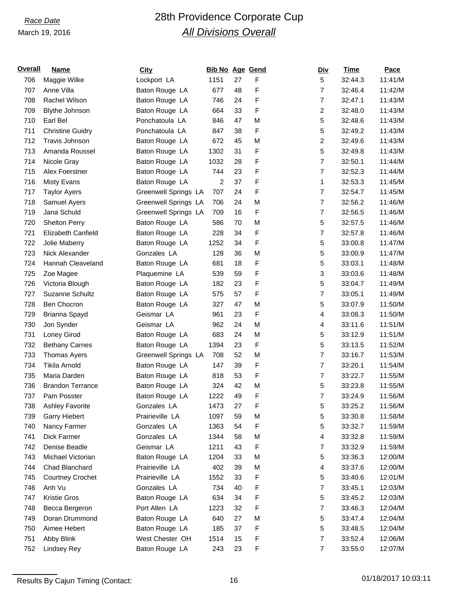# *Race Date* 28th Providence Corporate Cup *All Divisions Overall*

| <u>Overall</u> | Name                    | <b>City</b>          | <b>Bib No Age Gend</b> |    |   |                | <u>Div</u>     | Time    | Pace    |
|----------------|-------------------------|----------------------|------------------------|----|---|----------------|----------------|---------|---------|
| 706            | Maggie Wilke            | Lockport LA          | 1151                   | 27 | F |                | 5              | 32:44.3 | 11:41/M |
| 707            | Anne Villa              | Baton Rouge LA       | 677                    | 48 | F | $\overline{7}$ |                | 32:46.4 | 11:42/M |
| 708            | Rachel Wilson           | Baton Rouge LA       | 746                    | 24 | F | $\overline{7}$ |                | 32:47.1 | 11:43/M |
| 709            | <b>Blythe Johnson</b>   | Baton Rouge LA       | 664                    | 33 | F | 2              |                | 32:48.0 | 11:43/M |
| 710            | Earl Bel                | Ponchatoula LA       | 846                    | 47 | M | 5              |                | 32:48.6 | 11:43/M |
| 711            | <b>Christine Guidry</b> | Ponchatoula LA       | 847                    | 38 | F | 5              |                | 32:49.2 | 11:43/M |
| 712            | Travis Johnson          | Baton Rouge LA       | 672                    | 45 | M | $\overline{c}$ |                | 32:49.6 | 11:43/M |
| 713            | Amanda Roussel          | Baton Rouge LA       | 1302                   | 31 | F | 5              |                | 32:49.8 | 11:43/M |
| 714            | Nicole Gray             | Baton Rouge LA       | 1032                   | 28 | F | $\overline{7}$ |                | 32:50.1 | 11:44/M |
| 715            | Alex Foerstner          | Baton Rouge LA       | 744                    | 23 | F | $\overline{7}$ |                | 32:52.3 | 11:44/M |
| 716            | <b>Misty Evans</b>      | Baton Rouge LA       | 2                      | 37 | F | 1              |                | 32:53.3 | 11:45/M |
| 717            | <b>Taylor Ayers</b>     | Greenwell Springs LA | 707                    | 24 | F | $\overline{7}$ |                | 32:54.7 | 11:45/M |
| 718            | Samuel Ayers            | Greenwell Springs LA | 706                    | 24 | M | $\overline{7}$ |                | 32:56.2 | 11:46/M |
| 719            | Jana Schuld             | Greenwell Springs LA | 709                    | 16 | F | $\overline{7}$ |                | 32:56.5 | 11:46/M |
| 720            | Shelton Perry           | Baton Rouge LA       | 586                    | 70 | M | 5              |                | 32:57.5 | 11:46/M |
| 721            | Elizabeth Canfield      | Baton Rouge LA       | 228                    | 34 | F | $\overline{7}$ |                | 32:57.8 | 11:46/M |
| 722            | Jolie Maberry           | Baton Rouge LA       | 1252                   | 34 | F | 5              |                | 33:00.8 | 11:47/M |
| 723            | Nick Alexander          | Gonzales LA          | 128                    | 36 | M | 5              |                | 33:00.9 | 11:47/M |
| 724            | Hannah Cleaveland       | Baton Rouge LA       | 681                    | 18 | F | 5              |                | 33:03.1 | 11:48/M |
| 725            | Zoe Magee               | Plaquemine LA        | 539                    | 59 | F |                | 3              | 33:03.6 | 11:48/M |
| 726            | Victoria Blough         | Baton Rouge LA       | 182                    | 23 | F | 5              |                | 33:04.7 | 11:49/M |
| 727            | Suzanne Schultz         | Baton Rouge LA       | 575                    | 57 | F | 7              |                | 33:05.1 | 11:49/M |
| 728            | Ben Chocron             | Baton Rouge LA       | 327                    | 47 | M | 5              |                | 33:07.9 | 11:50/M |
| 729            | Brianna Spayd           | Geismar LA           | 961                    | 23 | F | 4              |                | 33:08.3 | 11:50/M |
| 730            | Jon Synder              | Geismar LA           | 962                    | 24 | M | 4              |                | 33:11.6 | 11:51/M |
| 731            | Loney Girod             | Baton Rouge LA       | 683                    | 24 | M | 5              |                | 33:12.9 | 11:51/M |
| 732            | <b>Bethany Carnes</b>   | Baton Rouge LA       | 1394                   | 23 | F | 5              |                | 33:13.5 | 11:52/M |
| 733            | <b>Thomas Ayers</b>     | Greenwell Springs LA | 708                    | 52 | M | $\overline{7}$ |                | 33:16.7 | 11:53/M |
| 734            | Tikila Arnold           | Baton Rouge LA       | 147                    | 39 | F | $\overline{7}$ |                | 33:20.1 | 11:54/M |
| 735            | Maria Darden            | Baton Rouge LA       | 818                    | 53 | F | $\overline{7}$ |                | 33:22.7 | 11:55/M |
| 736            | <b>Brandon Terrance</b> | Baton Rouge LA       | 324                    | 42 | M | 5              |                | 33:23.8 | 11:55/M |
| 737            | Pam Posster             | Baton Rouge LA       | 1222                   | 49 | F | $\overline{7}$ |                | 33:24.9 | 11:56/M |
| 738            | Ashley Favorite         | Gonzales LA          | 1473                   | 27 | F | 5              |                | 33:25.2 | 11:56/M |
| 739            | <b>Garry Hiebert</b>    | Prairieville LA      | 1097                   | 59 | M | 5              |                | 33:30.8 | 11:58/M |
| 740            | Nancy Farmer            | Gonzales LA          | 1363                   | 54 | F | 5              |                | 33:32.7 | 11:59/M |
| 741            | Dick Farmer             | Gonzales LA          | 1344                   | 58 | M | 4              |                | 33:32.8 | 11:59/M |
| 742            | Denise Beadle           | Geismar LA           | 1211                   | 43 | F | $\overline{7}$ |                | 33:32.9 | 11:59/M |
| 743            | Michael Victorian       | Baton Rouge LA       | 1204                   | 33 | M | 5              |                | 33:36.3 | 12:00/M |
| 744            | Chad Blanchard          | Prairieville LA      | 402                    | 39 | M | 4              |                | 33:37.6 | 12:00/M |
| 745            | <b>Courtney Crochet</b> | Prairieville LA      | 1552                   | 33 | F | 5              |                | 33:40.6 | 12:01/M |
| 746            | Anh Vu                  | Gonzales LA          | 734                    | 40 | F | $\overline{7}$ |                | 33:45.1 | 12:03/M |
| 747            | <b>Kristie Gros</b>     | Baton Rouge LA       | 634                    | 34 | F | 5              |                | 33:45.2 | 12:03/M |
| 748            | Becca Bergeron          | Port Allen LA        | 1223                   | 32 | F | $\overline{7}$ |                | 33:46.3 | 12:04/M |
| 749            | Doran Drummond          | Baton Rouge LA       | 640                    | 27 | M | 5              |                | 33:47.4 | 12:04/M |
| 750            | Aimee Hebert            | Baton Rouge LA       | 185                    | 37 | F | 5              |                | 33:48.5 | 12:04/M |
| 751            | Abby Blink              | West Chester OH      | 1514                   | 15 | F | $\overline{7}$ |                | 33:52.4 | 12:06/M |
| 752            | Lindsey Rey             | Baton Rouge LA       | 243                    | 23 | F |                | $\overline{7}$ | 33:55.0 | 12:07/M |
|                |                         |                      |                        |    |   |                |                |         |         |

Results By Cajun Timing (Contact: 16 16 16 16 16 16 16 17 18/2017 10:03:11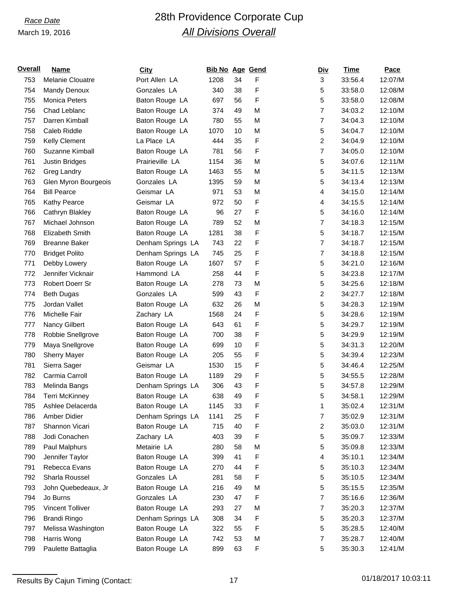# *Race Date* 28th Providence Corporate Cup *All Divisions Overall*

| <u>Overall</u> | Name                  | <b>City</b>       | <b>Bib No Age Gend</b> |    |   | <u>Div</u>              | Time    | Pace    |
|----------------|-----------------------|-------------------|------------------------|----|---|-------------------------|---------|---------|
| 753            | Melanie Clouatre      | Port Allen LA     | 1208                   | 34 | F | 3                       | 33:56.4 | 12:07/M |
| 754            | Mandy Denoux          | Gonzales LA       | 340                    | 38 | F | 5                       | 33:58.0 | 12:08/M |
| 755            | Monica Peters         | Baton Rouge LA    | 697                    | 56 | F | 5                       | 33:58.0 | 12:08/M |
| 756            | Chad Leblanc          | Baton Rouge LA    | 374                    | 49 | M | $\overline{7}$          | 34:03.2 | 12:10/M |
| 757            | Darren Kimball        | Baton Rouge LA    | 780                    | 55 | M | $\overline{7}$          | 34:04.3 | 12:10/M |
| 758            | Caleb Riddle          | Baton Rouge LA    | 1070                   | 10 | M | 5                       | 34:04.7 | 12:10/M |
| 759            | Kelly Clement         | La Place LA       | 444                    | 35 | F | $\overline{c}$          | 34:04.9 | 12:10/M |
| 760            | Suzanne Kimball       | Baton Rouge LA    | 781                    | 56 | F | $\overline{7}$          | 34:05.0 | 12:10/M |
| 761            | <b>Justin Bridges</b> | Prairieville LA   | 1154                   | 36 | M | 5                       | 34:07.6 | 12:11/M |
| 762            | Greg Landry           | Baton Rouge LA    | 1463                   | 55 | M | 5                       | 34:11.5 | 12:13/M |
| 763            | Glen Myron Bourgeois  | Gonzales LA       | 1395                   | 59 | M | 5                       | 34:13.4 | 12:13/M |
| 764            | <b>Bill Pearce</b>    | Geismar LA        | 971                    | 53 | M | 4                       | 34:15.0 | 12:14/M |
| 765            | Kathy Pearce          | Geismar LA        | 972                    | 50 | F | 4                       | 34:15.5 | 12:14/M |
| 766            | Cathryn Blakley       | Baton Rouge LA    | 96                     | 27 | F | 5                       | 34:16.0 | 12:14/M |
| 767            | Michael Johnson       | Baton Rouge LA    | 789                    | 52 | M | $\overline{7}$          | 34:18.3 | 12:15/M |
| 768            | Elizabeth Smith       | Baton Rouge LA    | 1281                   | 38 | F | 5                       | 34:18.7 | 12:15/M |
| 769            | <b>Breanne Baker</b>  | Denham Springs LA | 743                    | 22 | F | $\overline{7}$          | 34:18.7 | 12:15/M |
| 770            | <b>Bridget Polito</b> | Denham Springs LA | 745                    | 25 | F | $\overline{7}$          | 34:18.8 | 12:15/M |
| 771            | Debby Lowery          | Baton Rouge LA    | 1607                   | 57 | F | 5                       | 34:21.0 | 12:16/M |
| 772            | Jennifer Vicknair     | Hammond LA        | 258                    | 44 | F | 5                       | 34:23.8 | 12:17/M |
| 773            | Robert Doerr Sr       | Baton Rouge LA    | 278                    | 73 | M | 5                       | 34:25.6 | 12:18/M |
| 774            | <b>Beth Dugas</b>     | Gonzales LA       | 599                    | 43 | F | $\overline{\mathbf{c}}$ | 34:27.7 | 12:18/M |
| 775            | Jordan Vallet         | Baton Rouge LA    | 632                    | 26 | M | 5                       | 34:28.3 | 12:19/M |
| 776            | Michelle Fair         | Zachary LA        | 1568                   | 24 | F | 5                       | 34:28.6 | 12:19/M |
| 777            | Nancy Gilbert         | Baton Rouge LA    | 643                    | 61 | F | 5                       | 34:29.7 | 12:19/M |
| 778            | Robbie Snellgrove     | Baton Rouge LA    | 700                    | 38 | F | 5                       | 34:29.9 | 12:19/M |
| 779            | Maya Snellgrove       | Baton Rouge LA    | 699                    | 10 | F | 5                       | 34:31.3 | 12:20/M |
| 780            | <b>Sherry Mayer</b>   | Baton Rouge LA    | 205                    | 55 | F | 5                       | 34:39.4 | 12:23/M |
| 781            | Sierra Sager          | Geismar LA        | 1530                   | 15 | F | 5                       | 34:46.4 | 12:25/M |
| 782            | Carmia Carroll        | Baton Rouge LA    | 1189                   | 29 | F | 5                       | 34:55.5 | 12:28/M |
| 783            | Melinda Bangs         | Denham Springs LA | 306                    | 43 | F | 5                       | 34:57.8 | 12:29/M |
| 784            | <b>Terri McKinney</b> | Baton Rouge LA    | 638                    | 49 | F | 5                       | 34:58.1 | 12:29/M |
| 785            | Ashlee Delacerda      | Baton Rouge LA    | 1145                   | 33 | F | 1                       | 35:02.4 | 12:31/M |
| 786            | Amber Didier          | Denham Springs LA | 1141                   | 25 | F | 7                       | 35:02.9 | 12:31/M |
| 787            | Shannon Vicari        | Baton Rouge LA    | 715                    | 40 | F | $\overline{c}$          | 35:03.0 | 12:31/M |
| 788            | Jodi Conachen         | Zachary LA        | 403                    | 39 | F | 5                       | 35:09.7 | 12:33/M |
| 789            | Paul Malphurs         | Metairie LA       | 280                    | 58 | M | 5                       | 35:09.8 | 12:33/M |
| 790            | Jennifer Taylor       | Baton Rouge LA    | 399                    | 41 | F | 4                       | 35:10.1 | 12:34/M |
| 791            | Rebecca Evans         | Baton Rouge LA    | 270                    | 44 | F | 5                       | 35:10.3 | 12:34/M |
| 792            | Sharla Roussel        | Gonzales LA       | 281                    | 58 | F | 5                       | 35:10.5 | 12:34/M |
| 793            | John Quebedeaux, Jr   | Baton Rouge LA    | 216                    | 49 | M | 5                       | 35:15.5 | 12:35/M |
| 794            | Jo Burns              | Gonzales LA       | 230                    | 47 | F | $\overline{7}$          | 35:16.6 | 12:36/M |
| 795            | Vincent Tolliver      | Baton Rouge LA    | 293                    | 27 | M | $\overline{7}$          | 35:20.3 | 12:37/M |
| 796            | <b>Brandi Ringo</b>   | Denham Springs LA | 308                    | 34 | F | 5                       | 35:20.3 | 12:37/M |
| 797            | Melissa Washington    | Baton Rouge LA    | 322                    | 55 | F | 5                       | 35:28.5 | 12:40/M |
| 798            | Harris Wong           | Baton Rouge LA    | 742                    | 53 | M | $\overline{7}$          | 35:28.7 | 12:40/M |
| 799            | Paulette Battaglia    | Baton Rouge LA    | 899                    | 63 | F | 5                       | 35:30.3 | 12:41/M |
|                |                       |                   |                        |    |   |                         |         |         |

Results By Cajun Timing (Contact: 17 17 10:03:11 01/18/2017 10:03:11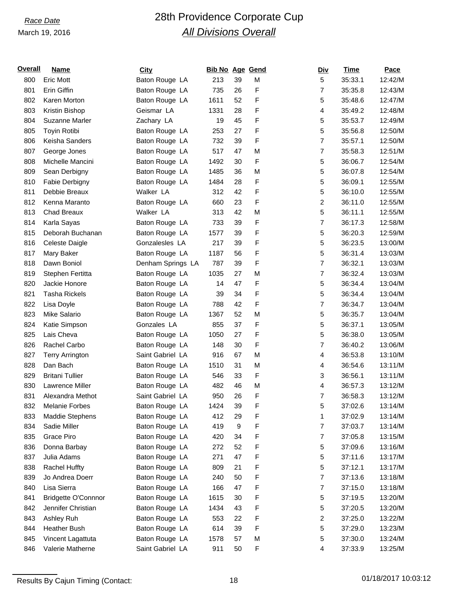# *Race Date* 28th Providence Corporate Cup *All Divisions Overall*

| <u>Overall</u> | <b>Name</b>                | <b>City</b>       | <b>Bib No Age Gend</b> |    |   | <u>Div</u>       | Time    | Pace    |
|----------------|----------------------------|-------------------|------------------------|----|---|------------------|---------|---------|
| 800            | <b>Eric Mott</b>           | Baton Rouge LA    | 213                    | 39 | M | 5                | 35:33.1 | 12:42/M |
| 801            | Erin Giffin                | Baton Rouge LA    | 735                    | 26 | F | $\overline{7}$   | 35:35.8 | 12:43/M |
| 802            | Karen Morton               | Baton Rouge LA    | 1611                   | 52 | F | 5                | 35:48.6 | 12:47/M |
| 803            | Kristin Bishop             | Geismar LA        | 1331                   | 28 | F | 4                | 35:49.2 | 12:48/M |
| 804            | Suzanne Marler             | Zachary LA        | 19                     | 45 | F | 5                | 35:53.7 | 12:49/M |
| 805            | Toyin Rotibi               | Baton Rouge LA    | 253                    | 27 | F | 5                | 35:56.8 | 12:50/M |
| 806            | Keisha Sanders             | Baton Rouge LA    | 732                    | 39 | F | $\overline{7}$   | 35:57.1 | 12:50/M |
| 807            | George Jones               | Baton Rouge LA    | 517                    | 47 | M | $\overline{7}$   | 35:58.3 | 12:51/M |
| 808            | Michelle Mancini           | Baton Rouge LA    | 1492                   | 30 | F | 5                | 36:06.7 | 12:54/M |
| 809            | Sean Derbigny              | Baton Rouge LA    | 1485                   | 36 | M | 5                | 36:07.8 | 12:54/M |
| 810            | Fabie Derbigny             | Baton Rouge LA    | 1484                   | 28 | F | 5                | 36:09.1 | 12:55/M |
| 811            | Debbie Breaux              | Walker LA         | 312                    | 42 | F | 5                | 36:10.0 | 12:55/M |
| 812            | Kenna Maranto              | Baton Rouge LA    | 660                    | 23 | F | $\overline{c}$   | 36:11.0 | 12:55/M |
| 813            | <b>Chad Breaux</b>         | Walker LA         | 313                    | 42 | M | 5                | 36:11.1 | 12:55/M |
| 814            | Karla Sayas                | Baton Rouge LA    | 733                    | 39 | F | $\overline{7}$   | 36:17.3 | 12:58/M |
| 815            | Deborah Buchanan           | Baton Rouge LA    | 1577                   | 39 | F | 5                | 36:20.3 | 12:59/M |
| 816            | Celeste Daigle             | Gonzalesles LA    | 217                    | 39 | F | 5                | 36:23.5 | 13:00/M |
| 817            | Mary Baker                 | Baton Rouge LA    | 1187                   | 56 | F | 5                | 36:31.4 | 13:03/M |
| 818            | Dawn Boniol                | Denham Springs LA | 787                    | 39 | F | $\overline{7}$   | 36:32.1 | 13:03/M |
| 819            | Stephen Fertitta           | Baton Rouge LA    | 1035                   | 27 | M | $\overline{7}$   | 36:32.4 | 13:03/M |
| 820            | Jackie Honore              | Baton Rouge LA    | 14                     | 47 | F | 5                | 36:34.4 | 13:04/M |
| 821            | <b>Tasha Rickels</b>       | Baton Rouge LA    | 39                     | 34 | F | 5                | 36:34.4 | 13:04/M |
| 822            | Lisa Doyle                 | Baton Rouge LA    | 788                    | 42 | F | $\overline{7}$   | 36:34.7 | 13:04/M |
| 823            | <b>Mike Salario</b>        | Baton Rouge LA    | 1367                   | 52 | M | 5                | 36:35.7 | 13:04/M |
| 824            | Katie Simpson              | Gonzales LA       | 855                    | 37 | F | 5                | 36:37.1 | 13:05/M |
| 825            | Lais Cheva                 | Baton Rouge LA    | 1050                   | 27 | F | 5                | 36:38.0 | 13:05/M |
| 826            | Rachel Carbo               | Baton Rouge LA    | 148                    | 30 | F | $\overline{7}$   | 36:40.2 | 13:06/M |
| 827            | <b>Terry Arrington</b>     | Saint Gabriel LA  | 916                    | 67 | M | 4                | 36:53.8 | 13:10/M |
| 828            | Dan Bach                   | Baton Rouge LA    | 1510                   | 31 | M | 4                | 36:54.6 | 13:11/M |
| 829            | <b>Britani Tullier</b>     | Baton Rouge LA    | 546                    | 33 | F | 3                | 36:56.1 | 13:11/M |
| 830            | Lawrence Miller            | Baton Rouge LA    | 482                    | 46 | M | 4                | 36:57.3 | 13:12/M |
| 831            | Alexandra Methot           | Saint Gabriel LA  | 950                    | 26 | F | 7                | 36:58.3 | 13:12/M |
| 832            | Melanie Forbes             | Baton Rouge LA    | 1424                   | 39 | F | 5                | 37:02.6 | 13:14/M |
| 833            | <b>Maddie Stephens</b>     | Baton Rouge LA    | 412                    | 29 | F | 1                | 37:02.9 | 13:14/M |
| 834            | Sadie Miller               | Baton Rouge LA    | 419                    | 9  | F | $\boldsymbol{7}$ | 37:03.7 | 13:14/M |
| 835            | Grace Piro                 | Baton Rouge LA    | 420                    | 34 | F | $\overline{7}$   | 37:05.8 | 13:15/M |
| 836            | Donna Barbay               | Baton Rouge LA    | 272                    | 52 | F | 5                | 37:09.6 | 13:16/M |
| 837            | Julia Adams                | Baton Rouge LA    | 271                    | 47 | F | 5                | 37:11.6 | 13:17/M |
| 838            | <b>Rachel Huffty</b>       | Baton Rouge LA    | 809                    | 21 | F | 5                | 37:12.1 | 13:17/M |
| 839            | Jo Andrea Doerr            | Baton Rouge LA    | 240                    | 50 | F | $\overline{7}$   | 37:13.6 | 13:18/M |
| 840            | Lisa Sierra                | Baton Rouge LA    | 166                    | 47 | F | $\boldsymbol{7}$ | 37:15.0 | 13:18/M |
| 841            | <b>Bridgette O'Connnor</b> | Baton Rouge LA    | 1615                   | 30 | F | 5                | 37:19.5 | 13:20/M |
| 842            | Jennifer Christian         | Baton Rouge LA    | 1434                   | 43 | F | 5                | 37:20.5 | 13:20/M |
| 843            | Ashley Ruh                 | Baton Rouge LA    | 553                    | 22 | F | 2                | 37:25.0 | 13:22/M |
| 844            | <b>Heather Bush</b>        | Baton Rouge LA    | 614                    | 39 | F | 5                | 37:29.0 | 13:23/M |
| 845            | Vincent Lagattuta          | Baton Rouge LA    | 1578                   | 57 | M | 5                | 37:30.0 | 13:24/M |
| 846            | Valerie Matherne           | Saint Gabriel LA  | 911                    | 50 | F | 4                | 37:33.9 | 13:25/M |
|                |                            |                   |                        |    |   |                  |         |         |

Results By Cajun Timing (Contact: 18 18 18 18 01/18/2017 10:03:12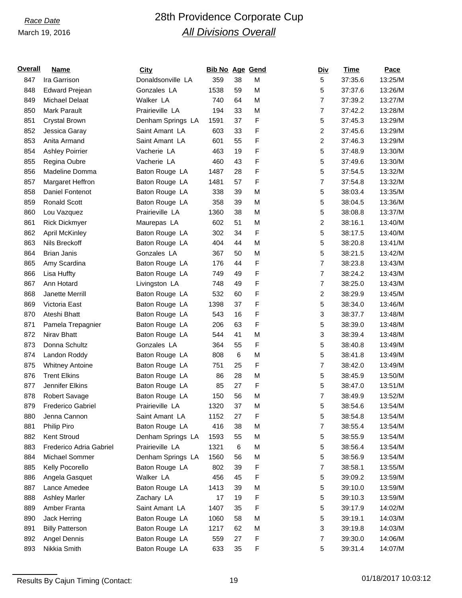# *Race Date* 28th Providence Corporate Cup *All Divisions Overall*

| <u>Overall</u> | Name                    | <b>City</b>       | <b>Bib No Age Gend</b> |    |   | <u>Div</u>              | Time    | Pace    |
|----------------|-------------------------|-------------------|------------------------|----|---|-------------------------|---------|---------|
| 847            | Ira Garrison            | Donaldsonville LA | 359                    | 38 | M | 5                       | 37:35.6 | 13:25/M |
| 848            | <b>Edward Prejean</b>   | Gonzales LA       | 1538                   | 59 | M | 5                       | 37:37.6 | 13:26/M |
| 849            | Michael Delaat          | Walker LA         | 740                    | 64 | M | $\overline{7}$          | 37:39.2 | 13:27/M |
| 850            | <b>Mark Parault</b>     | Prairieville LA   | 194                    | 33 | M | $\overline{7}$          | 37:42.2 | 13:28/M |
| 851            | Crystal Brown           | Denham Springs LA | 1591                   | 37 | F | 5                       | 37:45.3 | 13:29/M |
| 852            | Jessica Garay           | Saint Amant LA    | 603                    | 33 | F | $\overline{\mathbf{c}}$ | 37:45.6 | 13:29/M |
| 853            | Anita Armand            | Saint Amant LA    | 601                    | 55 | F | $\overline{c}$          | 37:46.3 | 13:29/M |
| 854            | <b>Ashley Poirrier</b>  | Vacherie LA       | 463                    | 19 | F | 5                       | 37:48.9 | 13:30/M |
| 855            | Regina Oubre            | Vacherie LA       | 460                    | 43 | F | 5                       | 37:49.6 | 13:30/M |
| 856            | Madeline Domma          | Baton Rouge LA    | 1487                   | 28 | F | 5                       | 37:54.5 | 13:32/M |
| 857            | Margaret Heffron        | Baton Rouge LA    | 1481                   | 57 | F | $\overline{7}$          | 37:54.8 | 13:32/M |
| 858            | Daniel Fontenot         | Baton Rouge LA    | 338                    | 39 | M | 5                       | 38:03.4 | 13:35/M |
| 859            | <b>Ronald Scott</b>     | Baton Rouge LA    | 358                    | 39 | M | 5                       | 38:04.5 | 13:36/M |
| 860            | Lou Vazquez             | Prairieville LA   | 1360                   | 38 | M | 5                       | 38:08.8 | 13:37/M |
| 861            | <b>Rick Dickmyer</b>    | Maurepas LA       | 602                    | 51 | M | $\overline{c}$          | 38:16.1 | 13:40/M |
| 862            | <b>April McKinley</b>   | Baton Rouge LA    | 302                    | 34 | F | 5                       | 38:17.5 | 13:40/M |
| 863            | Nils Breckoff           | Baton Rouge LA    | 404                    | 44 | M | 5                       | 38:20.8 | 13:41/M |
| 864            | <b>Brian Janis</b>      | Gonzales LA       | 367                    | 50 | M | 5                       | 38:21.5 | 13:42/M |
| 865            | Amy Scardina            | Baton Rouge LA    | 176                    | 44 | F | $\overline{7}$          | 38:23.8 | 13:43/M |
| 866            | Lisa Huffty             | Baton Rouge LA    | 749                    | 49 | F | $\overline{7}$          | 38:24.2 | 13:43/M |
| 867            | Ann Hotard              | Livingston LA     | 748                    | 49 | F | $\overline{7}$          | 38:25.0 | 13:43/M |
| 868            | Janette Merrill         | Baton Rouge LA    | 532                    | 60 | F | $\overline{c}$          | 38:29.9 | 13:45/M |
| 869            | Victoria East           | Baton Rouge LA    | 1398                   | 37 | F | 5                       | 38:34.0 | 13:46/M |
| 870            | Ateshi Bhatt            | Baton Rouge LA    | 543                    | 16 | F | 3                       | 38:37.7 | 13:48/M |
| 871            | Pamela Trepagnier       | Baton Rouge LA    | 206                    | 63 | F | 5                       | 38:39.0 | 13:48/M |
| 872            | Nirav Bhatt             | Baton Rouge LA    | 544                    | 41 | M | 3                       | 38:39.4 | 13:48/M |
| 873            | Donna Schultz           | Gonzales LA       | 364                    | 55 | F | 5                       | 38:40.8 | 13:49/M |
| 874            | Landon Roddy            | Baton Rouge LA    | 808                    | 6  | M | 5                       | 38:41.8 | 13:49/M |
| 875            | <b>Whitney Antoine</b>  | Baton Rouge LA    | 751                    | 25 | F | $\overline{7}$          | 38:42.0 | 13:49/M |
| 876            | <b>Trent Elkins</b>     | Baton Rouge LA    | 86                     | 28 | M | 5                       | 38:45.9 | 13:50/M |
| 877            | Jennifer Elkins         | Baton Rouge LA    | 85                     | 27 | F | 5                       | 38:47.0 | 13:51/M |
| 878            | Robert Savage           | Baton Rouge LA    | 150                    | 56 | M | $\overline{7}$          | 38:49.9 | 13:52/M |
| 879            | Frederico Gabriel       | Prairieville LA   | 1320                   | 37 | M | 5                       | 38:54.6 | 13:54/M |
| 880            | Jenna Cannon            | Saint Amant LA    | 1152                   | 27 | F | 5                       | 38:54.8 | 13:54/M |
| 881            | Philip Piro             | Baton Rouge LA    | 416                    | 38 | M | 7                       | 38:55.4 | 13:54/M |
| 882            | Kent Stroud             | Denham Springs LA | 1593                   | 55 | M | 5                       | 38:55.9 | 13:54/M |
| 883            | Frederico Adria Gabriel | Prairieville LA   | 1321                   | 6  | M | 5                       | 38:56.4 | 13:54/M |
| 884            | Michael Sommer          | Denham Springs LA | 1560                   | 56 | M | 5                       | 38:56.9 | 13:54/M |
| 885            | Kelly Pocorello         | Baton Rouge LA    | 802                    | 39 | F | $\overline{7}$          | 38:58.1 | 13:55/M |
| 886            | Angela Gasquet          | Walker LA         | 456                    | 45 | F | 5                       | 39:09.2 | 13:59/M |
| 887            | Lance Amedee            | Baton Rouge LA    | 1413                   | 39 | M | 5                       | 39:10.0 | 13:59/M |
| 888            | <b>Ashley Marler</b>    | Zachary LA        | 17                     | 19 | F | 5                       | 39:10.3 | 13:59/M |
| 889            | Amber Franta            | Saint Amant LA    | 1407                   | 35 | F | 5                       | 39:17.9 | 14:02/M |
| 890            | Jack Herring            | Baton Rouge LA    | 1060                   | 58 | M | 5                       | 39:19.1 | 14:03/M |
| 891            | <b>Billy Patterson</b>  | Baton Rouge LA    | 1217                   | 62 | M | 3                       | 39:19.8 | 14:03/M |
| 892            | Angel Dennis            | Baton Rouge LA    | 559                    | 27 | F | $\overline{7}$          | 39:30.0 | 14:06/M |
| 893            | Nikkia Smith            | Baton Rouge LA    | 633                    | 35 | F | 5                       | 39:31.4 | 14:07/M |
|                |                         |                   |                        |    |   |                         |         |         |

Results By Cajun Timing (Contact: 19 19 19 19 19 101/18/2017 10:03:12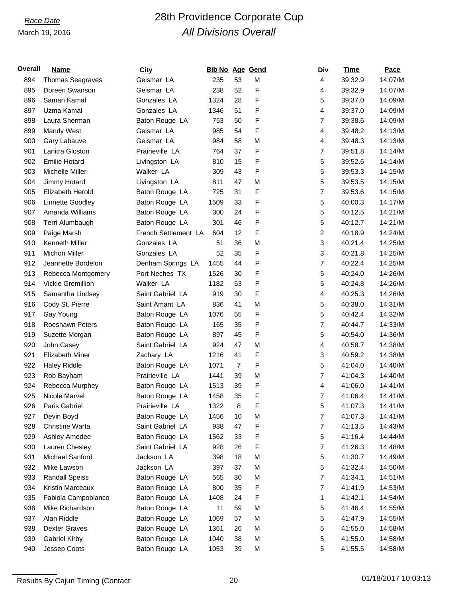## *Race Date* 28th Providence Corporate Cup *All Divisions Overall*

| <u>Overall</u> | Name                    | <b>City</b>          | <b>Bib No Age Gend</b> |                |   | <u>Div</u>              | Time    | Pace    |
|----------------|-------------------------|----------------------|------------------------|----------------|---|-------------------------|---------|---------|
| 894            | <b>Thomas Seagraves</b> | Geismar LA           | 235                    | 53             | M | 4                       | 39:32.9 | 14:07/M |
| 895            | Doreen Swanson          | Geismar LA           | 238                    | 52             | F | 4                       | 39:32.9 | 14:07/M |
| 896            | Saman Kamal             | Gonzales LA          | 1324                   | 28             | F | 5                       | 39:37.0 | 14:09/M |
| 897            | Uzma Kamal              | Gonzales LA          | 1346                   | 51             | F | 4                       | 39:37.0 | 14:09/M |
| 898            | Laura Sherman           | Baton Rouge LA       | 753                    | 50             | F | $\overline{7}$          | 39:38.6 | 14:09/M |
| 899            | Mandy West              | Geismar LA           | 985                    | 54             | F | 4                       | 39:48.2 | 14:13/M |
| 900            | Gary Labauve            | Geismar LA           | 984                    | 58             | M | 4                       | 39:48.3 | 14:13/M |
| 901            | Lanitra Gloston         | Prairieville LA      | 764                    | 37             | F | $\overline{7}$          | 39:51.8 | 14:14/M |
| 902            | <b>Emilie Hotard</b>    | Livingston LA        | 810                    | 15             | F | 5                       | 39:52.6 | 14:14/M |
| 903            | Michelle Miller         | Walker LA            | 309                    | 43             | F | 5                       | 39:53.3 | 14:15/M |
| 904            | Jimmy Hotard            | Livingston LA        | 811                    | 47             | M | 5                       | 39:53.5 | 14:15/M |
| 905            | Elizabeth Herold        | Baton Rouge LA       | 725                    | 31             | F | $\overline{7}$          | 39:53.6 | 14:15/M |
| 906            | Linnette Goodley        | Baton Rouge LA       | 1509                   | 33             | F | 5                       | 40:00.3 | 14:17/M |
| 907            | Amanda Williams         | Baton Rouge LA       | 300                    | 24             | F | 5                       | 40:12.5 | 14:21/M |
| 908            | Terri Alumbaugh         | Baton Rouge LA       | 301                    | 46             | F | 5                       | 40:12.7 | 14:21/M |
| 909            | Paige Marsh             | French Settlement LA | 604                    | 12             | F | $\overline{\mathbf{c}}$ | 40:18.9 | 14:24/M |
| 910            | Kenneth Miller          | Gonzales LA          | 51                     | 36             | M | 3                       | 40:21.4 | 14:25/M |
| 911            | Michon Miller           | Gonzales LA          | 52                     | 35             | F | 3                       | 40:21.8 | 14:25/M |
| 912            | Jeannette Bordelon      | Denham Springs LA    | 1455                   | 44             | F | $\overline{7}$          | 40:22.4 | 14:25/M |
| 913            | Rebecca Montgomery      | Port Neches TX       | 1526                   | 30             | F | 5                       | 40:24.0 | 14:26/M |
| 914            | Vickie Gremillion       | Walker LA            | 1182                   | 53             | F | 5                       | 40:24.8 | 14:26/M |
| 915            | Samantha Lindsey        | Saint Gabriel LA     | 919                    | 30             | F | 4                       | 40:25.3 | 14:26/M |
| 916            | Cody St. Pierre         | Saint Amant LA       | 836                    | 41             | M | 5                       | 40:38.0 | 14:31/M |
| 917            | Gay Young               | Baton Rouge LA       | 1076                   | 55             | F | 5                       | 40:42.4 | 14:32/M |
| 918            | <b>Roeshawn Peters</b>  | Baton Rouge LA       | 165                    | 35             | F | $\overline{7}$          | 40:44.7 | 14:33/M |
| 919            | Suzette Morgan          | Baton Rouge LA       | 897                    | 45             | F | 5                       | 40:54.0 | 14:36/M |
| 920            | John Casey              | Saint Gabriel LA     | 924                    | 47             | M | 4                       | 40:58.7 | 14:38/M |
| 921            | <b>Elizabeth Miner</b>  | Zachary LA           | 1216                   | 41             | F | 3                       | 40:59.2 | 14:38/M |
| 922            | <b>Haley Riddle</b>     | Baton Rouge LA       | 1071                   | $\overline{7}$ | F | 5                       | 41:04.0 | 14:40/M |
| 923            | Rob Bayham              | Prairieville LA      | 1441                   | 39             | M | $\overline{7}$          | 41:04.3 | 14:40/M |
| 924            | Rebecca Murphey         | Baton Rouge LA       | 1513                   | 39             | F | $\overline{4}$          | 41:06.0 | 14:41/M |
| 925            | Nicole Marvel           | Baton Rouge LA       | 1458                   | 35             | F | $\overline{7}$          | 41:06.4 | 14:41/M |
| 926            | Paris Gabriel           | Prairieville LA      | 1322                   | 8              | F | 5                       | 41:07.3 | 14:41/M |
| 927            | Devin Boyd              | Baton Rouge LA       | 1456                   | 10             | M | $\overline{7}$          | 41:07.3 | 14:41/M |
| 928            | Christine Warta         | Saint Gabriel LA     | 938                    | 47             | F | $\overline{7}$          | 41:13.5 | 14:43/M |
| 929            | Ashley Amedee           | Baton Rouge LA       | 1562                   | 33             | F | 5                       | 41:16.4 | 14:44/M |
| 930            | Lauren Chesley          | Saint Gabriel LA     | 928                    | 26             | F | $\overline{7}$          | 41:26.3 | 14:48/M |
| 931            | Michael Sanford         | Jackson LA           | 398                    | 18             | M | 5                       | 41:30.7 | 14:49/M |
| 932            | Mike Lawson             | Jackson LA           | 397                    | 37             | M | 5                       | 41:32.4 | 14:50/M |
| 933            | <b>Randall Speiss</b>   | Baton Rouge LA       | 565                    | 30             | M | $\overline{7}$          | 41:34.1 | 14:51/M |
| 934            | Kristin Marceaux        | Baton Rouge LA       | 800                    | 35             | F | $\overline{7}$          | 41:41.9 | 14:53/M |
| 935            | Fabiola Campoblanco     | Baton Rouge LA       | 1408                   | 24             | F | 1                       | 41:42.1 | 14:54/M |
| 936            | Mike Richardson         | Baton Rouge LA       | 11                     | 59             | M | 5                       | 41:46.4 | 14:55/M |
| 937            | Alan Riddle             | Baton Rouge LA       | 1069                   | 57             | M | 5                       | 41:47.9 | 14:55/M |
| 938            | Dexter Graves           | Baton Rouge LA       | 1361                   | 26             | M | 5                       | 41:55.0 | 14:58/M |
| 939            | <b>Gabriel Kirby</b>    | Baton Rouge LA       | 1040                   | 38             | M | 5                       | 41:55.0 | 14:58/M |
| 940            | Jessep Coots            | Baton Rouge LA       | 1053                   | 39             | M | 5                       | 41:55.5 | 14:58/M |
|                |                         |                      |                        |                |   |                         |         |         |

Results By Cajun Timing (Contact: 20 01/18/2017 10:03:13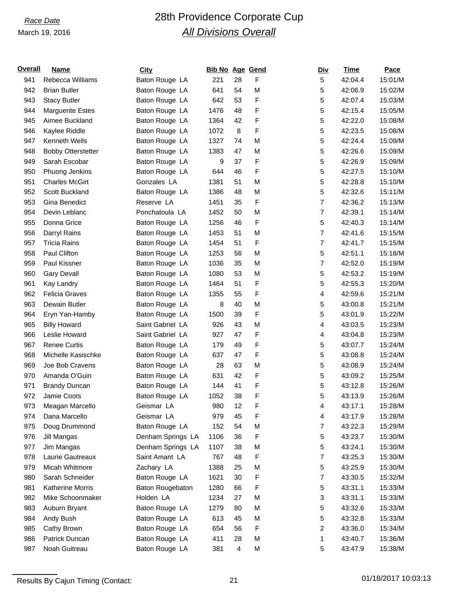# *Race Date* 28th Providence Corporate Cup *All Divisions Overall*

| <u>Overall</u> | Name                      | <b>City</b>       | <b>Bib No Age Gend</b> |                         |   | <b>Div</b>     | Time    | Pace    |
|----------------|---------------------------|-------------------|------------------------|-------------------------|---|----------------|---------|---------|
| 941            | Rebecca Williams          | Baton Rouge LA    | 221                    | 28                      | F | 5              | 42:04.4 | 15:01/M |
| 942            | <b>Brian Butler</b>       | Baton Rouge LA    | 641                    | 54                      | M | 5              | 42:06.9 | 15:02/M |
| 943            | <b>Stacy Butler</b>       | Baton Rouge LA    | 642                    | 53                      | F | 5              | 42:07.4 | 15:03/M |
| 944            | <b>Marguerite Estes</b>   | Baton Rouge LA    | 1476                   | 48                      | F | 5              | 42:15.4 | 15:05/M |
| 945            | Aimee Buckland            | Baton Rouge LA    | 1364                   | 42                      | F | 5              | 42:22.0 | 15:08/M |
| 946            | Kaylee Riddle             | Baton Rouge LA    | 1072                   | 8                       | F | 5              | 42:23.5 | 15:08/M |
| 947            | Kenneth Wells             | Baton Rouge LA    | 1327                   | 74                      | M | 5              | 42:24.4 | 15:09/M |
| 948            | <b>Bobby Otterstetter</b> | Baton Rouge LA    | 1383                   | 47                      | M | 5              | 42:26.6 | 15:09/M |
| 949            | Sarah Escobar             | Baton Rouge LA    | 9                      | 37                      | F | 5              | 42:26.9 | 15:09/M |
| 950            | Phuong Jenkins            | Baton Rouge LA    | 644                    | 46                      | F | 5              | 42:27.5 | 15:10/M |
| 951            | <b>Charles McGirt</b>     | Gonzales LA       | 1381                   | 51                      | M | 5              | 42:28.8 | 15:10/M |
| 952            | Scott Buckland            | Baton Rouge LA    | 1386                   | 48                      | M | 5              | 42:32.6 | 15:11/M |
| 953            | Gina Benedict             | Reserve LA        | 1451                   | 35                      | F | $\overline{7}$ | 42:36.2 | 15:13/M |
| 954            | Devin Leblanc             | Ponchatoula LA    | 1452                   | 50                      | M | 7              | 42:39.1 | 15:14/M |
| 955            | Donna Grice               | Baton Rouge LA    | 1256                   | 46                      | F | 5              | 42:40.3 | 15:14/M |
| 956            | Darryl Rains              | Baton Rouge LA    | 1453                   | 51                      | M | $\overline{7}$ | 42:41.6 | 15:15/M |
| 957            | <b>Tricia Rains</b>       | Baton Rouge LA    | 1454                   | 51                      | F | $\overline{7}$ | 42:41.7 | 15:15/M |
| 958            | Paul Clifton              | Baton Rouge LA    | 1253                   | 56                      | M | 5              | 42:51.1 | 15:18/M |
| 959            | Paul Kissner              | Baton Rouge LA    | 1036                   | 35                      | M | 7              | 42:52.0 | 15:19/M |
| 960            | <b>Gary Devall</b>        | Baton Rouge LA    | 1080                   | 53                      | M | 5              | 42:53.2 | 15:19/M |
| 961            | Kay Landry                | Baton Rouge LA    | 1464                   | 51                      | F | 5              | 42:55.3 | 15:20/M |
| 962            | <b>Felicia Graves</b>     | Baton Rouge LA    | 1355                   | 55                      | F | 4              | 42:59.6 | 15:21/M |
| 963            | Dewain Butler             | Baton Rouge LA    | 8                      | 40                      | M | 5              | 43:00.8 | 15:21/M |
| 964            | Eryn Yan-Hamby            | Baton Rouge LA    | 1500                   | 39                      | F | 5              | 43:01.9 | 15:22/M |
| 965            | <b>Billy Howard</b>       | Saint Gabriel LA  | 926                    | 43                      | M | 4              | 43:03.5 | 15:23/M |
| 966            | Leslie Howard             | Saint Gabriel LA  | 927                    | 47                      | F | 4              | 43:04.8 | 15:23/M |
| 967            | <b>Renee Curtis</b>       | Baton Rouge LA    | 179                    | 49                      | F | 5              | 43:07.7 | 15:24/M |
| 968            | Michelle Kasischke        | Baton Rouge LA    | 637                    | 47                      | F | 5              | 43:08.8 | 15:24/M |
| 969            | Joe Bob Cravens           | Baton Rouge LA    | 28                     | 63                      | M | 5              | 43:08.9 | 15:24/M |
| 970            | Amanda O'Guin             | Baton Rouge LA    | 631                    | 42                      | F | 5              | 43:09.2 | 15:25/M |
| 971            | <b>Brandy Duncan</b>      | Baton Rouge LA    | 144                    | 41                      | F | 5              | 43:12.8 | 15:26/M |
| 972            | Jamie Coots               | Baton Rouge LA    | 1052                   | 38                      | F | 5              | 43:13.9 | 15:26/M |
| 973            | Meagan Marcello           | Geismar LA        | 980                    | 12                      | F | 4              | 43:17.1 | 15:28/M |
| 974            | Dana Marcello             | Geismar LA        | 979                    | 45                      | F | 4              | 43:17.9 | 15:28/M |
| 975            | Doug Drummond             | Baton Rouge LA    | 152                    | 54                      | M | 7              | 43:22.3 | 15:29/M |
| 976            | Jill Mangas               | Denham Springs LA | 1106                   | 36                      | F | 5              | 43:23.7 | 15:30/M |
| 977            | Jim Mangas                | Denham Springs LA | 1107                   | 38                      | M | 5              | 43:24.1 | 15:30/M |
| 978            | Laurie Gautreaux          | Saint Amant LA    | 767                    | 48                      | F | 7              | 43:25.3 | 15:30/M |
| 979            | Micah Whitmore            | Zachary LA        | 1388                   | 25                      | M | 5              | 43:25.9 | 15:30/M |
| 980            | Sarah Schneider           | Baton Rouge LA    | 1621                   | 30                      | F | 7              | 43:30.5 | 15:32/M |
| 981            | Katherine Morris          | Baton Rougebaton  | 1280                   | 66                      | F | 5              | 43:31.1 | 15:33/M |
| 982            | Mike Schoonmaker          | Holden LA         | 1234                   | 27                      | M | 3              | 43:31.1 | 15:33/M |
| 983            | Auburn Bryant             | Baton Rouge LA    | 1279                   | 80                      | M | 5              | 43:32.6 | 15:33/M |
| 984            | Andy Bush                 | Baton Rouge LA    | 613                    | 45                      | M | 5              | 43:32.8 | 15:33/M |
| 985            | Cathy Brown               | Baton Rouge LA    | 654                    | 56                      | F | 2              | 43:36.0 | 15:34/M |
| 986            | Patrick Duncan            | Baton Rouge LA    | 411                    | 28                      | M | 1              | 43:40.7 | 15:36/M |
| 987            | Noah Guitreau             | Baton Rouge LA    | 381                    | $\overline{\mathbf{4}}$ | M | 5              | 43:47.9 | 15:38/M |

Results By Cajun Timing (Contact: 21 21 01/18/2017 10:03:13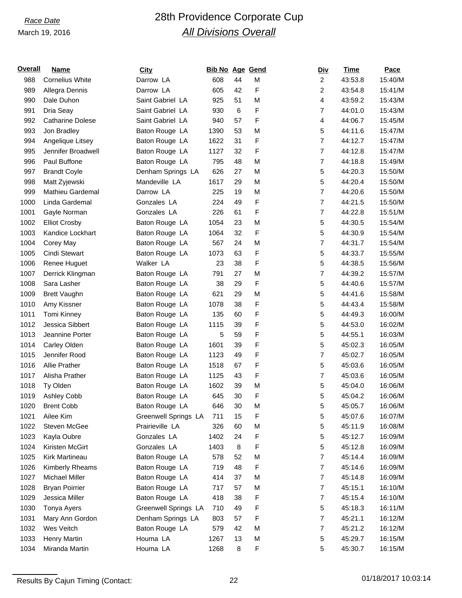# *Race Date* 28th Providence Corporate Cup *All Divisions Overall*

| <b>Overall</b> | <b>Name</b>             | <b>City</b>          | <b>Bib No Age Gend</b> |        |   | <u>Div</u>              | Time    | Pace    |
|----------------|-------------------------|----------------------|------------------------|--------|---|-------------------------|---------|---------|
| 988            | <b>Cornelius White</b>  | Darrow LA            | 608                    | 44     | M | $\overline{2}$          | 43:53.8 | 15:40/M |
| 989            | Allegra Dennis          | Darrow LA            | 605                    | 42     | F | 2                       | 43:54.8 | 15:41/M |
| 990            | Dale Duhon              | Saint Gabriel LA     | 925                    | 51     | M | $\overline{\mathbf{4}}$ | 43:59.2 | 15:43/M |
| 991            | Dria Seay               | Saint Gabriel LA     | 930                    | 6      | F | 7                       | 44:01.0 | 15:43/M |
| 992            | <b>Catharine Dolese</b> | Saint Gabriel LA     | 940                    | 57     | F | 4                       | 44:06.7 | 15:45/M |
| 993            | Jon Bradley             | Baton Rouge LA       | 1390                   | 53     | M | 5                       | 44:11.6 | 15:47/M |
| 994            | Angelique Litsey        | Baton Rouge LA       | 1622                   | 31     | F | $\overline{7}$          | 44:12.7 | 15:47/M |
| 995            | Jennifer Broadwell      | Baton Rouge LA       | 1127                   | 32     | F | $\overline{7}$          | 44:12.8 | 15:47/M |
| 996            | Paul Buffone            | Baton Rouge LA       | 795                    | 48     | М | $\overline{7}$          | 44:18.8 | 15:49/M |
| 997            | <b>Brandt Coyle</b>     | Denham Springs LA    | 626                    | 27     | M | 5                       | 44:20.3 | 15:50/M |
| 998            | Matt Zyjewski           | Mandeville LA        | 1617                   | 29     | М | 5                       | 44:20.4 | 15:50/M |
| 999            | Mathieu Gardemal        | Darrow LA            | 225                    | 19     | M | $\overline{7}$          | 44:20.6 | 15:50/M |
| 1000           | Linda Gardemal          | Gonzales LA          | 224                    | 49     | F | $\overline{7}$          | 44:21.5 | 15:50/M |
| 1001           | Gayle Norman            | Gonzales LA          | 226                    | 61     | F | $\overline{7}$          | 44:22.8 | 15:51/M |
| 1002           | <b>Elliot Crosby</b>    | Baton Rouge LA       | 1054                   | 23     | М | 5                       | 44:30.5 | 15:54/M |
| 1003           | Kandice Lockhart        | Baton Rouge LA       | 1064                   | 32     | F | 5                       | 44:30.9 | 15:54/M |
| 1004           | Corey May               | Baton Rouge LA       | 567                    | 24     | М | 7                       | 44:31.7 | 15:54/M |
| 1005           | <b>Cindi Stewart</b>    | Baton Rouge LA       | 1073                   | 63     | F | 5                       | 44:33.7 | 15:55/M |
| 1006           | Renee Huguet            | Walker LA            | 23                     | 38     | F | 5                       | 44:38.5 | 15:56/M |
| 1007           | Derrick Klingman        | Baton Rouge LA       | 791                    | 27     | M | $\overline{7}$          | 44:39.2 | 15:57/M |
| 1008           | Sara Lasher             | Baton Rouge LA       | 38                     | 29     | F | 5                       | 44:40.6 | 15:57/M |
| 1009           | <b>Brett Vaughn</b>     | Baton Rouge LA       | 621                    | 29     | M | 5                       | 44:41.6 | 15:58/M |
| 1010           | Amy Kissner             | Baton Rouge LA       | 1078                   | 38     | F | 5                       | 44:43.4 | 15:58/M |
| 1011           | <b>Tomi Kinney</b>      | Baton Rouge LA       | 135                    | 60     | F | 5                       | 44:49.3 | 16:00/M |
| 1012           | Jessica Sibbert         | Baton Rouge LA       | 1115                   | 39     | F | 5                       | 44:53.0 | 16:02/M |
| 1013           | Jeannine Porter         | Baton Rouge LA       | 5                      | 59     | F | 5                       | 44:55.1 | 16:03/M |
| 1014           | Carley Olden            | Baton Rouge LA       | 1601                   | 39     | F | 5                       | 45:02.3 | 16:05/M |
| 1015           | Jennifer Rood           | Baton Rouge LA       | 1123                   | 49     | F | $\overline{7}$          | 45:02.7 | 16:05/M |
| 1016           | Allie Prather           | Baton Rouge LA       | 1518                   | 67     | F | 5                       | 45:03.6 | 16:05/M |
| 1017           | Alisha Prather          | Baton Rouge LA       | 1125                   | 43     | F | $\overline{7}$          | 45:03.6 | 16:05/M |
| 1018           | Ty Olden                | Baton Rouge LA       | 1602                   | 39     | М | 5                       | 45:04.0 | 16:06/M |
| 1019           | Ashley Cobb             | Baton Rouge LA       | 645                    | 30     | F | 5                       | 45:04.2 | 16:06/M |
| 1020           | <b>Brent Cobb</b>       | Baton Rouge LA       | 646                    | $30\,$ | М | 5                       | 45:05.7 | 16:06/M |
| 1021           | Ailee Kim               | Greenwell Springs LA | 711                    | 15     | F | 5                       | 45:07.6 | 16:07/M |
| 1022           | Steven McGee            | Prairieville LA      | 326                    | 60     | M | 5                       | 45:11.9 | 16:08/M |
| 1023           | Kayla Oubre             | Gonzales LA          | 1402                   | 24     | F | 5                       | 45:12.7 | 16:09/M |
| 1024           | Kiristen McGirt         | Gonzales LA          | 1403                   | 8      | F | 5                       | 45:12.8 | 16:09/M |
| 1025           | Kirk Martineau          | Baton Rouge LA       | 578                    | 52     | M | $\overline{7}$          | 45:14.4 | 16:09/M |
| 1026           | Kimberly Rheams         | Baton Rouge LA       | 719                    | 48     | F | $\overline{7}$          | 45:14.6 | 16:09/M |
| 1027           | Michael Miller          | Baton Rouge LA       | 414                    | 37     | M | $\overline{7}$          | 45:14.8 | 16:09/M |
| 1028           | <b>Bryan Poirrier</b>   | Baton Rouge LA       | 717                    | 57     | M | $\overline{7}$          | 45:15.1 | 16:10/M |
| 1029           | Jessica Miller          | Baton Rouge LA       | 418                    | 38     | F | $\overline{7}$          | 45:15.4 | 16:10/M |
| 1030           | Tonya Ayers             | Greenwell Springs LA | 710                    | 49     | F | 5                       | 45:18.3 | 16:11/M |
| 1031           | Mary Ann Gordon         | Denham Springs LA    | 803                    | 57     | F | $\overline{7}$          | 45:21.1 | 16:12/M |
| 1032           | Wes Veitch              | Baton Rouge LA       | 579                    | 42     | M | $\overline{7}$          | 45:21.2 | 16:12/M |
| 1033           | Henry Martin            | Houma LA             | 1267                   | 13     | M | 5                       | 45:29.7 | 16:15/M |
| 1034           | Miranda Martin          | Houma LA             | 1268                   | 8      | F | 5                       | 45:30.7 | 16:15/M |

Results By Cajun Timing (Contact: 22 01/18/2017 10:03:14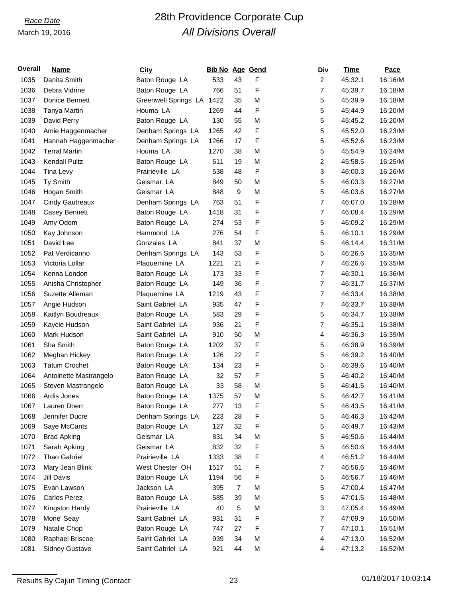## *Race Date* 28th Providence Corporate Cup *All Divisions Overall*

| <b>Overall</b> | <b>Name</b>            | <b>City</b>               | <b>Bib No Age Gend</b> |                |   | <u>Div</u>     | <b>Time</b> | Pace    |
|----------------|------------------------|---------------------------|------------------------|----------------|---|----------------|-------------|---------|
| 1035           | Danita Smith           | Baton Rouge LA            | 533                    | 43             | F | $\overline{c}$ | 45:32.1     | 16:16/M |
| 1036           | Debra Vidrine          | Baton Rouge LA            | 766                    | 51             | F | 7              | 45:39.7     | 16:18/M |
| 1037           | Donice Bennett         | Greenwell Springs LA 1422 |                        | 35             | M | 5              | 45:39.9     | 16:18/M |
| 1038           | Tanya Martin           | Houma LA                  | 1269                   | 44             | F | 5              | 45:44.9     | 16:20/M |
| 1039           | David Perry            | Baton Rouge LA            | 130                    | 55             | M | 5              | 45:45.2     | 16:20/M |
| 1040           | Amie Haggenmacher      | Denham Springs LA         | 1265                   | 42             | F | 5              | 45:52.0     | 16:23/M |
| 1041           | Hannah Haggenmacher    | Denham Springs LA         | 1266                   | 17             | F | 5              | 45:52.6     | 16:23/M |
| 1042           | <b>Terral Martin</b>   | Houma LA                  | 1270                   | 38             | M | 5              | 45:54.9     | 16:24/M |
| 1043           | <b>Kendall Pultz</b>   | Baton Rouge LA            | 611                    | 19             | M | 2              | 45:58.5     | 16:25/M |
| 1044           | Tina Levy              | Prairieville LA           | 538                    | 48             | F | 3              | 46:00.3     | 16:26/M |
| 1045           | Ty Smith               | Geismar LA                | 849                    | 50             | M | 5              | 46:03.3     | 16:27/M |
| 1046           | Hogan Smith            | Geismar LA                | 848                    | 9              | M | 5              | 46:03.6     | 16:27/M |
| 1047           | <b>Cindy Gautreaux</b> | Denham Springs LA         | 763                    | 51             | F | $\overline{7}$ | 46:07.0     | 16:28/M |
| 1048           | Casey Bennett          | Baton Rouge LA            | 1418                   | 31             | F | 7              | 46:08.4     | 16:29/M |
| 1049           | Amy Odom               | Baton Rouge LA            | 274                    | 53             | F | 5              | 46:09.2     | 16:29/M |
| 1050           | Kay Johnson            | Hammond LA                | 276                    | 54             | F | 5              | 46:10.1     | 16:29/M |
| 1051           | David Lee              | Gonzales LA               | 841                    | 37             | M | 5              | 46:14.4     | 16:31/M |
| 1052           | Pat Verdicanno         | Denham Springs LA         | 143                    | 53             | F | 5              | 46:26.6     | 16:35/M |
| 1053           | Victoria Lollar        | Plaquemine LA             | 1221                   | 21             | F | $\overline{7}$ | 46:26.6     | 16:35/M |
| 1054           | Kenna London           | Baton Rouge LA            | 173                    | 33             | F | $\overline{7}$ | 46:30.1     | 16:36/M |
| 1055           | Anisha Christopher     | Baton Rouge LA            | 149                    | 36             | F | $\overline{7}$ | 46:31.7     | 16:37/M |
| 1056           | Suzette Alleman        | Plaquemine LA             | 1219                   | 43             | F | $\overline{7}$ | 46:33.4     | 16:38/M |
| 1057           | Angie Hudson           | Saint Gabriel LA          | 935                    | 47             | F | $\overline{7}$ | 46:33.7     | 16:38/M |
| 1058           | Kaitlyn Boudreaux      | Baton Rouge LA            | 583                    | 29             | F | 5              | 46:34.7     | 16:38/M |
| 1059           | Kaycie Hudson          | Saint Gabriel LA          | 936                    | 21             | F | 7              | 46:35.1     | 16:38/M |
| 1060           | Mark Hudson            | Saint Gabriel LA          | 910                    | 50             | M | 4              | 46:36.3     | 16:39/M |
| 1061           | Sha Smith              | Baton Rouge LA            | 1202                   | 37             | F | 5              | 46:38.9     | 16:39/M |
| 1062           | Meghan Hickey          | Baton Rouge LA            | 126                    | 22             | F | 5              | 46:39.2     | 16:40/M |
| 1063           | <b>Tatum Crochet</b>   | Baton Rouge LA            | 134                    | 23             | F | 5              | 46:39.6     | 16:40/M |
| 1064           | Antoinette Mastrangelo | Baton Rouge LA            | 32                     | 57             | F | 5              | 46:40.2     | 16:40/M |
| 1065           | Steven Mastrangelo     | Baton Rouge LA            | 33                     | 58             | M | 5              | 46:41.5     | 16:40/M |
| 1066           | Ardis Jones            | Baton Rouge LA            | 1375                   | 57             | M | 5              | 46:42.7     | 16:41/M |
| 1067           | Lauren Doerr           | Baton Rouge LA            | 277                    | 13             | F | 5              | 46:43.5     | 16:41/M |
| 1068           | Jennifer Ducre         | Denham Springs LA         | 223                    | 28             | F | 5              | 46:46.3     | 16:42/M |
| 1069           | Saye McCants           | Baton Rouge LA            | 127                    | 32             | F | 5              | 46:49.7     | 16:43/M |
| 1070           | <b>Brad Apking</b>     | Geismar LA                | 831                    | 34             | M | 5              | 46:50.6     | 16:44/M |
| 1071           | Sarah Apking           | Geismar LA                | 832                    | 32             | F | 5              | 46:50.6     | 16:44/M |
| 1072           | Thao Gabriel           | Prairieville LA           | 1333                   | 38             | F | 4              | 46:51.2     | 16:44/M |
| 1073           | Mary Jean Blink        | West Chester OH           | 1517                   | 51             | F | 7              | 46:56.6     | 16:46/M |
| 1074           | Jill Davis             | Baton Rouge LA            | 1194                   | 56             | F | 5              | 46:56.7     | 16:46/M |
| 1075           | Evan Lawson            | Jackson LA                | 395                    | $\overline{7}$ | M | 5              | 47:00.4     | 16:47/M |
| 1076           | Carlos Perez           | Baton Rouge LA            | 585                    | 39             | M | 5              | 47:01.5     | 16:48/M |
| 1077           | Kingston Hardy         | Prairieville LA           | 40                     | 5              | M | 3              | 47:05.4     | 16:49/M |
| 1078           | Mone' Seay             | Saint Gabriel LA          | 931                    | 31             | F | $\overline{7}$ | 47:09.9     | 16:50/M |
| 1079           | Natalie Chop           | Baton Rouge LA            | 747                    | 27             | F | $\overline{7}$ | 47:10.1     | 16:51/M |
| 1080           | Raphael Briscoe        | Saint Gabriel LA          | 939                    | 34             | M | 4              | 47:13.0     | 16:52/M |
| 1081           | <b>Sidney Gustave</b>  | Saint Gabriel LA          | 921                    | 44             | M | $\overline{4}$ | 47:13.2     | 16:52/M |
|                |                        |                           |                        |                |   |                |             |         |

Results By Cajun Timing (Contact: 23 23 01/18/2017 10:03:14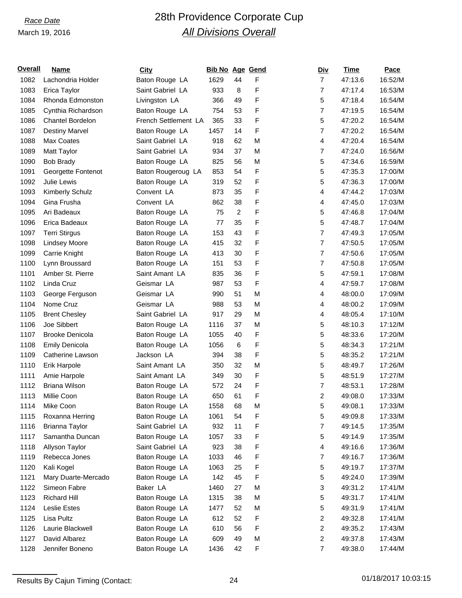# *Race Date* 28th Providence Corporate Cup *All Divisions Overall*

| <b>Overall</b> | <b>Name</b>             | <b>City</b>                      | <b>Bib No Age Gend</b> |                |   | <u>Div</u>          | Time    | Pace    |
|----------------|-------------------------|----------------------------------|------------------------|----------------|---|---------------------|---------|---------|
| 1082           | Lachondria Holder       | Baton Rouge LA                   | 1629                   | 44             | F | $\overline{7}$      | 47:13.6 | 16:52/M |
| 1083           | Erica Taylor            | Saint Gabriel LA                 | 933                    | 8              | F | 7                   | 47:17.4 | 16:53/M |
| 1084           | Rhonda Edmonston        | Livingston LA                    | 366                    | 49             | F | 5                   | 47:18.4 | 16:54/M |
| 1085           | Cynthia Richardson      | Baton Rouge LA                   | 754                    | 53             | F | $\overline{7}$      | 47:19.5 | 16:54/M |
| 1086           | <b>Chantel Bordelon</b> | French Settlement LA             | 365                    | 33             | F | 5                   | 47:20.2 | 16:54/M |
| 1087           | <b>Destiny Marvel</b>   | Baton Rouge LA                   | 1457                   | 14             | F | 7                   | 47:20.2 | 16:54/M |
| 1088           | Max Coates              | Saint Gabriel LA                 | 918                    | 62             | М | 4                   | 47:20.4 | 16:54/M |
| 1089           | Matt Taylor             | Saint Gabriel LA                 | 934                    | 37             | M | $\overline{7}$      | 47:24.0 | 16:56/M |
| 1090           | <b>Bob Brady</b>        | Baton Rouge LA                   | 825                    | 56             | M | 5                   | 47:34.6 | 16:59/M |
| 1091           | Georgette Fontenot      | Baton Rougeroug LA               | 853                    | 54             | F | 5                   | 47:35.3 | 17:00/M |
| 1092           | Julie Lewis             | Baton Rouge LA                   | 319                    | 52             | F | 5                   | 47:36.3 | 17:00/M |
| 1093           | Kimberly Schulz         | Convent LA                       | 873                    | 35             | F | 4                   | 47:44.2 | 17:03/M |
| 1094           | Gina Frusha             | Convent LA                       | 862                    | 38             | F | 4                   | 47:45.0 | 17:03/M |
| 1095           | Ari Badeaux             | Baton Rouge LA                   | 75                     | $\overline{c}$ | F | 5                   | 47:46.8 | 17:04/M |
| 1096           | Erica Badeaux           | Baton Rouge LA                   | 77                     | 35             | F | 5                   | 47:48.7 | 17:04/M |
| 1097           | <b>Terri Stirgus</b>    | Baton Rouge LA                   | 153                    | 43             | F | $\overline{7}$      | 47:49.3 | 17:05/M |
| 1098           | <b>Lindsey Moore</b>    | Baton Rouge LA                   | 415                    | 32             | F | $\overline{7}$      | 47:50.5 | 17:05/M |
| 1099           | Carrie Knight           | Baton Rouge LA                   | 413                    | 30             | F | $\overline{7}$      | 47:50.6 | 17:05/M |
| 1100           | Lynn Broussard          | Baton Rouge LA                   | 151                    | 53             | F | $\overline{7}$      | 47:50.8 | 17:05/M |
| 1101           | Amber St. Pierre        | Saint Amant LA                   | 835                    | 36             | F | 5                   | 47:59.1 | 17:08/M |
| 1102           | Linda Cruz              | Geismar LA                       | 987                    | 53             | F | 4                   | 47:59.7 | 17:08/M |
| 1103           | George Ferguson         | Geismar LA                       | 990                    | 51             | M | 4                   | 48:00.0 | 17:09/M |
| 1104           | Nome Cruz               | Geismar LA                       | 988                    | 53             | M | 4                   | 48:00.2 | 17:09/M |
| 1105           | <b>Brent Chesley</b>    | Saint Gabriel LA                 | 917                    | 29             | M | 4                   | 48:05.4 | 17:10/M |
| 1106           | Joe Sibbert             | Baton Rouge LA                   | 1116                   | 37             | M | 5                   | 48:10.3 | 17:12/M |
| 1107           | <b>Brooke Denicola</b>  | Baton Rouge LA                   | 1055                   | 40             | F | 5                   | 48:33.6 | 17:20/M |
| 1108           | <b>Emily Denicola</b>   | Baton Rouge LA                   | 1056                   | 6              | F | 5                   | 48:34.3 | 17:21/M |
| 1109           | Catherine Lawson        | Jackson LA                       | 394                    | 38             | F | 5                   | 48:35.2 | 17:21/M |
| 1110           | Erik Harpole            | Saint Amant LA                   | 350                    | 32             | M | 5                   | 48:49.7 | 17:26/M |
| 1111           | Amie Harpole            | Saint Amant LA                   | 349                    | 30             | F | 5                   | 48:51.9 | 17:27/M |
| 1112           | <b>Briana Wilson</b>    | Baton Rouge LA                   | 572                    | 24             | F | $\overline{7}$      | 48:53.1 | 17:28/M |
| 1113           | Millie Coon             | Baton Rouge LA                   | 650                    | 61             | F | 2                   | 49:08.0 | 17:33/M |
| 1114           | Mike Coon               | Baton Rouge LA                   | 1558                   | 68             | M | 5                   | 49:08.1 | 17:33/M |
| 1115           | Roxanna Herring         | Baton Rouge LA                   | 1061                   | 54             | F | 5                   | 49:09.8 | 17:33/M |
| 1116           | Brianna Taylor          | Saint Gabriel LA                 | 932                    | 11             | F | $\overline{7}$      | 49:14.5 | 17:35/M |
| 1117           | Samantha Duncan         | Baton Rouge LA                   | 1057                   | 33             | F | 5                   | 49:14.9 | 17:35/M |
| 1118           | Allyson Taylor          | Saint Gabriel LA                 | 923                    | 38             | F | 4                   | 49:16.6 | 17:36/M |
| 1119           | Rebecca Jones           | Baton Rouge LA                   | 1033                   | 46             | F | 7                   | 49:16.7 | 17:36/M |
| 1120           | Kali Kogel              | Baton Rouge LA                   | 1063                   | 25             | F | 5                   | 49:19.7 | 17:37/M |
| 1121           | Mary Duarte-Mercado     | Baton Rouge LA                   | 142                    | 45             | F | 5                   | 49:24.0 | 17:39/M |
| 1122           | Simeon Fabre            | Baker LA                         | 1460                   | 27             | M | 3                   | 49:31.2 | 17:41/M |
| 1123           | <b>Richard Hill</b>     | Baton Rouge LA                   | 1315                   | 38             | M | 5                   | 49:31.7 | 17:41/M |
| 1124           | <b>Leslie Estes</b>     |                                  | 1477                   | 52             | М |                     |         | 17:41/M |
| 1125           | Lisa Pultz              | Baton Rouge LA<br>Baton Rouge LA | 612                    | 52             | F | 5<br>$\overline{c}$ | 49:31.9 | 17:41/M |
|                | Laurie Blackwell        | Baton Rouge LA                   |                        | 56             | F | $\boldsymbol{2}$    | 49:32.8 | 17:43/M |
| 1126           |                         |                                  | 610                    |                |   |                     | 49:35.2 |         |
| 1127           | David Albarez           | Baton Rouge LA                   | 609                    | 49             | M | $\overline{c}$      | 49:37.8 | 17:43/M |
| 1128           | Jennifer Boneno         | Baton Rouge LA                   | 1436                   | 42             | F | $\overline{7}$      | 49:38.0 | 17:44/M |

Results By Cajun Timing (Contact: 24 01/18/2017 10:03:15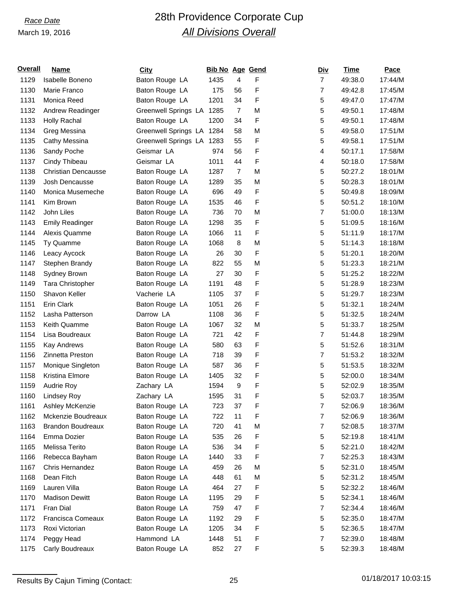## *Race Date* 28th Providence Corporate Cup *All Divisions Overall*

| Overall | Name                       | <b>City</b>               | <b>Bib No Age Gend</b> |                |   | <u>Div</u>     | <b>Time</b> | Pace    |
|---------|----------------------------|---------------------------|------------------------|----------------|---|----------------|-------------|---------|
| 1129    | Isabelle Boneno            | Baton Rouge LA            | 1435                   | 4              | F | $\overline{7}$ | 49:38.0     | 17:44/M |
| 1130    | Marie Franco               | Baton Rouge LA            | 175                    | 56             | F | $\overline{7}$ | 49:42.8     | 17:45/M |
| 1131    | Monica Reed                | Baton Rouge LA            | 1201                   | 34             | F | 5              | 49:47.0     | 17:47/M |
| 1132    | Andrew Readinger           | Greenwell Springs LA 1285 |                        | $\overline{7}$ | M | 5              | 49:50.1     | 17:48/M |
| 1133    | <b>Holly Rachal</b>        | Baton Rouge LA            | 1200                   | 34             | F | 5              | 49:50.1     | 17:48/M |
| 1134    | Greg Messina               | Greenwell Springs LA 1284 |                        | 58             | M | 5              | 49:58.0     | 17:51/M |
| 1135    | Cathy Messina              | Greenwell Springs LA 1283 |                        | 55             | F | 5              | 49:58.1     | 17:51/M |
| 1136    | Sandy Poche                | Geismar LA                | 974                    | 56             | F | 4              | 50:17.1     | 17:58/M |
| 1137    | Cindy Thibeau              | Geismar LA                | 1011                   | 44             | F | 4              | 50:18.0     | 17:58/M |
| 1138    | <b>Christian Dencausse</b> | Baton Rouge LA            | 1287                   | $\overline{7}$ | M | 5              | 50:27.2     | 18:01/M |
| 1139    | Josh Dencausse             | Baton Rouge LA            | 1289                   | 35             | M | 5              | 50:28.3     | 18:01/M |
| 1140    | Monica Musemeche           | Baton Rouge LA            | 696                    | 49             | F | 5              | 50:49.8     | 18:09/M |
| 1141    | Kim Brown                  | Baton Rouge LA            | 1535                   | 46             | F | 5              | 50:51.2     | 18:10/M |
| 1142    | John Liles                 | Baton Rouge LA            | 736                    | 70             | M | $\overline{7}$ | 51:00.0     | 18:13/M |
| 1143    | <b>Emily Readinger</b>     | Baton Rouge LA            | 1298                   | 35             | F | 5              | 51:09.5     | 18:16/M |
| 1144    | Alexis Quamme              | Baton Rouge LA            | 1066                   | 11             | F | 5              | 51:11.9     | 18:17/M |
| 1145    | Ty Quamme                  | Baton Rouge LA            | 1068                   | 8              | M | 5              | 51:14.3     | 18:18/M |
| 1146    | Leacy Aycock               | Baton Rouge LA            | 26                     | 30             | F | 5              | 51:20.1     | 18:20/M |
| 1147    | Stephen Brandy             | Baton Rouge LA            | 822                    | 55             | M | 5              | 51:23.3     | 18:21/M |
| 1148    | Sydney Brown               | Baton Rouge LA            | 27                     | 30             | F | 5              | 51:25.2     | 18:22/M |
| 1149    | Tara Christopher           | Baton Rouge LA            | 1191                   | 48             | F | 5              | 51:28.9     | 18:23/M |
| 1150    | Shavon Keller              | Vacherie LA               | 1105                   | 37             | F | 5              | 51:29.7     | 18:23/M |
| 1151    | Erin Clark                 | Baton Rouge LA            | 1051                   | 26             | F | 5              | 51:32.1     | 18:24/M |
| 1152    | Lasha Patterson            | Darrow LA                 | 1108                   | 36             | F | 5              | 51:32.5     | 18:24/M |
| 1153    | Keith Quamme               | Baton Rouge LA            | 1067                   | 32             | M | 5              | 51:33.7     | 18:25/M |
| 1154    | Lisa Boudreaux             | Baton Rouge LA            | 721                    | 42             | F | 7              | 51:44.8     | 18:29/M |
| 1155    | <b>Kay Andrews</b>         | Baton Rouge LA            | 580                    | 63             | F | $\,$ 5 $\,$    | 51:52.6     | 18:31/M |
| 1156    | Zinnetta Preston           | Baton Rouge LA            | 718                    | 39             | F | $\overline{7}$ | 51:53.2     | 18:32/M |
| 1157    | Monique Singleton          | Baton Rouge LA            | 587                    | 36             | F | 5              | 51:53.5     | 18:32/M |
| 1158    | Kristina Elmore            | Baton Rouge LA            | 1405                   | 32             | F | 5              | 52:00.0     | 18:34/M |
| 1159    | Audrie Roy                 | Zachary LA                | 1594                   | 9              | F | 5              | 52:02.9     | 18:35/M |
| 1160    | Lindsey Roy                | Zachary LA                | 1595                   | 31             | F | 5              | 52:03.7     | 18:35/M |
| 1161    | Ashley McKenzie            | Baton Rouge LA            | 723                    | 37             | F | $\overline{7}$ | 52:06.9     | 18:36/M |
| 1162    | Mckenzie Boudreaux         | Baton Rouge LA            | 722                    | 11             | F | $\overline{7}$ | 52:06.9     | 18:36/M |
| 1163    | <b>Brandon Boudreaux</b>   | Baton Rouge LA            | 720                    | 41             | M | 7              | 52:08.5     | 18:37/M |
| 1164    | Emma Dozier                | Baton Rouge LA            | 535                    | 26             | F | 5              | 52:19.8     | 18:41/M |
| 1165    | Melissa Terito             | Baton Rouge LA            | 536                    | 34             | F | 5              | 52:21.0     | 18:42/M |
| 1166    | Rebecca Bayham             | Baton Rouge LA            | 1440                   | 33             | F | 7              | 52:25.3     | 18:43/M |
| 1167    | Chris Hernandez            | Baton Rouge LA            | 459                    | 26             | M | 5              | 52:31.0     | 18:45/M |
| 1168    | Dean Fitch                 | Baton Rouge LA            | 448                    | 61             | М | 5              | 52:31.2     | 18:45/M |
| 1169    | Lauren Villa               | Baton Rouge LA            | 464                    | 27             | F | 5              | 52:32.2     | 18:46/M |
| 1170    | <b>Madison Dewitt</b>      | Baton Rouge LA            | 1195                   | 29             | F | $\,$ 5 $\,$    | 52:34.1     | 18:46/M |
| 1171    | Fran Dial                  | Baton Rouge LA            | 759                    | 47             | F | 7              | 52:34.4     | 18:46/M |
| 1172    | Francisca Comeaux          | Baton Rouge LA            | 1192                   | 29             | F | 5              | 52:35.0     | 18:47/M |
| 1173    | Roxi Victorian             | Baton Rouge LA            | 1205                   | 34             | F | 5              | 52:36.5     | 18:47/M |
| 1174    | Peggy Head                 | Hammond LA                | 1448                   | 51             | F | $\overline{7}$ | 52:39.0     | 18:48/M |
| 1175    | Carly Boudreaux            | Baton Rouge LA            | 852                    | 27             | F | $\mathbf 5$    | 52:39.3     | 18:48/M |
|         |                            |                           |                        |                |   |                |             |         |

Results By Cajun Timing (Contact: 25 25 01/18/2017 10:03:15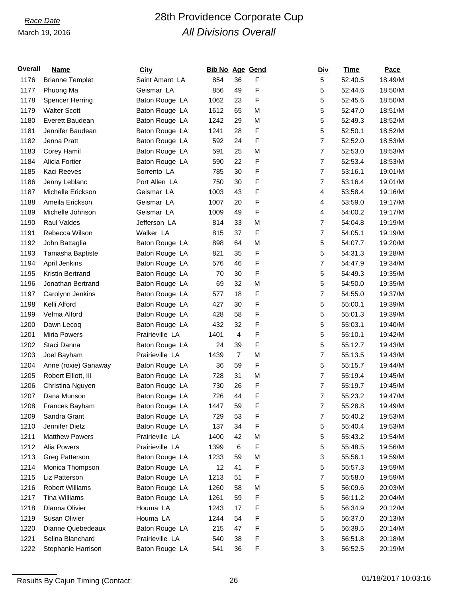# *Race Date* 28th Providence Corporate Cup *All Divisions Overall*

| <b>Overall</b> | <b>Name</b>            | <b>City</b>     | <b>Bib No Age Gend</b> |                |   | <u>Div</u>     | Time    | Pace    |
|----------------|------------------------|-----------------|------------------------|----------------|---|----------------|---------|---------|
| 1176           | <b>Brianne Templet</b> | Saint Amant LA  | 854                    | 36             | F | 5              | 52:40.5 | 18:49/M |
| 1177           | Phuong Ma              | Geismar LA      | 856                    | 49             | F | 5              | 52:44.6 | 18:50/M |
| 1178           | <b>Spencer Herring</b> | Baton Rouge LA  | 1062                   | 23             | F | 5              | 52:45.6 | 18:50/M |
| 1179           | <b>Walter Scott</b>    | Baton Rouge LA  | 1612                   | 65             | M | 5              | 52:47.0 | 18:51/M |
| 1180           | Everett Baudean        | Baton Rouge LA  | 1242                   | 29             | M | 5              | 52:49.3 | 18:52/M |
| 1181           | Jennifer Baudean       | Baton Rouge LA  | 1241                   | 28             | F | 5              | 52:50.1 | 18:52/M |
| 1182           | Jenna Pratt            | Baton Rouge LA  | 592                    | 24             | F | $\overline{7}$ | 52:52.0 | 18:53/M |
| 1183           | Corey Hamil            | Baton Rouge LA  | 591                    | 25             | M | $\overline{7}$ | 52:53.0 | 18:53/M |
| 1184           | Alicia Fortier         | Baton Rouge LA  | 590                    | 22             | F | $\overline{7}$ | 52:53.4 | 18:53/M |
| 1185           | Kaci Reeves            | Sorrento LA     | 785                    | 30             | F | $\overline{7}$ | 53:16.1 | 19:01/M |
| 1186           | Jenny Leblanc          | Port Allen LA   | 750                    | 30             | F | $\overline{7}$ | 53:16.4 | 19:01/M |
| 1187           | Michelle Erickson      | Geismar LA      | 1003                   | 43             | F | 4              | 53:58.4 | 19:16/M |
| 1188           | Ameila Erickson        | Geismar LA      | 1007                   | 20             | F | 4              | 53:59.0 | 19:17/M |
| 1189           | Michelle Johnson       | Geismar LA      | 1009                   | 49             | F | 4              | 54:00.2 | 19:17/M |
| 1190           | <b>Raul Valdes</b>     | Jefferson LA    | 814                    | 33             | М | $\overline{7}$ | 54:04.8 | 19:19/M |
| 1191           | Rebecca Wilson         | Walker LA       | 815                    | 37             | F | $\overline{7}$ | 54:05.1 | 19:19/M |
| 1192           | John Battaglia         | Baton Rouge LA  | 898                    | 64             | M | 5              | 54:07.7 | 19:20/M |
| 1193           | Tamasha Baptiste       | Baton Rouge LA  | 821                    | 35             | F | 5              | 54:31.3 | 19:28/M |
| 1194           | April Jenkins          | Baton Rouge LA  | 576                    | 46             | F | $\overline{7}$ | 54:47.9 | 19:34/M |
| 1195           | Kristin Bertrand       | Baton Rouge LA  | 70                     | 30             | F | 5              | 54:49.3 | 19:35/M |
| 1196           | Jonathan Bertrand      | Baton Rouge LA  | 69                     | 32             | M | 5              | 54:50.0 | 19:35/M |
| 1197           | Carolynn Jenkins       | Baton Rouge LA  | 577                    | 18             | F | $\overline{7}$ | 54:55.0 | 19:37/M |
| 1198           | Kelli Alford           | Baton Rouge LA  | 427                    | 30             | F | 5              | 55:00.1 | 19:39/M |
| 1199           | Velma Alford           | Baton Rouge LA  | 428                    | 58             | F | 5              | 55:01.3 | 19:39/M |
| 1200           | Dawn Lecoq             | Baton Rouge LA  | 432                    | 32             | F | 5              | 55:03.1 | 19:40/M |
| 1201           | Miria Powers           | Prairieville LA | 1401                   | $\overline{4}$ | F | 5              | 55:10.1 | 19:42/M |
| 1202           | Staci Danna            | Baton Rouge LA  | 24                     | 39             | F | 5              | 55:12.7 | 19:43/M |
| 1203           | Joel Bayham            | Prairieville LA | 1439                   | $\overline{7}$ | M | $\overline{7}$ | 55:13.5 | 19:43/M |
| 1204           | Anne (roxie) Ganaway   | Baton Rouge LA  | 36                     | 59             | F | 5              | 55:15.7 | 19:44/M |
| 1205           | Robert Elliott, III    | Baton Rouge LA  | 728                    | 31             | M | $\overline{7}$ | 55:19.4 | 19:45/M |
| 1206           | Christina Nguyen       | Baton Rouge LA  | 730                    | 26             | F | $\overline{7}$ | 55:19.7 | 19:45/M |
| 1207           | Dana Munson            | Baton Rouge LA  | 726                    | 44             | F | 7              | 55:23.2 | 19:47/M |
| 1208           | Frances Bayham         | Baton Rouge LA  | 1447                   | 59             | F | 7              | 55:28.8 | 19:49/M |
| 1209           | Sandra Grant           | Baton Rouge LA  | 729                    | 53             | F | 7              | 55:40.2 | 19:53/M |
| 1210           | Jennifer Dietz         | Baton Rouge LA  | 137                    | 34             | F | 5              | 55:40.4 | 19:53/M |
| 1211           | <b>Matthew Powers</b>  | Prairieville LA | 1400                   | 42             | M | 5              | 55:43.2 | 19:54/M |
| 1212           | Alia Powers            | Prairieville LA | 1399                   | 6              | F | 5              | 55:48.5 | 19:56/M |
| 1213           | Greg Patterson         | Baton Rouge LA  | 1233                   | 59             | M | 3              | 55:56.1 | 19:59/M |
| 1214           | Monica Thompson        | Baton Rouge LA  | 12                     | 41             | F | 5              | 55:57.3 | 19:59/M |
| 1215           | Liz Patterson          | Baton Rouge LA  | 1213                   | 51             | F | 7              | 55:58.0 | 19:59/M |
| 1216           | <b>Robert Williams</b> | Baton Rouge LA  | 1260                   | 58             | M | 5              | 56:09.6 | 20:03/M |
| 1217           | <b>Tina Williams</b>   | Baton Rouge LA  | 1261                   | 59             | F | 5              | 56:11.2 | 20:04/M |
| 1218           | Dianna Olivier         | Houma LA        | 1243                   | 17             | F | 5              | 56:34.9 | 20:12/M |
| 1219           | Susan Olivier          | Houma LA        | 1244                   | 54             | F | 5              | 56:37.0 | 20:13/M |
| 1220           | Dianne Quebedeaux      | Baton Rouge LA  | 215                    | 47             | F | 5              | 56:39.5 | 20:14/M |
| 1221           | Selina Blanchard       | Prairieville LA | 540                    | 38             | F | 3              | 56:51.8 | 20:18/M |
| 1222           | Stephanie Harrison     | Baton Rouge LA  | 541                    | 36             | F | 3              | 56:52.5 | 20:19/M |
|                |                        |                 |                        |                |   |                |         |         |

Results By Cajun Timing (Contact: 26 26 01/18/2017 10:03:16